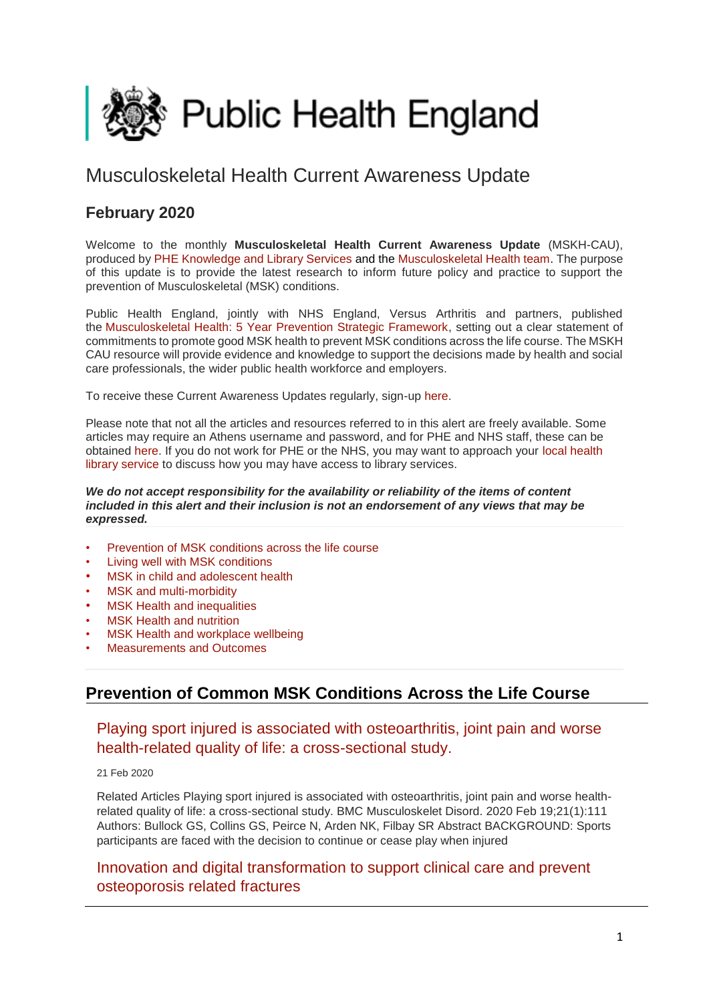<span id="page-0-1"></span>

# Musculoskeletal Health Current Awareness Update

# **February 2020**

Welcome to the monthly **Musculoskeletal Health Current Awareness Update** (MSKH-CAU), produced b[y PHE Knowledge and Library Services](http://transit.linexsystems.com/track/click/30370861/phelibrary.koha-ptfs.co.uk?p=eyJzIjoiQ2RGWWVCaVdnN2VqNEhGUU92eldNRUxHVXZvIiwidiI6MSwicCI6IntcInVcIjozMDM3MDg2MSxcInZcIjoxLFwidXJsXCI6XCJodHRwczpcXFwvXFxcL3BoZWxpYnJhcnkua29oYS1wdGZzLmNvLnVrXFxcLz9RTFwiLFwiaWRcIjpcImEyNmRkYzg2OTdmZDQxYmViY2ZhNTNhNmJkNDg0M2U1XCIsXCJ1cmxfaWRzXCI6W1wiMGU4NTg1MDhlNzAyM2VjZjBjODM4YzA5YTYyMGY0OGU5ZjFiMjk5ZFwiXX0ifQ) and the [Musculoskeletal Health team.](https://www.gov.uk/government/collections/musculoskeletal-health) The purpose of this update is to provide the latest research to inform future policy and practice to support the prevention of Musculoskeletal (MSK) conditions.

Public Health England, jointly with NHS England, Versus Arthritis and partners, published the [Musculoskeletal Health: 5 Year Prevention Strategic Framework,](https://www.gov.uk/government/publications/musculoskeletal-health-5-year-prevention-strategic-framework) setting out a clear statement of commitments to promote good MSK health to prevent MSK conditions across the life course. The MSKH CAU resource will provide evidence and knowledge to support the decisions made by health and social care professionals, the wider public health workforce and employers.

To receive these Current Awareness Updates regularly, sign-up [here.](http://transit.linexsystems.com/track/click/30370861/public.govdelivery.com?p=eyJzIjoiNjBqQXU0YzJlQXd5Nks5UDhjLWhzME1hN3BNIiwidiI6MSwicCI6IntcInVcIjozMDM3MDg2MSxcInZcIjoxLFwidXJsXCI6XCJodHRwczpcXFwvXFxcL3B1YmxpYy5nb3ZkZWxpdmVyeS5jb21cXFwvYWNjb3VudHNcXFwvVUtIUEFcXFwvc3Vic2NyaWJlcnNcXFwvbmV3XCIsXCJpZFwiOlwiYTNmYjZlY2ViNDBkNGQ1MmJjYTU3YjllNzNiMjU2ZTJcIixcInVybF9pZHNcIjpbXCJjN2IzNWUzNWVhODkyMzhlYmZhOTk0M2MyMThhYTU3OTVkMjIyZjRlXCJdfSJ9)

Please note that not all the articles and resources referred to in this alert are freely available. Some articles may require an Athens username and password, and for PHE and NHS staff, these can be obtained [here.](http://transit.linexsystems.com/track/click/30370861/openathens.nice.org.uk?p=eyJzIjoibndPZXEwbFdCZnYxNUtTX2VCVEhNZ1k5NzFVIiwidiI6MSwicCI6IntcInVcIjozMDM3MDg2MSxcInZcIjoxLFwidXJsXCI6XCJodHRwczpcXFwvXFxcL29wZW5hdGhlbnMubmljZS5vcmcudWtcXFwvXCIsXCJpZFwiOlwiYTI2ZGRjODY5N2ZkNDFiZWJjZmE1M2E2YmQ0ODQzZTVcIixcInVybF9pZHNcIjpbXCJkZDkzMmJmYzNmMTUzNmU2N2MwYTQzOTQwMDE0ZjA4ZjViZjVhNDJlXCJdfSJ9) If you do not work for PHE or the NHS, you may want to approach your [local health](http://transit.linexsystems.com/track/click/30370861/www.hlisd.org?p=eyJzIjoic0hDQXVwcWRwZlJNVXcxM2RFelh2U0R0WkxrIiwidiI6MSwicCI6IntcInVcIjozMDM3MDg2MSxcInZcIjoxLFwidXJsXCI6XCJodHRwczpcXFwvXFxcL3d3dy5obGlzZC5vcmdcXFwvXCIsXCJpZFwiOlwiYTI2ZGRjODY5N2ZkNDFiZWJjZmE1M2E2YmQ0ODQzZTVcIixcInVybF9pZHNcIjpbXCIxYmFkZWVhOWQ0NGY0NWE1YzY4Yzg2N2Y4OTk4YzkwMGU2YjU2MWQ2XCJdfSJ9)  [library service](http://transit.linexsystems.com/track/click/30370861/www.hlisd.org?p=eyJzIjoic0hDQXVwcWRwZlJNVXcxM2RFelh2U0R0WkxrIiwidiI6MSwicCI6IntcInVcIjozMDM3MDg2MSxcInZcIjoxLFwidXJsXCI6XCJodHRwczpcXFwvXFxcL3d3dy5obGlzZC5vcmdcXFwvXCIsXCJpZFwiOlwiYTI2ZGRjODY5N2ZkNDFiZWJjZmE1M2E2YmQ0ODQzZTVcIixcInVybF9pZHNcIjpbXCIxYmFkZWVhOWQ0NGY0NWE1YzY4Yzg2N2Y4OTk4YzkwMGU2YjU2MWQ2XCJdfSJ9) to discuss how you may have access to library services.

#### *We do not accept responsibility for the availability or reliability of the items of content included in this alert and their inclusion is not an endorsement of any views that may be expressed.*

- [Prevention of MSK conditions across the life course](#page-0-0)
- [Living well with MSK conditions](#page-3-0)
- MSK in child and adolescent health
- [MSK and multi-morbidity](#page-7-0)
- **MSK Health and inequalities**
- **MSK Health and nutrition**
- [MSK Health and workplace wellbeing](#page-11-0)
- [Measurements and Outcomes](#page-11-0)

# <span id="page-0-0"></span>**Prevention of Common MSK Conditions Across the Life Course**

### [Playing sport injured is associated with osteoarthritis, joint pain and worse](http://transit.linexsystems.com/track/click/30370861/ca.linexsystems.com?p=eyJzIjoiaUFNMUU3R2dwYjNMSmtyb2lINFJRRjBGcUwwIiwidiI6MSwicCI6IntcInVcIjozMDM3MDg2MSxcInZcIjoxLFwidXJsXCI6XCJodHRwOlxcXC9cXFwvY2EubGluZXhzeXN0ZW1zLmNvbVxcXC9jb250ZW50c1xcXC90cmFuc2l0XFxcLzM2MzQ5OTY0MTU_dXNlcl9pZD00NDM1MTUmbG9nPTc5Y2ZhYjYyNGM2ZjAyMDU3MTQ2YzFjZGFkZmYyZWRmJnA9OTI0NTc0MzUmbT0xJmM9MzUyOTEwODUyNSZvcmdfaWQ9MTc0ODFcIixcImlkXCI6XCJkYjUzMTRmZTUwNjQ0ZWQyYWIyMjhkMzA1ODRhYTFkY1wiLFwidXJsX2lkc1wiOltcIjA1ZTliM2YxZjk4OTA1NGZlM2JjODI0YWQ4ZmExYjhmMWYyMzVkMTNcIl19In0)  [health-related quality of life: a cross-sectional study.](http://transit.linexsystems.com/track/click/30370861/ca.linexsystems.com?p=eyJzIjoiaUFNMUU3R2dwYjNMSmtyb2lINFJRRjBGcUwwIiwidiI6MSwicCI6IntcInVcIjozMDM3MDg2MSxcInZcIjoxLFwidXJsXCI6XCJodHRwOlxcXC9cXFwvY2EubGluZXhzeXN0ZW1zLmNvbVxcXC9jb250ZW50c1xcXC90cmFuc2l0XFxcLzM2MzQ5OTY0MTU_dXNlcl9pZD00NDM1MTUmbG9nPTc5Y2ZhYjYyNGM2ZjAyMDU3MTQ2YzFjZGFkZmYyZWRmJnA9OTI0NTc0MzUmbT0xJmM9MzUyOTEwODUyNSZvcmdfaWQ9MTc0ODFcIixcImlkXCI6XCJkYjUzMTRmZTUwNjQ0ZWQyYWIyMjhkMzA1ODRhYTFkY1wiLFwidXJsX2lkc1wiOltcIjA1ZTliM2YxZjk4OTA1NGZlM2JjODI0YWQ4ZmExYjhmMWYyMzVkMTNcIl19In0)

21 Feb 2020

Related Articles Playing sport injured is associated with osteoarthritis, joint pain and worse healthrelated quality of life: a cross-sectional study. BMC Musculoskelet Disord. 2020 Feb 19;21(1):111 Authors: Bullock GS, Collins GS, Peirce N, Arden NK, Filbay SR Abstract BACKGROUND: Sports participants are faced with the decision to continue or cease play when injured

## [Innovation and digital transformation to support clinical care and prevent](http://transit.linexsystems.com/track/click/30370861/ca.linexsystems.com?p=eyJzIjoiR2lMNHg5bmtFWWk1NUdwNVpoYXlHUS1yYzZBIiwidiI6MSwicCI6IntcInVcIjozMDM3MDg2MSxcInZcIjoxLFwidXJsXCI6XCJodHRwOlxcXC9cXFwvY2EubGluZXhzeXN0ZW1zLmNvbVxcXC9jb250ZW50c1xcXC90cmFuc2l0XFxcLzM2MzQ5NDc5NzU_dXNlcl9pZD00NDM1MTUmbG9nPTc5Y2ZhYjYyNGM2ZjAyMDU3MTQ2YzFjZGFkZmYyZWRmJnA9OTI0NTc0MzUmbT0xJmM9MzUyOTEwODUyNSZvcmdfaWQ9MTc0ODFcIixcImlkXCI6XCJkYjUzMTRmZTUwNjQ0ZWQyYWIyMjhkMzA1ODRhYTFkY1wiLFwidXJsX2lkc1wiOltcIjA1ZTliM2YxZjk4OTA1NGZlM2JjODI0YWQ4ZmExYjhmMWYyMzVkMTNcIl19In0)  [osteoporosis related fractures](http://transit.linexsystems.com/track/click/30370861/ca.linexsystems.com?p=eyJzIjoiR2lMNHg5bmtFWWk1NUdwNVpoYXlHUS1yYzZBIiwidiI6MSwicCI6IntcInVcIjozMDM3MDg2MSxcInZcIjoxLFwidXJsXCI6XCJodHRwOlxcXC9cXFwvY2EubGluZXhzeXN0ZW1zLmNvbVxcXC9jb250ZW50c1xcXC90cmFuc2l0XFxcLzM2MzQ5NDc5NzU_dXNlcl9pZD00NDM1MTUmbG9nPTc5Y2ZhYjYyNGM2ZjAyMDU3MTQ2YzFjZGFkZmYyZWRmJnA9OTI0NTc0MzUmbT0xJmM9MzUyOTEwODUyNSZvcmdfaWQ9MTc0ODFcIixcImlkXCI6XCJkYjUzMTRmZTUwNjQ0ZWQyYWIyMjhkMzA1ODRhYTFkY1wiLFwidXJsX2lkc1wiOltcIjA1ZTliM2YxZjk4OTA1NGZlM2JjODI0YWQ4ZmExYjhmMWYyMzVkMTNcIl19In0)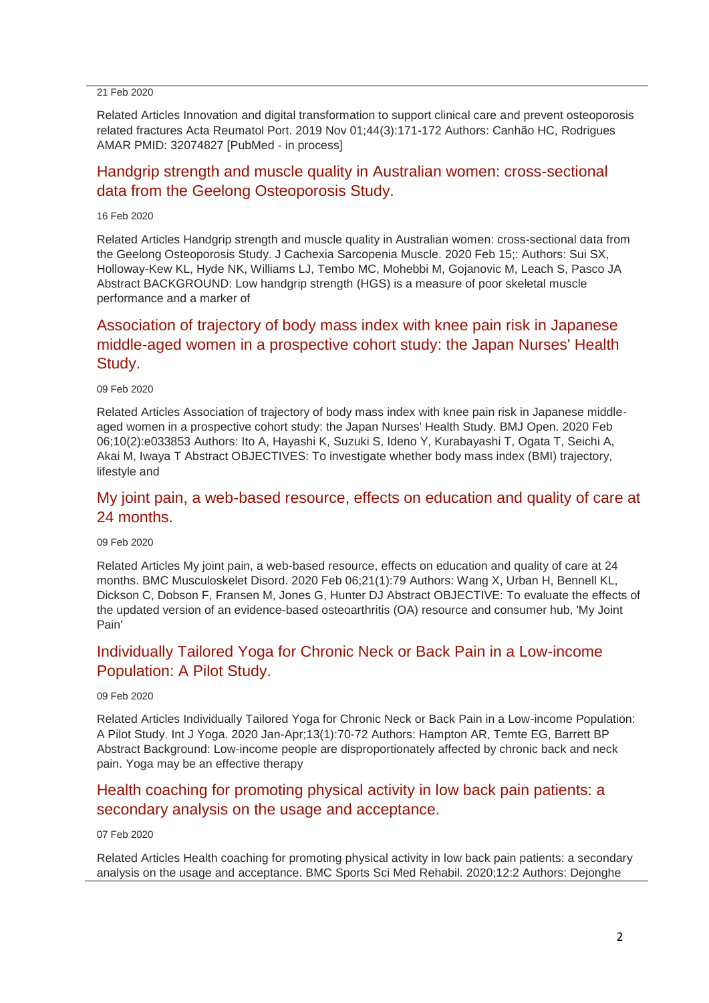#### 21 Feb 2020

Related Articles Innovation and digital transformation to support clinical care and prevent osteoporosis related fractures Acta Reumatol Port. 2019 Nov 01;44(3):171-172 Authors: Canhão HC, Rodrigues AMAR PMID: 32074827 [PubMed - in process]

## [Handgrip strength and muscle quality in Australian women: cross-sectional](http://transit.linexsystems.com/track/click/30370861/ca.linexsystems.com?p=eyJzIjoieG5JOVMzX1J2QjU3RG01VVpiMjkybjNoRDdZIiwidiI6MSwicCI6IntcInVcIjozMDM3MDg2MSxcInZcIjoxLFwidXJsXCI6XCJodHRwOlxcXC9cXFwvY2EubGluZXhzeXN0ZW1zLmNvbVxcXC9jb250ZW50c1xcXC90cmFuc2l0XFxcLzM2MjgyNDAyNzU_dXNlcl9pZD00NDM1MTUmbG9nPTc5Y2ZhYjYyNGM2ZjAyMDU3MTQ2YzFjZGFkZmYyZWRmJnA9OTI0NTc0MzUmbT0xJmM9MzUyOTEwODUyNSZvcmdfaWQ9MTc0ODFcIixcImlkXCI6XCJkYjUzMTRmZTUwNjQ0ZWQyYWIyMjhkMzA1ODRhYTFkY1wiLFwidXJsX2lkc1wiOltcIjA1ZTliM2YxZjk4OTA1NGZlM2JjODI0YWQ4ZmExYjhmMWYyMzVkMTNcIl19In0)  [data from the Geelong Osteoporosis Study.](http://transit.linexsystems.com/track/click/30370861/ca.linexsystems.com?p=eyJzIjoieG5JOVMzX1J2QjU3RG01VVpiMjkybjNoRDdZIiwidiI6MSwicCI6IntcInVcIjozMDM3MDg2MSxcInZcIjoxLFwidXJsXCI6XCJodHRwOlxcXC9cXFwvY2EubGluZXhzeXN0ZW1zLmNvbVxcXC9jb250ZW50c1xcXC90cmFuc2l0XFxcLzM2MjgyNDAyNzU_dXNlcl9pZD00NDM1MTUmbG9nPTc5Y2ZhYjYyNGM2ZjAyMDU3MTQ2YzFjZGFkZmYyZWRmJnA9OTI0NTc0MzUmbT0xJmM9MzUyOTEwODUyNSZvcmdfaWQ9MTc0ODFcIixcImlkXCI6XCJkYjUzMTRmZTUwNjQ0ZWQyYWIyMjhkMzA1ODRhYTFkY1wiLFwidXJsX2lkc1wiOltcIjA1ZTliM2YxZjk4OTA1NGZlM2JjODI0YWQ4ZmExYjhmMWYyMzVkMTNcIl19In0)

16 Feb 2020

Related Articles Handgrip strength and muscle quality in Australian women: cross-sectional data from the Geelong Osteoporosis Study. J Cachexia Sarcopenia Muscle. 2020 Feb 15;: Authors: Sui SX, Holloway-Kew KL, Hyde NK, Williams LJ, Tembo MC, Mohebbi M, Gojanovic M, Leach S, Pasco JA Abstract BACKGROUND: Low handgrip strength (HGS) is a measure of poor skeletal muscle performance and a marker of

# [Association of trajectory of body mass index with knee pain risk in Japanese](http://transit.linexsystems.com/track/click/30370861/ca.linexsystems.com?p=eyJzIjoiNlFUcHNFbGhIdDJzanZBcDdMWThxWFlDZ2ZrIiwidiI6MSwicCI6IntcInVcIjozMDM3MDg2MSxcInZcIjoxLFwidXJsXCI6XCJodHRwOlxcXC9cXFwvY2EubGluZXhzeXN0ZW1zLmNvbVxcXC9jb250ZW50c1xcXC90cmFuc2l0XFxcLzM2MjAwNTI2MDU_dXNlcl9pZD00NDM1MTUmbG9nPTc5Y2ZhYjYyNGM2ZjAyMDU3MTQ2YzFjZGFkZmYyZWRmJnA9OTI0NTc0MzUmbT0xJmM9MzUyOTEwODUyNSZvcmdfaWQ9MTc0ODFcIixcImlkXCI6XCJkYjUzMTRmZTUwNjQ0ZWQyYWIyMjhkMzA1ODRhYTFkY1wiLFwidXJsX2lkc1wiOltcIjA1ZTliM2YxZjk4OTA1NGZlM2JjODI0YWQ4ZmExYjhmMWYyMzVkMTNcIl19In0)  [middle-aged women in a prospective cohort study: the Japan Nurses' Health](http://transit.linexsystems.com/track/click/30370861/ca.linexsystems.com?p=eyJzIjoiNlFUcHNFbGhIdDJzanZBcDdMWThxWFlDZ2ZrIiwidiI6MSwicCI6IntcInVcIjozMDM3MDg2MSxcInZcIjoxLFwidXJsXCI6XCJodHRwOlxcXC9cXFwvY2EubGluZXhzeXN0ZW1zLmNvbVxcXC9jb250ZW50c1xcXC90cmFuc2l0XFxcLzM2MjAwNTI2MDU_dXNlcl9pZD00NDM1MTUmbG9nPTc5Y2ZhYjYyNGM2ZjAyMDU3MTQ2YzFjZGFkZmYyZWRmJnA9OTI0NTc0MzUmbT0xJmM9MzUyOTEwODUyNSZvcmdfaWQ9MTc0ODFcIixcImlkXCI6XCJkYjUzMTRmZTUwNjQ0ZWQyYWIyMjhkMzA1ODRhYTFkY1wiLFwidXJsX2lkc1wiOltcIjA1ZTliM2YxZjk4OTA1NGZlM2JjODI0YWQ4ZmExYjhmMWYyMzVkMTNcIl19In0)  [Study.](http://transit.linexsystems.com/track/click/30370861/ca.linexsystems.com?p=eyJzIjoiNlFUcHNFbGhIdDJzanZBcDdMWThxWFlDZ2ZrIiwidiI6MSwicCI6IntcInVcIjozMDM3MDg2MSxcInZcIjoxLFwidXJsXCI6XCJodHRwOlxcXC9cXFwvY2EubGluZXhzeXN0ZW1zLmNvbVxcXC9jb250ZW50c1xcXC90cmFuc2l0XFxcLzM2MjAwNTI2MDU_dXNlcl9pZD00NDM1MTUmbG9nPTc5Y2ZhYjYyNGM2ZjAyMDU3MTQ2YzFjZGFkZmYyZWRmJnA9OTI0NTc0MzUmbT0xJmM9MzUyOTEwODUyNSZvcmdfaWQ9MTc0ODFcIixcImlkXCI6XCJkYjUzMTRmZTUwNjQ0ZWQyYWIyMjhkMzA1ODRhYTFkY1wiLFwidXJsX2lkc1wiOltcIjA1ZTliM2YxZjk4OTA1NGZlM2JjODI0YWQ4ZmExYjhmMWYyMzVkMTNcIl19In0)

09 Feb 2020

Related Articles Association of trajectory of body mass index with knee pain risk in Japanese middleaged women in a prospective cohort study: the Japan Nurses' Health Study. BMJ Open. 2020 Feb 06;10(2):e033853 Authors: Ito A, Hayashi K, Suzuki S, Ideno Y, Kurabayashi T, Ogata T, Seichi A, Akai M, Iwaya T Abstract OBJECTIVES: To investigate whether body mass index (BMI) trajectory, lifestyle and

### [My joint pain, a web-based resource, effects on education and quality of care at](http://transit.linexsystems.com/track/click/30370861/ca.linexsystems.com?p=eyJzIjoiZkdjWGdiSVBRZmRrOFZFWmJUeEhJaGhVNFlVIiwidiI6MSwicCI6IntcInVcIjozMDM3MDg2MSxcInZcIjoxLFwidXJsXCI6XCJodHRwOlxcXC9cXFwvY2EubGluZXhzeXN0ZW1zLmNvbVxcXC9jb250ZW50c1xcXC90cmFuc2l0XFxcLzM2MTk2NjU4MjU_dXNlcl9pZD00NDM1MTUmbG9nPTc5Y2ZhYjYyNGM2ZjAyMDU3MTQ2YzFjZGFkZmYyZWRmJnA9OTI0NTc0MzUmbT0xJmM9MzUyOTEwODUyNSZvcmdfaWQ9MTc0ODFcIixcImlkXCI6XCJkYjUzMTRmZTUwNjQ0ZWQyYWIyMjhkMzA1ODRhYTFkY1wiLFwidXJsX2lkc1wiOltcIjA1ZTliM2YxZjk4OTA1NGZlM2JjODI0YWQ4ZmExYjhmMWYyMzVkMTNcIl19In0)  [24 months.](http://transit.linexsystems.com/track/click/30370861/ca.linexsystems.com?p=eyJzIjoiZkdjWGdiSVBRZmRrOFZFWmJUeEhJaGhVNFlVIiwidiI6MSwicCI6IntcInVcIjozMDM3MDg2MSxcInZcIjoxLFwidXJsXCI6XCJodHRwOlxcXC9cXFwvY2EubGluZXhzeXN0ZW1zLmNvbVxcXC9jb250ZW50c1xcXC90cmFuc2l0XFxcLzM2MTk2NjU4MjU_dXNlcl9pZD00NDM1MTUmbG9nPTc5Y2ZhYjYyNGM2ZjAyMDU3MTQ2YzFjZGFkZmYyZWRmJnA9OTI0NTc0MzUmbT0xJmM9MzUyOTEwODUyNSZvcmdfaWQ9MTc0ODFcIixcImlkXCI6XCJkYjUzMTRmZTUwNjQ0ZWQyYWIyMjhkMzA1ODRhYTFkY1wiLFwidXJsX2lkc1wiOltcIjA1ZTliM2YxZjk4OTA1NGZlM2JjODI0YWQ4ZmExYjhmMWYyMzVkMTNcIl19In0)

09 Feb 2020

Related Articles My joint pain, a web-based resource, effects on education and quality of care at 24 months. BMC Musculoskelet Disord. 2020 Feb 06;21(1):79 Authors: Wang X, Urban H, Bennell KL, Dickson C, Dobson F, Fransen M, Jones G, Hunter DJ Abstract OBJECTIVE: To evaluate the effects of the updated version of an evidence-based osteoarthritis (OA) resource and consumer hub, 'My Joint Pain'

# [Individually Tailored Yoga for Chronic Neck or Back Pain in a Low-income](http://transit.linexsystems.com/track/click/30370861/ca.linexsystems.com?p=eyJzIjoiYWdXVXhwbXZtNHEzMXUzMHJxUXowRldWVkhrIiwidiI6MSwicCI6IntcInVcIjozMDM3MDg2MSxcInZcIjoxLFwidXJsXCI6XCJodHRwOlxcXC9cXFwvY2EubGluZXhzeXN0ZW1zLmNvbVxcXC9jb250ZW50c1xcXC90cmFuc2l0XFxcLzM2MTk2NjM4MjU_dXNlcl9pZD00NDM1MTUmbG9nPTc5Y2ZhYjYyNGM2ZjAyMDU3MTQ2YzFjZGFkZmYyZWRmJnA9OTI0NTc0MzUmbT0xJmM9MzUyOTEwODUyNSZvcmdfaWQ9MTc0ODFcIixcImlkXCI6XCJkYjUzMTRmZTUwNjQ0ZWQyYWIyMjhkMzA1ODRhYTFkY1wiLFwidXJsX2lkc1wiOltcIjA1ZTliM2YxZjk4OTA1NGZlM2JjODI0YWQ4ZmExYjhmMWYyMzVkMTNcIl19In0)  [Population: A Pilot Study.](http://transit.linexsystems.com/track/click/30370861/ca.linexsystems.com?p=eyJzIjoiYWdXVXhwbXZtNHEzMXUzMHJxUXowRldWVkhrIiwidiI6MSwicCI6IntcInVcIjozMDM3MDg2MSxcInZcIjoxLFwidXJsXCI6XCJodHRwOlxcXC9cXFwvY2EubGluZXhzeXN0ZW1zLmNvbVxcXC9jb250ZW50c1xcXC90cmFuc2l0XFxcLzM2MTk2NjM4MjU_dXNlcl9pZD00NDM1MTUmbG9nPTc5Y2ZhYjYyNGM2ZjAyMDU3MTQ2YzFjZGFkZmYyZWRmJnA9OTI0NTc0MzUmbT0xJmM9MzUyOTEwODUyNSZvcmdfaWQ9MTc0ODFcIixcImlkXCI6XCJkYjUzMTRmZTUwNjQ0ZWQyYWIyMjhkMzA1ODRhYTFkY1wiLFwidXJsX2lkc1wiOltcIjA1ZTliM2YxZjk4OTA1NGZlM2JjODI0YWQ4ZmExYjhmMWYyMzVkMTNcIl19In0)

09 Feb 2020

Related Articles Individually Tailored Yoga for Chronic Neck or Back Pain in a Low-income Population: A Pilot Study. Int J Yoga. 2020 Jan-Apr;13(1):70-72 Authors: Hampton AR, Temte EG, Barrett BP Abstract Background: Low-income people are disproportionately affected by chronic back and neck pain. Yoga may be an effective therapy

### [Health coaching for promoting physical activity in low back pain patients: a](http://transit.linexsystems.com/track/click/30370861/ca.linexsystems.com?p=eyJzIjoiZ2tGTWdrMFp2YUw3emR1c0ZidmpoRE1DWHpjIiwidiI6MSwicCI6IntcInVcIjozMDM3MDg2MSxcInZcIjoxLFwidXJsXCI6XCJodHRwOlxcXC9cXFwvY2EubGluZXhzeXN0ZW1zLmNvbVxcXC9jb250ZW50c1xcXC90cmFuc2l0XFxcLzM2MTgzMTY0MTU_dXNlcl9pZD00NDM1MTUmbG9nPTc5Y2ZhYjYyNGM2ZjAyMDU3MTQ2YzFjZGFkZmYyZWRmJnA9OTI0NTc0MzUmbT0xJmM9MzUyOTEwODUyNSZvcmdfaWQ9MTc0ODFcIixcImlkXCI6XCJkYjUzMTRmZTUwNjQ0ZWQyYWIyMjhkMzA1ODRhYTFkY1wiLFwidXJsX2lkc1wiOltcIjA1ZTliM2YxZjk4OTA1NGZlM2JjODI0YWQ4ZmExYjhmMWYyMzVkMTNcIl19In0)  [secondary analysis on the usage and acceptance.](http://transit.linexsystems.com/track/click/30370861/ca.linexsystems.com?p=eyJzIjoiZ2tGTWdrMFp2YUw3emR1c0ZidmpoRE1DWHpjIiwidiI6MSwicCI6IntcInVcIjozMDM3MDg2MSxcInZcIjoxLFwidXJsXCI6XCJodHRwOlxcXC9cXFwvY2EubGluZXhzeXN0ZW1zLmNvbVxcXC9jb250ZW50c1xcXC90cmFuc2l0XFxcLzM2MTgzMTY0MTU_dXNlcl9pZD00NDM1MTUmbG9nPTc5Y2ZhYjYyNGM2ZjAyMDU3MTQ2YzFjZGFkZmYyZWRmJnA9OTI0NTc0MzUmbT0xJmM9MzUyOTEwODUyNSZvcmdfaWQ9MTc0ODFcIixcImlkXCI6XCJkYjUzMTRmZTUwNjQ0ZWQyYWIyMjhkMzA1ODRhYTFkY1wiLFwidXJsX2lkc1wiOltcIjA1ZTliM2YxZjk4OTA1NGZlM2JjODI0YWQ4ZmExYjhmMWYyMzVkMTNcIl19In0)

#### 07 Feb 2020

Related Articles Health coaching for promoting physical activity in low back pain patients: a secondary analysis on the usage and acceptance. BMC Sports Sci Med Rehabil. 2020;12:2 Authors: Dejonghe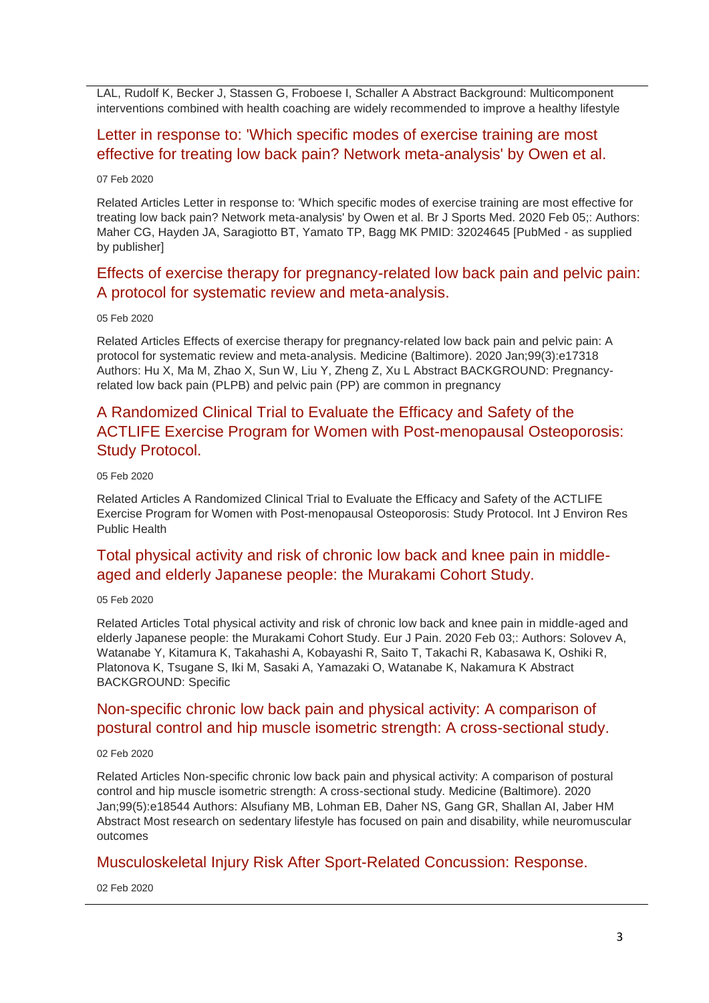LAL, Rudolf K, Becker J, Stassen G, Froboese I, Schaller A Abstract Background: Multicomponent interventions combined with health coaching are widely recommended to improve a healthy lifestyle

### [Letter in response to: 'Which specific modes of exercise training are most](http://transit.linexsystems.com/track/click/30370861/ca.linexsystems.com?p=eyJzIjoiZVR6X3YzUlhIZThTUnFVVWNTMWpiOUViZjFFIiwidiI6MSwicCI6IntcInVcIjozMDM3MDg2MSxcInZcIjoxLFwidXJsXCI6XCJodHRwOlxcXC9cXFwvY2EubGluZXhzeXN0ZW1zLmNvbVxcXC9jb250ZW50c1xcXC90cmFuc2l0XFxcLzM2MTgzMTQ1NDU_dXNlcl9pZD00NDM1MTUmbG9nPTc5Y2ZhYjYyNGM2ZjAyMDU3MTQ2YzFjZGFkZmYyZWRmJnA9OTI0NTc0MzUmbT0xJmM9MzUyOTEwODUyNSZvcmdfaWQ9MTc0ODFcIixcImlkXCI6XCJkYjUzMTRmZTUwNjQ0ZWQyYWIyMjhkMzA1ODRhYTFkY1wiLFwidXJsX2lkc1wiOltcIjA1ZTliM2YxZjk4OTA1NGZlM2JjODI0YWQ4ZmExYjhmMWYyMzVkMTNcIl19In0)  [effective for treating low back pain? Network meta-analysis' by Owen et al.](http://transit.linexsystems.com/track/click/30370861/ca.linexsystems.com?p=eyJzIjoiZVR6X3YzUlhIZThTUnFVVWNTMWpiOUViZjFFIiwidiI6MSwicCI6IntcInVcIjozMDM3MDg2MSxcInZcIjoxLFwidXJsXCI6XCJodHRwOlxcXC9cXFwvY2EubGluZXhzeXN0ZW1zLmNvbVxcXC9jb250ZW50c1xcXC90cmFuc2l0XFxcLzM2MTgzMTQ1NDU_dXNlcl9pZD00NDM1MTUmbG9nPTc5Y2ZhYjYyNGM2ZjAyMDU3MTQ2YzFjZGFkZmYyZWRmJnA9OTI0NTc0MzUmbT0xJmM9MzUyOTEwODUyNSZvcmdfaWQ9MTc0ODFcIixcImlkXCI6XCJkYjUzMTRmZTUwNjQ0ZWQyYWIyMjhkMzA1ODRhYTFkY1wiLFwidXJsX2lkc1wiOltcIjA1ZTliM2YxZjk4OTA1NGZlM2JjODI0YWQ4ZmExYjhmMWYyMzVkMTNcIl19In0)

#### 07 Feb 2020

Related Articles Letter in response to: 'Which specific modes of exercise training are most effective for treating low back pain? Network meta-analysis' by Owen et al. Br J Sports Med. 2020 Feb 05;: Authors: Maher CG, Hayden JA, Saragiotto BT, Yamato TP, Bagg MK PMID: 32024645 [PubMed - as supplied by publisher]

### [Effects of exercise therapy for pregnancy-related low back pain and pelvic pain:](http://transit.linexsystems.com/track/click/30370861/ca.linexsystems.com?p=eyJzIjoiWWJMRFZRRktyazgxcDVzUzBwdExjSW54Y2swIiwidiI6MSwicCI6IntcInVcIjozMDM3MDg2MSxcInZcIjoxLFwidXJsXCI6XCJodHRwOlxcXC9cXFwvY2EubGluZXhzeXN0ZW1zLmNvbVxcXC9jb250ZW50c1xcXC90cmFuc2l0XFxcLzM2MTU4MjczODU_dXNlcl9pZD00NDM1MTUmbG9nPTc5Y2ZhYjYyNGM2ZjAyMDU3MTQ2YzFjZGFkZmYyZWRmJnA9OTI0NTc0MzUmbT0xJmM9MzUyOTEwODUyNSZvcmdfaWQ9MTc0ODFcIixcImlkXCI6XCJkYjUzMTRmZTUwNjQ0ZWQyYWIyMjhkMzA1ODRhYTFkY1wiLFwidXJsX2lkc1wiOltcIjA1ZTliM2YxZjk4OTA1NGZlM2JjODI0YWQ4ZmExYjhmMWYyMzVkMTNcIl19In0)  [A protocol for systematic review and meta-analysis.](http://transit.linexsystems.com/track/click/30370861/ca.linexsystems.com?p=eyJzIjoiWWJMRFZRRktyazgxcDVzUzBwdExjSW54Y2swIiwidiI6MSwicCI6IntcInVcIjozMDM3MDg2MSxcInZcIjoxLFwidXJsXCI6XCJodHRwOlxcXC9cXFwvY2EubGluZXhzeXN0ZW1zLmNvbVxcXC9jb250ZW50c1xcXC90cmFuc2l0XFxcLzM2MTU4MjczODU_dXNlcl9pZD00NDM1MTUmbG9nPTc5Y2ZhYjYyNGM2ZjAyMDU3MTQ2YzFjZGFkZmYyZWRmJnA9OTI0NTc0MzUmbT0xJmM9MzUyOTEwODUyNSZvcmdfaWQ9MTc0ODFcIixcImlkXCI6XCJkYjUzMTRmZTUwNjQ0ZWQyYWIyMjhkMzA1ODRhYTFkY1wiLFwidXJsX2lkc1wiOltcIjA1ZTliM2YxZjk4OTA1NGZlM2JjODI0YWQ4ZmExYjhmMWYyMzVkMTNcIl19In0)

#### 05 Feb 2020

Related Articles Effects of exercise therapy for pregnancy-related low back pain and pelvic pain: A protocol for systematic review and meta-analysis. Medicine (Baltimore). 2020 Jan;99(3):e17318 Authors: Hu X, Ma M, Zhao X, Sun W, Liu Y, Zheng Z, Xu L Abstract BACKGROUND: Pregnancyrelated low back pain (PLPB) and pelvic pain (PP) are common in pregnancy

# [A Randomized Clinical Trial to Evaluate the Efficacy and Safety of the](http://transit.linexsystems.com/track/click/30370861/ca.linexsystems.com?p=eyJzIjoiM0FwOHdWR1ZfSXh2U0hVQzdRQmgtZjhuc0x3IiwidiI6MSwicCI6IntcInVcIjozMDM3MDg2MSxcInZcIjoxLFwidXJsXCI6XCJodHRwOlxcXC9cXFwvY2EubGluZXhzeXN0ZW1zLmNvbVxcXC9jb250ZW50c1xcXC90cmFuc2l0XFxcLzM2MTU4Mjc0ODU_dXNlcl9pZD00NDM1MTUmbG9nPTc5Y2ZhYjYyNGM2ZjAyMDU3MTQ2YzFjZGFkZmYyZWRmJnA9OTI0NTc0MzUmbT0xJmM9MzUyOTEwODUyNSZvcmdfaWQ9MTc0ODFcIixcImlkXCI6XCJkYjUzMTRmZTUwNjQ0ZWQyYWIyMjhkMzA1ODRhYTFkY1wiLFwidXJsX2lkc1wiOltcIjA1ZTliM2YxZjk4OTA1NGZlM2JjODI0YWQ4ZmExYjhmMWYyMzVkMTNcIl19In0)  [ACTLIFE Exercise Program for Women with Post-menopausal Osteoporosis:](http://transit.linexsystems.com/track/click/30370861/ca.linexsystems.com?p=eyJzIjoiM0FwOHdWR1ZfSXh2U0hVQzdRQmgtZjhuc0x3IiwidiI6MSwicCI6IntcInVcIjozMDM3MDg2MSxcInZcIjoxLFwidXJsXCI6XCJodHRwOlxcXC9cXFwvY2EubGluZXhzeXN0ZW1zLmNvbVxcXC9jb250ZW50c1xcXC90cmFuc2l0XFxcLzM2MTU4Mjc0ODU_dXNlcl9pZD00NDM1MTUmbG9nPTc5Y2ZhYjYyNGM2ZjAyMDU3MTQ2YzFjZGFkZmYyZWRmJnA9OTI0NTc0MzUmbT0xJmM9MzUyOTEwODUyNSZvcmdfaWQ9MTc0ODFcIixcImlkXCI6XCJkYjUzMTRmZTUwNjQ0ZWQyYWIyMjhkMzA1ODRhYTFkY1wiLFwidXJsX2lkc1wiOltcIjA1ZTliM2YxZjk4OTA1NGZlM2JjODI0YWQ4ZmExYjhmMWYyMzVkMTNcIl19In0)  [Study Protocol.](http://transit.linexsystems.com/track/click/30370861/ca.linexsystems.com?p=eyJzIjoiM0FwOHdWR1ZfSXh2U0hVQzdRQmgtZjhuc0x3IiwidiI6MSwicCI6IntcInVcIjozMDM3MDg2MSxcInZcIjoxLFwidXJsXCI6XCJodHRwOlxcXC9cXFwvY2EubGluZXhzeXN0ZW1zLmNvbVxcXC9jb250ZW50c1xcXC90cmFuc2l0XFxcLzM2MTU4Mjc0ODU_dXNlcl9pZD00NDM1MTUmbG9nPTc5Y2ZhYjYyNGM2ZjAyMDU3MTQ2YzFjZGFkZmYyZWRmJnA9OTI0NTc0MzUmbT0xJmM9MzUyOTEwODUyNSZvcmdfaWQ9MTc0ODFcIixcImlkXCI6XCJkYjUzMTRmZTUwNjQ0ZWQyYWIyMjhkMzA1ODRhYTFkY1wiLFwidXJsX2lkc1wiOltcIjA1ZTliM2YxZjk4OTA1NGZlM2JjODI0YWQ4ZmExYjhmMWYyMzVkMTNcIl19In0)

#### 05 Feb 2020

Related Articles A Randomized Clinical Trial to Evaluate the Efficacy and Safety of the ACTLIFE Exercise Program for Women with Post-menopausal Osteoporosis: Study Protocol. Int J Environ Res Public Health

### [Total physical activity and risk of chronic low back and knee pain in middle](http://transit.linexsystems.com/track/click/30370861/ca.linexsystems.com?p=eyJzIjoicmhPZlR1a2dnZTdXMU5GcGMwQ0xqXzNZUFY0IiwidiI6MSwicCI6IntcInVcIjozMDM3MDg2MSxcInZcIjoxLFwidXJsXCI6XCJodHRwOlxcXC9cXFwvY2EubGluZXhzeXN0ZW1zLmNvbVxcXC9jb250ZW50c1xcXC90cmFuc2l0XFxcLzM2MTU4Mjc3NjU_dXNlcl9pZD00NDM1MTUmbG9nPTc5Y2ZhYjYyNGM2ZjAyMDU3MTQ2YzFjZGFkZmYyZWRmJnA9OTI0NTc0MzUmbT0xJmM9MzUyOTEwODUyNSZvcmdfaWQ9MTc0ODFcIixcImlkXCI6XCJkYjUzMTRmZTUwNjQ0ZWQyYWIyMjhkMzA1ODRhYTFkY1wiLFwidXJsX2lkc1wiOltcIjA1ZTliM2YxZjk4OTA1NGZlM2JjODI0YWQ4ZmExYjhmMWYyMzVkMTNcIl19In0)[aged and elderly Japanese people: the Murakami Cohort Study.](http://transit.linexsystems.com/track/click/30370861/ca.linexsystems.com?p=eyJzIjoicmhPZlR1a2dnZTdXMU5GcGMwQ0xqXzNZUFY0IiwidiI6MSwicCI6IntcInVcIjozMDM3MDg2MSxcInZcIjoxLFwidXJsXCI6XCJodHRwOlxcXC9cXFwvY2EubGluZXhzeXN0ZW1zLmNvbVxcXC9jb250ZW50c1xcXC90cmFuc2l0XFxcLzM2MTU4Mjc3NjU_dXNlcl9pZD00NDM1MTUmbG9nPTc5Y2ZhYjYyNGM2ZjAyMDU3MTQ2YzFjZGFkZmYyZWRmJnA9OTI0NTc0MzUmbT0xJmM9MzUyOTEwODUyNSZvcmdfaWQ9MTc0ODFcIixcImlkXCI6XCJkYjUzMTRmZTUwNjQ0ZWQyYWIyMjhkMzA1ODRhYTFkY1wiLFwidXJsX2lkc1wiOltcIjA1ZTliM2YxZjk4OTA1NGZlM2JjODI0YWQ4ZmExYjhmMWYyMzVkMTNcIl19In0)

#### 05 Feb 2020

Related Articles Total physical activity and risk of chronic low back and knee pain in middle-aged and elderly Japanese people: the Murakami Cohort Study. Eur J Pain. 2020 Feb 03;: Authors: Solovev A, Watanabe Y, Kitamura K, Takahashi A, Kobayashi R, Saito T, Takachi R, Kabasawa K, Oshiki R, Platonova K, Tsugane S, Iki M, Sasaki A, Yamazaki O, Watanabe K, Nakamura K Abstract BACKGROUND: Specific

### [Non-specific chronic low back pain and physical activity: A comparison of](http://transit.linexsystems.com/track/click/30370861/ca.linexsystems.com?p=eyJzIjoiTHVRbk9OYXlCZXg4dlBrLWRZSHhLZWNFOFJ3IiwidiI6MSwicCI6IntcInVcIjozMDM3MDg2MSxcInZcIjoxLFwidXJsXCI6XCJodHRwOlxcXC9cXFwvY2EubGluZXhzeXN0ZW1zLmNvbVxcXC9jb250ZW50c1xcXC90cmFuc2l0XFxcLzM2MTA1Mjc4NDU_dXNlcl9pZD00NDM1MTUmbG9nPTc5Y2ZhYjYyNGM2ZjAyMDU3MTQ2YzFjZGFkZmYyZWRmJnA9OTI0NTc0MzUmbT0xJmM9MzUyOTEwODUyNSZvcmdfaWQ9MTc0ODFcIixcImlkXCI6XCJkYjUzMTRmZTUwNjQ0ZWQyYWIyMjhkMzA1ODRhYTFkY1wiLFwidXJsX2lkc1wiOltcIjA1ZTliM2YxZjk4OTA1NGZlM2JjODI0YWQ4ZmExYjhmMWYyMzVkMTNcIl19In0)  [postural control and hip muscle isometric strength: A cross-sectional study.](http://transit.linexsystems.com/track/click/30370861/ca.linexsystems.com?p=eyJzIjoiTHVRbk9OYXlCZXg4dlBrLWRZSHhLZWNFOFJ3IiwidiI6MSwicCI6IntcInVcIjozMDM3MDg2MSxcInZcIjoxLFwidXJsXCI6XCJodHRwOlxcXC9cXFwvY2EubGluZXhzeXN0ZW1zLmNvbVxcXC9jb250ZW50c1xcXC90cmFuc2l0XFxcLzM2MTA1Mjc4NDU_dXNlcl9pZD00NDM1MTUmbG9nPTc5Y2ZhYjYyNGM2ZjAyMDU3MTQ2YzFjZGFkZmYyZWRmJnA9OTI0NTc0MzUmbT0xJmM9MzUyOTEwODUyNSZvcmdfaWQ9MTc0ODFcIixcImlkXCI6XCJkYjUzMTRmZTUwNjQ0ZWQyYWIyMjhkMzA1ODRhYTFkY1wiLFwidXJsX2lkc1wiOltcIjA1ZTliM2YxZjk4OTA1NGZlM2JjODI0YWQ4ZmExYjhmMWYyMzVkMTNcIl19In0)

#### 02 Feb 2020

Related Articles Non-specific chronic low back pain and physical activity: A comparison of postural control and hip muscle isometric strength: A cross-sectional study. Medicine (Baltimore). 2020 Jan;99(5):e18544 Authors: Alsufiany MB, Lohman EB, Daher NS, Gang GR, Shallan AI, Jaber HM Abstract Most research on sedentary lifestyle has focused on pain and disability, while neuromuscular outcomes

### [Musculoskeletal Injury Risk After Sport-Related Concussion: Response.](http://transit.linexsystems.com/track/click/30370861/ca.linexsystems.com?p=eyJzIjoiYjhrcjFzQ1ZiNG9PTVk4QVZwSlFxU2RocmZRIiwidiI6MSwicCI6IntcInVcIjozMDM3MDg2MSxcInZcIjoxLFwidXJsXCI6XCJodHRwOlxcXC9cXFwvY2EubGluZXhzeXN0ZW1zLmNvbVxcXC9jb250ZW50c1xcXC90cmFuc2l0XFxcLzM2MTA1MjgxMDU_dXNlcl9pZD00NDM1MTUmbG9nPTc5Y2ZhYjYyNGM2ZjAyMDU3MTQ2YzFjZGFkZmYyZWRmJnA9OTI0NTc0MzUmbT0xJmM9MzUyOTEwODUyNSZvcmdfaWQ9MTc0ODFcIixcImlkXCI6XCJkYjUzMTRmZTUwNjQ0ZWQyYWIyMjhkMzA1ODRhYTFkY1wiLFwidXJsX2lkc1wiOltcIjA1ZTliM2YxZjk4OTA1NGZlM2JjODI0YWQ4ZmExYjhmMWYyMzVkMTNcIl19In0)

02 Feb 2020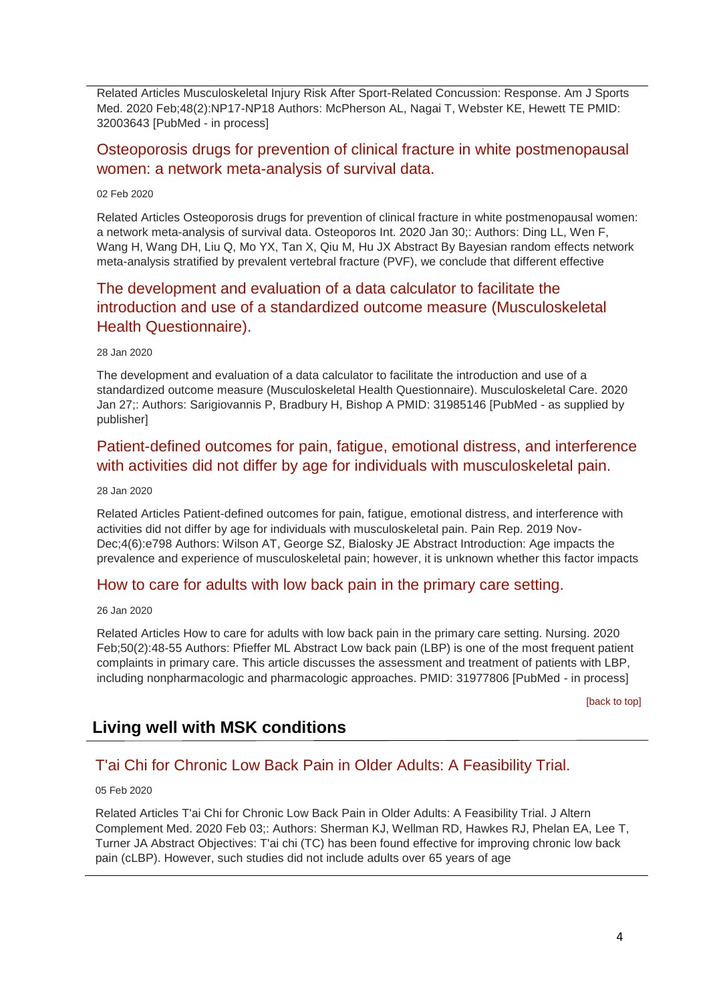Related Articles Musculoskeletal Injury Risk After Sport-Related Concussion: Response. Am J Sports Med. 2020 Feb;48(2):NP17-NP18 Authors: McPherson AL, Nagai T, Webster KE, Hewett TE PMID: 32003643 [PubMed - in process]

# [Osteoporosis drugs for prevention of clinical fracture in white postmenopausal](http://transit.linexsystems.com/track/click/30370861/ca.linexsystems.com?p=eyJzIjoiWTNWUG1DcFFiazJBRVBYTnBfanYzOXhDdXdJIiwidiI6MSwicCI6IntcInVcIjozMDM3MDg2MSxcInZcIjoxLFwidXJsXCI6XCJodHRwOlxcXC9cXFwvY2EubGluZXhzeXN0ZW1zLmNvbVxcXC9jb250ZW50c1xcXC90cmFuc2l0XFxcLzM2MTA1MTUyMzU_dXNlcl9pZD00NDM1MTUmbG9nPTc5Y2ZhYjYyNGM2ZjAyMDU3MTQ2YzFjZGFkZmYyZWRmJnA9OTI0NTc0MzUmbT0xJmM9MzUyOTEwODUyNSZvcmdfaWQ9MTc0ODFcIixcImlkXCI6XCJkYjUzMTRmZTUwNjQ0ZWQyYWIyMjhkMzA1ODRhYTFkY1wiLFwidXJsX2lkc1wiOltcIjA1ZTliM2YxZjk4OTA1NGZlM2JjODI0YWQ4ZmExYjhmMWYyMzVkMTNcIl19In0)  [women: a network meta-analysis of survival data.](http://transit.linexsystems.com/track/click/30370861/ca.linexsystems.com?p=eyJzIjoiWTNWUG1DcFFiazJBRVBYTnBfanYzOXhDdXdJIiwidiI6MSwicCI6IntcInVcIjozMDM3MDg2MSxcInZcIjoxLFwidXJsXCI6XCJodHRwOlxcXC9cXFwvY2EubGluZXhzeXN0ZW1zLmNvbVxcXC9jb250ZW50c1xcXC90cmFuc2l0XFxcLzM2MTA1MTUyMzU_dXNlcl9pZD00NDM1MTUmbG9nPTc5Y2ZhYjYyNGM2ZjAyMDU3MTQ2YzFjZGFkZmYyZWRmJnA9OTI0NTc0MzUmbT0xJmM9MzUyOTEwODUyNSZvcmdfaWQ9MTc0ODFcIixcImlkXCI6XCJkYjUzMTRmZTUwNjQ0ZWQyYWIyMjhkMzA1ODRhYTFkY1wiLFwidXJsX2lkc1wiOltcIjA1ZTliM2YxZjk4OTA1NGZlM2JjODI0YWQ4ZmExYjhmMWYyMzVkMTNcIl19In0)

#### 02 Feb 2020

Related Articles Osteoporosis drugs for prevention of clinical fracture in white postmenopausal women: a network meta-analysis of survival data. Osteoporos Int. 2020 Jan 30;: Authors: Ding LL, Wen F, Wang H, Wang DH, Liu Q, Mo YX, Tan X, Qiu M, Hu JX Abstract By Bayesian random effects network meta-analysis stratified by prevalent vertebral fracture (PVF), we conclude that different effective

# [The development and evaluation of a data calculator to facilitate the](http://transit.linexsystems.com/track/click/30370861/ca.linexsystems.com?p=eyJzIjoia2xGS211aV81NHJkSVlXQWFsWTJiRTItM0lvIiwidiI6MSwicCI6IntcInVcIjozMDM3MDg2MSxcInZcIjoxLFwidXJsXCI6XCJodHRwOlxcXC9cXFwvY2EubGluZXhzeXN0ZW1zLmNvbVxcXC9jb250ZW50c1xcXC90cmFuc2l0XFxcLzM2MDQ5MTE1MTU_dXNlcl9pZD00NDM1MTUmbG9nPTc5Y2ZhYjYyNGM2ZjAyMDU3MTQ2YzFjZGFkZmYyZWRmJnA9OTI0NTc0MzUmbT0xJmM9MzUyOTEwODUyNSZvcmdfaWQ9MTc0ODFcIixcImlkXCI6XCJkYjUzMTRmZTUwNjQ0ZWQyYWIyMjhkMzA1ODRhYTFkY1wiLFwidXJsX2lkc1wiOltcIjA1ZTliM2YxZjk4OTA1NGZlM2JjODI0YWQ4ZmExYjhmMWYyMzVkMTNcIl19In0)  [introduction and use of a standardized outcome measure \(Musculoskeletal](http://transit.linexsystems.com/track/click/30370861/ca.linexsystems.com?p=eyJzIjoia2xGS211aV81NHJkSVlXQWFsWTJiRTItM0lvIiwidiI6MSwicCI6IntcInVcIjozMDM3MDg2MSxcInZcIjoxLFwidXJsXCI6XCJodHRwOlxcXC9cXFwvY2EubGluZXhzeXN0ZW1zLmNvbVxcXC9jb250ZW50c1xcXC90cmFuc2l0XFxcLzM2MDQ5MTE1MTU_dXNlcl9pZD00NDM1MTUmbG9nPTc5Y2ZhYjYyNGM2ZjAyMDU3MTQ2YzFjZGFkZmYyZWRmJnA9OTI0NTc0MzUmbT0xJmM9MzUyOTEwODUyNSZvcmdfaWQ9MTc0ODFcIixcImlkXCI6XCJkYjUzMTRmZTUwNjQ0ZWQyYWIyMjhkMzA1ODRhYTFkY1wiLFwidXJsX2lkc1wiOltcIjA1ZTliM2YxZjk4OTA1NGZlM2JjODI0YWQ4ZmExYjhmMWYyMzVkMTNcIl19In0)  [Health Questionnaire\).](http://transit.linexsystems.com/track/click/30370861/ca.linexsystems.com?p=eyJzIjoia2xGS211aV81NHJkSVlXQWFsWTJiRTItM0lvIiwidiI6MSwicCI6IntcInVcIjozMDM3MDg2MSxcInZcIjoxLFwidXJsXCI6XCJodHRwOlxcXC9cXFwvY2EubGluZXhzeXN0ZW1zLmNvbVxcXC9jb250ZW50c1xcXC90cmFuc2l0XFxcLzM2MDQ5MTE1MTU_dXNlcl9pZD00NDM1MTUmbG9nPTc5Y2ZhYjYyNGM2ZjAyMDU3MTQ2YzFjZGFkZmYyZWRmJnA9OTI0NTc0MzUmbT0xJmM9MzUyOTEwODUyNSZvcmdfaWQ9MTc0ODFcIixcImlkXCI6XCJkYjUzMTRmZTUwNjQ0ZWQyYWIyMjhkMzA1ODRhYTFkY1wiLFwidXJsX2lkc1wiOltcIjA1ZTliM2YxZjk4OTA1NGZlM2JjODI0YWQ4ZmExYjhmMWYyMzVkMTNcIl19In0)

#### 28 Jan 2020

The development and evaluation of a data calculator to facilitate the introduction and use of a standardized outcome measure (Musculoskeletal Health Questionnaire). Musculoskeletal Care. 2020 Jan 27;: Authors: Sarigiovannis P, Bradbury H, Bishop A PMID: 31985146 [PubMed - as supplied by publisher]

### [Patient-defined outcomes for pain, fatigue, emotional distress, and interference](http://transit.linexsystems.com/track/click/30370861/ca.linexsystems.com?p=eyJzIjoiX2lUcnRZbHZmZjgyNF96LV9qb09EM2l2OVBvIiwidiI6MSwicCI6IntcInVcIjozMDM3MDg2MSxcInZcIjoxLFwidXJsXCI6XCJodHRwOlxcXC9cXFwvY2EubGluZXhzeXN0ZW1zLmNvbVxcXC9jb250ZW50c1xcXC90cmFuc2l0XFxcLzM2MDQ5MTExNjU_dXNlcl9pZD00NDM1MTUmbG9nPTc5Y2ZhYjYyNGM2ZjAyMDU3MTQ2YzFjZGFkZmYyZWRmJnA9OTI0NTc0MzUmbT0xJmM9MzUyOTEwODUyNSZvcmdfaWQ9MTc0ODFcIixcImlkXCI6XCJkYjUzMTRmZTUwNjQ0ZWQyYWIyMjhkMzA1ODRhYTFkY1wiLFwidXJsX2lkc1wiOltcIjA1ZTliM2YxZjk4OTA1NGZlM2JjODI0YWQ4ZmExYjhmMWYyMzVkMTNcIl19In0)  [with activities did not differ by age for individuals with musculoskeletal pain.](http://transit.linexsystems.com/track/click/30370861/ca.linexsystems.com?p=eyJzIjoiX2lUcnRZbHZmZjgyNF96LV9qb09EM2l2OVBvIiwidiI6MSwicCI6IntcInVcIjozMDM3MDg2MSxcInZcIjoxLFwidXJsXCI6XCJodHRwOlxcXC9cXFwvY2EubGluZXhzeXN0ZW1zLmNvbVxcXC9jb250ZW50c1xcXC90cmFuc2l0XFxcLzM2MDQ5MTExNjU_dXNlcl9pZD00NDM1MTUmbG9nPTc5Y2ZhYjYyNGM2ZjAyMDU3MTQ2YzFjZGFkZmYyZWRmJnA9OTI0NTc0MzUmbT0xJmM9MzUyOTEwODUyNSZvcmdfaWQ9MTc0ODFcIixcImlkXCI6XCJkYjUzMTRmZTUwNjQ0ZWQyYWIyMjhkMzA1ODRhYTFkY1wiLFwidXJsX2lkc1wiOltcIjA1ZTliM2YxZjk4OTA1NGZlM2JjODI0YWQ4ZmExYjhmMWYyMzVkMTNcIl19In0)

#### 28 Jan 2020

Related Articles Patient-defined outcomes for pain, fatigue, emotional distress, and interference with activities did not differ by age for individuals with musculoskeletal pain. Pain Rep. 2019 Nov-Dec;4(6):e798 Authors: Wilson AT, George SZ, Bialosky JE Abstract Introduction: Age impacts the prevalence and experience of musculoskeletal pain; however, it is unknown whether this factor impacts

### [How to care for adults with low back pain in the primary care setting.](http://transit.linexsystems.com/track/click/30370861/ca.linexsystems.com?p=eyJzIjoiNlQ5a1JVOXJtMFh4NDhYb1dzSDBYYXZZb19vIiwidiI6MSwicCI6IntcInVcIjozMDM3MDg2MSxcInZcIjoxLFwidXJsXCI6XCJodHRwOlxcXC9cXFwvY2EubGluZXhzeXN0ZW1zLmNvbVxcXC9jb250ZW50c1xcXC90cmFuc2l0XFxcLzM2MDIzODM3MzU_dXNlcl9pZD00NDM1MTUmbG9nPTc5Y2ZhYjYyNGM2ZjAyMDU3MTQ2YzFjZGFkZmYyZWRmJnA9OTI0NTc0MzUmbT0xJmM9MzUyOTEwODUyNSZvcmdfaWQ9MTc0ODFcIixcImlkXCI6XCJkYjUzMTRmZTUwNjQ0ZWQyYWIyMjhkMzA1ODRhYTFkY1wiLFwidXJsX2lkc1wiOltcIjA1ZTliM2YxZjk4OTA1NGZlM2JjODI0YWQ4ZmExYjhmMWYyMzVkMTNcIl19In0)

#### 26 Jan 2020

Related Articles How to care for adults with low back pain in the primary care setting. Nursing. 2020 Feb;50(2):48-55 Authors: Pfieffer ML Abstract Low back pain (LBP) is one of the most frequent patient complaints in primary care. This article discusses the assessment and treatment of patients with LBP, including nonpharmacologic and pharmacologic approaches. PMID: 31977806 [PubMed - in process]

[\[back to top\]](#page-0-1)

# <span id="page-3-0"></span>**Living well with MSK conditions**

### [T'ai Chi for Chronic Low Back Pain in Older Adults: A Feasibility Trial.](http://transit.linexsystems.com/track/click/30370861/ca.linexsystems.com?p=eyJzIjoiekRLVDlkRklYYmJjaFJUVTg0MW9HcW9GUjlrIiwidiI6MSwicCI6IntcInVcIjozMDM3MDg2MSxcInZcIjoxLFwidXJsXCI6XCJodHRwOlxcXC9cXFwvY2EubGluZXhzeXN0ZW1zLmNvbVxcXC9jb250ZW50c1xcXC90cmFuc2l0XFxcLzM2MTU4Mjc1MjU_dXNlcl9pZD00NDM1MTUmbG9nPTc5Y2ZhYjYyNGM2ZjAyMDU3MTQ2YzFjZGFkZmYyZWRmJnA9OTI0NTc0MzUmbT0xJmM9MzUyOTEwODkxNSZvcmdfaWQ9MTc0ODFcIixcImlkXCI6XCJkYjUzMTRmZTUwNjQ0ZWQyYWIyMjhkMzA1ODRhYTFkY1wiLFwidXJsX2lkc1wiOltcIjA1ZTliM2YxZjk4OTA1NGZlM2JjODI0YWQ4ZmExYjhmMWYyMzVkMTNcIl19In0)

05 Feb 2020

Related Articles T'ai Chi for Chronic Low Back Pain in Older Adults: A Feasibility Trial. J Altern Complement Med. 2020 Feb 03;: Authors: Sherman KJ, Wellman RD, Hawkes RJ, Phelan EA, Lee T, Turner JA Abstract Objectives: T'ai chi (TC) has been found effective for improving chronic low back pain (cLBP). However, such studies did not include adults over 65 years of age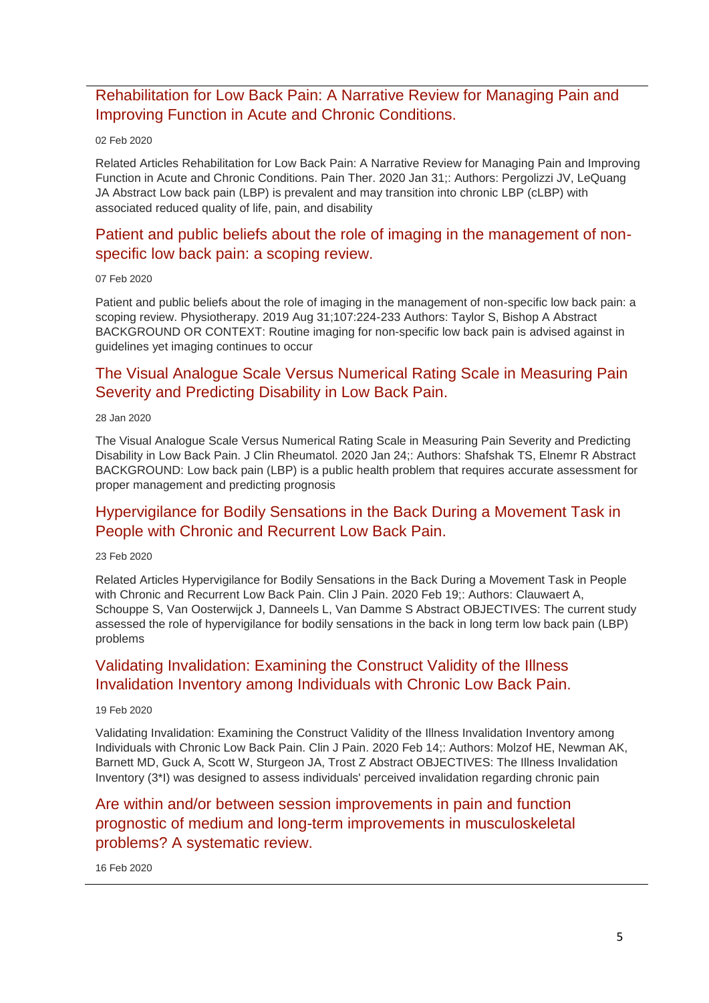### [Rehabilitation for Low Back Pain: A Narrative Review for Managing Pain and](http://transit.linexsystems.com/track/click/30370861/ca.linexsystems.com?p=eyJzIjoiODYxUEpXYTZNM05hYjNOa1F2X3VxRnZzVzRBIiwidiI6MSwicCI6IntcInVcIjozMDM3MDg2MSxcInZcIjoxLFwidXJsXCI6XCJodHRwOlxcXC9cXFwvY2EubGluZXhzeXN0ZW1zLmNvbVxcXC9jb250ZW50c1xcXC90cmFuc2l0XFxcLzM2MTA3ODgxNzU_dXNlcl9pZD00NDM1MTUmbG9nPTc5Y2ZhYjYyNGM2ZjAyMDU3MTQ2YzFjZGFkZmYyZWRmJnA9OTI0NTc0MzUmbT0xJmM9MzUyOTEwODkxNSZvcmdfaWQ9MTc0ODFcIixcImlkXCI6XCJkYjUzMTRmZTUwNjQ0ZWQyYWIyMjhkMzA1ODRhYTFkY1wiLFwidXJsX2lkc1wiOltcIjA1ZTliM2YxZjk4OTA1NGZlM2JjODI0YWQ4ZmExYjhmMWYyMzVkMTNcIl19In0)  [Improving Function in Acute and Chronic Conditions.](http://transit.linexsystems.com/track/click/30370861/ca.linexsystems.com?p=eyJzIjoiODYxUEpXYTZNM05hYjNOa1F2X3VxRnZzVzRBIiwidiI6MSwicCI6IntcInVcIjozMDM3MDg2MSxcInZcIjoxLFwidXJsXCI6XCJodHRwOlxcXC9cXFwvY2EubGluZXhzeXN0ZW1zLmNvbVxcXC9jb250ZW50c1xcXC90cmFuc2l0XFxcLzM2MTA3ODgxNzU_dXNlcl9pZD00NDM1MTUmbG9nPTc5Y2ZhYjYyNGM2ZjAyMDU3MTQ2YzFjZGFkZmYyZWRmJnA9OTI0NTc0MzUmbT0xJmM9MzUyOTEwODkxNSZvcmdfaWQ9MTc0ODFcIixcImlkXCI6XCJkYjUzMTRmZTUwNjQ0ZWQyYWIyMjhkMzA1ODRhYTFkY1wiLFwidXJsX2lkc1wiOltcIjA1ZTliM2YxZjk4OTA1NGZlM2JjODI0YWQ4ZmExYjhmMWYyMzVkMTNcIl19In0)

#### 02 Feb 2020

Related Articles Rehabilitation for Low Back Pain: A Narrative Review for Managing Pain and Improving Function in Acute and Chronic Conditions. Pain Ther. 2020 Jan 31;: Authors: Pergolizzi JV, LeQuang JA Abstract Low back pain (LBP) is prevalent and may transition into chronic LBP (cLBP) with associated reduced quality of life, pain, and disability

### [Patient and public beliefs about the role of imaging in the management of non](http://transit.linexsystems.com/track/click/30370861/ca.linexsystems.com?p=eyJzIjoibllwMU5VWnluYWRST3lDb3B3RE9TN3o2RkUwIiwidiI6MSwicCI6IntcInVcIjozMDM3MDg2MSxcInZcIjoxLFwidXJsXCI6XCJodHRwOlxcXC9cXFwvY2EubGluZXhzeXN0ZW1zLmNvbVxcXC9jb250ZW50c1xcXC90cmFuc2l0XFxcLzM2MTgzMTY1MTU_dXNlcl9pZD00NDM1MTUmbG9nPTc5Y2ZhYjYyNGM2ZjAyMDU3MTQ2YzFjZGFkZmYyZWRmJnA9OTI0NTc0MzUmbT0xJmM9MzUyOTEwOTg3NSZvcmdfaWQ9MTc0ODFcIixcImlkXCI6XCJkYjUzMTRmZTUwNjQ0ZWQyYWIyMjhkMzA1ODRhYTFkY1wiLFwidXJsX2lkc1wiOltcIjA1ZTliM2YxZjk4OTA1NGZlM2JjODI0YWQ4ZmExYjhmMWYyMzVkMTNcIl19In0)[specific low back pain: a scoping review.](http://transit.linexsystems.com/track/click/30370861/ca.linexsystems.com?p=eyJzIjoibllwMU5VWnluYWRST3lDb3B3RE9TN3o2RkUwIiwidiI6MSwicCI6IntcInVcIjozMDM3MDg2MSxcInZcIjoxLFwidXJsXCI6XCJodHRwOlxcXC9cXFwvY2EubGluZXhzeXN0ZW1zLmNvbVxcXC9jb250ZW50c1xcXC90cmFuc2l0XFxcLzM2MTgzMTY1MTU_dXNlcl9pZD00NDM1MTUmbG9nPTc5Y2ZhYjYyNGM2ZjAyMDU3MTQ2YzFjZGFkZmYyZWRmJnA9OTI0NTc0MzUmbT0xJmM9MzUyOTEwOTg3NSZvcmdfaWQ9MTc0ODFcIixcImlkXCI6XCJkYjUzMTRmZTUwNjQ0ZWQyYWIyMjhkMzA1ODRhYTFkY1wiLFwidXJsX2lkc1wiOltcIjA1ZTliM2YxZjk4OTA1NGZlM2JjODI0YWQ4ZmExYjhmMWYyMzVkMTNcIl19In0)

#### 07 Feb 2020

Patient and public beliefs about the role of imaging in the management of non-specific low back pain: a scoping review. Physiotherapy. 2019 Aug 31;107:224-233 Authors: Taylor S, Bishop A Abstract BACKGROUND OR CONTEXT: Routine imaging for non-specific low back pain is advised against in guidelines yet imaging continues to occur

### [The Visual Analogue Scale Versus Numerical Rating Scale in Measuring Pain](http://transit.linexsystems.com/track/click/30370861/ca.linexsystems.com?p=eyJzIjoiS3JWUUVuTkh6b2tNOWgwR2lnUm8wOTdIYU5vIiwidiI6MSwicCI6IntcInVcIjozMDM3MDg2MSxcInZcIjoxLFwidXJsXCI6XCJodHRwOlxcXC9cXFwvY2EubGluZXhzeXN0ZW1zLmNvbVxcXC9jb250ZW50c1xcXC90cmFuc2l0XFxcLzM2MDQ5MTE1NzU_dXNlcl9pZD00NDM1MTUmbG9nPTc5Y2ZhYjYyNGM2ZjAyMDU3MTQ2YzFjZGFkZmYyZWRmJnA9OTI0NTc0MzUmbT0xJmM9MzUyOTEwOTY3NSZvcmdfaWQ9MTc0ODFcIixcImlkXCI6XCJkYjUzMTRmZTUwNjQ0ZWQyYWIyMjhkMzA1ODRhYTFkY1wiLFwidXJsX2lkc1wiOltcIjA1ZTliM2YxZjk4OTA1NGZlM2JjODI0YWQ4ZmExYjhmMWYyMzVkMTNcIl19In0)  [Severity and Predicting Disability in Low Back Pain.](http://transit.linexsystems.com/track/click/30370861/ca.linexsystems.com?p=eyJzIjoiS3JWUUVuTkh6b2tNOWgwR2lnUm8wOTdIYU5vIiwidiI6MSwicCI6IntcInVcIjozMDM3MDg2MSxcInZcIjoxLFwidXJsXCI6XCJodHRwOlxcXC9cXFwvY2EubGluZXhzeXN0ZW1zLmNvbVxcXC9jb250ZW50c1xcXC90cmFuc2l0XFxcLzM2MDQ5MTE1NzU_dXNlcl9pZD00NDM1MTUmbG9nPTc5Y2ZhYjYyNGM2ZjAyMDU3MTQ2YzFjZGFkZmYyZWRmJnA9OTI0NTc0MzUmbT0xJmM9MzUyOTEwOTY3NSZvcmdfaWQ9MTc0ODFcIixcImlkXCI6XCJkYjUzMTRmZTUwNjQ0ZWQyYWIyMjhkMzA1ODRhYTFkY1wiLFwidXJsX2lkc1wiOltcIjA1ZTliM2YxZjk4OTA1NGZlM2JjODI0YWQ4ZmExYjhmMWYyMzVkMTNcIl19In0)

#### 28 Jan 2020

The Visual Analogue Scale Versus Numerical Rating Scale in Measuring Pain Severity and Predicting Disability in Low Back Pain. J Clin Rheumatol. 2020 Jan 24;: Authors: Shafshak TS, Elnemr R Abstract BACKGROUND: Low back pain (LBP) is a public health problem that requires accurate assessment for proper management and predicting prognosis

### [Hypervigilance for Bodily Sensations in the Back During a Movement Task in](http://transit.linexsystems.com/track/click/30370861/ca.linexsystems.com?p=eyJzIjoieHVpN3pNLWdMYlk1SktvNHNEb2xNLVNMZDM4IiwidiI6MSwicCI6IntcInVcIjozMDM3MDg2MSxcInZcIjoxLFwidXJsXCI6XCJodHRwOlxcXC9cXFwvY2EubGluZXhzeXN0ZW1zLmNvbVxcXC9jb250ZW50c1xcXC90cmFuc2l0XFxcLzM2MzU3MjU0NTU_dXNlcl9pZD00NDM1MTUmbG9nPTc5Y2ZhYjYyNGM2ZjAyMDU3MTQ2YzFjZGFkZmYyZWRmJnA9OTI0NTc0MzUmbT0xJmM9MzUyOTEwODkxNSZvcmdfaWQ9MTc0ODFcIixcImlkXCI6XCJkYjUzMTRmZTUwNjQ0ZWQyYWIyMjhkMzA1ODRhYTFkY1wiLFwidXJsX2lkc1wiOltcIjA1ZTliM2YxZjk4OTA1NGZlM2JjODI0YWQ4ZmExYjhmMWYyMzVkMTNcIl19In0)  [People with Chronic and Recurrent Low Back Pain.](http://transit.linexsystems.com/track/click/30370861/ca.linexsystems.com?p=eyJzIjoieHVpN3pNLWdMYlk1SktvNHNEb2xNLVNMZDM4IiwidiI6MSwicCI6IntcInVcIjozMDM3MDg2MSxcInZcIjoxLFwidXJsXCI6XCJodHRwOlxcXC9cXFwvY2EubGluZXhzeXN0ZW1zLmNvbVxcXC9jb250ZW50c1xcXC90cmFuc2l0XFxcLzM2MzU3MjU0NTU_dXNlcl9pZD00NDM1MTUmbG9nPTc5Y2ZhYjYyNGM2ZjAyMDU3MTQ2YzFjZGFkZmYyZWRmJnA9OTI0NTc0MzUmbT0xJmM9MzUyOTEwODkxNSZvcmdfaWQ9MTc0ODFcIixcImlkXCI6XCJkYjUzMTRmZTUwNjQ0ZWQyYWIyMjhkMzA1ODRhYTFkY1wiLFwidXJsX2lkc1wiOltcIjA1ZTliM2YxZjk4OTA1NGZlM2JjODI0YWQ4ZmExYjhmMWYyMzVkMTNcIl19In0)

#### 23 Feb 2020

Related Articles Hypervigilance for Bodily Sensations in the Back During a Movement Task in People with Chronic and Recurrent Low Back Pain. Clin J Pain. 2020 Feb 19;: Authors: Clauwaert A, Schouppe S, Van Oosterwijck J, Danneels L, Van Damme S Abstract OBJECTIVES: The current study assessed the role of hypervigilance for bodily sensations in the back in long term low back pain (LBP) problems

### [Validating Invalidation: Examining the Construct Validity of the Illness](http://transit.linexsystems.com/track/click/30370861/ca.linexsystems.com?p=eyJzIjoia3VlSUFoYVpqbHRvUkZYMzlySmRjdDZTR24wIiwidiI6MSwicCI6IntcInVcIjozMDM3MDg2MSxcInZcIjoxLFwidXJsXCI6XCJodHRwOlxcXC9cXFwvY2EubGluZXhzeXN0ZW1zLmNvbVxcXC9jb250ZW50c1xcXC90cmFuc2l0XFxcLzM2MzE4MTk0MzU_dXNlcl9pZD00NDM1MTUmbG9nPTc5Y2ZhYjYyNGM2ZjAyMDU3MTQ2YzFjZGFkZmYyZWRmJnA9OTI0NTc0MzUmbT0xJmM9MzUyOTEwODkxNSZvcmdfaWQ9MTc0ODFcIixcImlkXCI6XCJkYjUzMTRmZTUwNjQ0ZWQyYWIyMjhkMzA1ODRhYTFkY1wiLFwidXJsX2lkc1wiOltcIjA1ZTliM2YxZjk4OTA1NGZlM2JjODI0YWQ4ZmExYjhmMWYyMzVkMTNcIl19In0)  [Invalidation Inventory among Individuals with Chronic Low Back Pain.](http://transit.linexsystems.com/track/click/30370861/ca.linexsystems.com?p=eyJzIjoia3VlSUFoYVpqbHRvUkZYMzlySmRjdDZTR24wIiwidiI6MSwicCI6IntcInVcIjozMDM3MDg2MSxcInZcIjoxLFwidXJsXCI6XCJodHRwOlxcXC9cXFwvY2EubGluZXhzeXN0ZW1zLmNvbVxcXC9jb250ZW50c1xcXC90cmFuc2l0XFxcLzM2MzE4MTk0MzU_dXNlcl9pZD00NDM1MTUmbG9nPTc5Y2ZhYjYyNGM2ZjAyMDU3MTQ2YzFjZGFkZmYyZWRmJnA9OTI0NTc0MzUmbT0xJmM9MzUyOTEwODkxNSZvcmdfaWQ9MTc0ODFcIixcImlkXCI6XCJkYjUzMTRmZTUwNjQ0ZWQyYWIyMjhkMzA1ODRhYTFkY1wiLFwidXJsX2lkc1wiOltcIjA1ZTliM2YxZjk4OTA1NGZlM2JjODI0YWQ4ZmExYjhmMWYyMzVkMTNcIl19In0)

#### 19 Feb 2020

Validating Invalidation: Examining the Construct Validity of the Illness Invalidation Inventory among Individuals with Chronic Low Back Pain. Clin J Pain. 2020 Feb 14;: Authors: Molzof HE, Newman AK, Barnett MD, Guck A, Scott W, Sturgeon JA, Trost Z Abstract OBJECTIVES: The Illness Invalidation Inventory (3\*I) was designed to assess individuals' perceived invalidation regarding chronic pain

## [Are within and/or between session improvements in pain and function](http://transit.linexsystems.com/track/click/30370861/ca.linexsystems.com?p=eyJzIjoiLUlRYkhmbHdrcm5LX3dSQXVxYkczSWx4Nl9FIiwidiI6MSwicCI6IntcInVcIjozMDM3MDg2MSxcInZcIjoxLFwidXJsXCI6XCJodHRwOlxcXC9cXFwvY2EubGluZXhzeXN0ZW1zLmNvbVxcXC9jb250ZW50c1xcXC90cmFuc2l0XFxcLzM2Mjc5Mzc4MDU_dXNlcl9pZD00NDM1MTUmbG9nPTc5Y2ZhYjYyNGM2ZjAyMDU3MTQ2YzFjZGFkZmYyZWRmJnA9OTI0NTc0MzUmbT0xJmM9MzUyOTEwODkxNSZvcmdfaWQ9MTc0ODFcIixcImlkXCI6XCJkYjUzMTRmZTUwNjQ0ZWQyYWIyMjhkMzA1ODRhYTFkY1wiLFwidXJsX2lkc1wiOltcIjA1ZTliM2YxZjk4OTA1NGZlM2JjODI0YWQ4ZmExYjhmMWYyMzVkMTNcIl19In0)  [prognostic of medium and long-term improvements in musculoskeletal](http://transit.linexsystems.com/track/click/30370861/ca.linexsystems.com?p=eyJzIjoiLUlRYkhmbHdrcm5LX3dSQXVxYkczSWx4Nl9FIiwidiI6MSwicCI6IntcInVcIjozMDM3MDg2MSxcInZcIjoxLFwidXJsXCI6XCJodHRwOlxcXC9cXFwvY2EubGluZXhzeXN0ZW1zLmNvbVxcXC9jb250ZW50c1xcXC90cmFuc2l0XFxcLzM2Mjc5Mzc4MDU_dXNlcl9pZD00NDM1MTUmbG9nPTc5Y2ZhYjYyNGM2ZjAyMDU3MTQ2YzFjZGFkZmYyZWRmJnA9OTI0NTc0MzUmbT0xJmM9MzUyOTEwODkxNSZvcmdfaWQ9MTc0ODFcIixcImlkXCI6XCJkYjUzMTRmZTUwNjQ0ZWQyYWIyMjhkMzA1ODRhYTFkY1wiLFwidXJsX2lkc1wiOltcIjA1ZTliM2YxZjk4OTA1NGZlM2JjODI0YWQ4ZmExYjhmMWYyMzVkMTNcIl19In0)  [problems? A systematic review.](http://transit.linexsystems.com/track/click/30370861/ca.linexsystems.com?p=eyJzIjoiLUlRYkhmbHdrcm5LX3dSQXVxYkczSWx4Nl9FIiwidiI6MSwicCI6IntcInVcIjozMDM3MDg2MSxcInZcIjoxLFwidXJsXCI6XCJodHRwOlxcXC9cXFwvY2EubGluZXhzeXN0ZW1zLmNvbVxcXC9jb250ZW50c1xcXC90cmFuc2l0XFxcLzM2Mjc5Mzc4MDU_dXNlcl9pZD00NDM1MTUmbG9nPTc5Y2ZhYjYyNGM2ZjAyMDU3MTQ2YzFjZGFkZmYyZWRmJnA9OTI0NTc0MzUmbT0xJmM9MzUyOTEwODkxNSZvcmdfaWQ9MTc0ODFcIixcImlkXCI6XCJkYjUzMTRmZTUwNjQ0ZWQyYWIyMjhkMzA1ODRhYTFkY1wiLFwidXJsX2lkc1wiOltcIjA1ZTliM2YxZjk4OTA1NGZlM2JjODI0YWQ4ZmExYjhmMWYyMzVkMTNcIl19In0)

#### 16 Feb 2020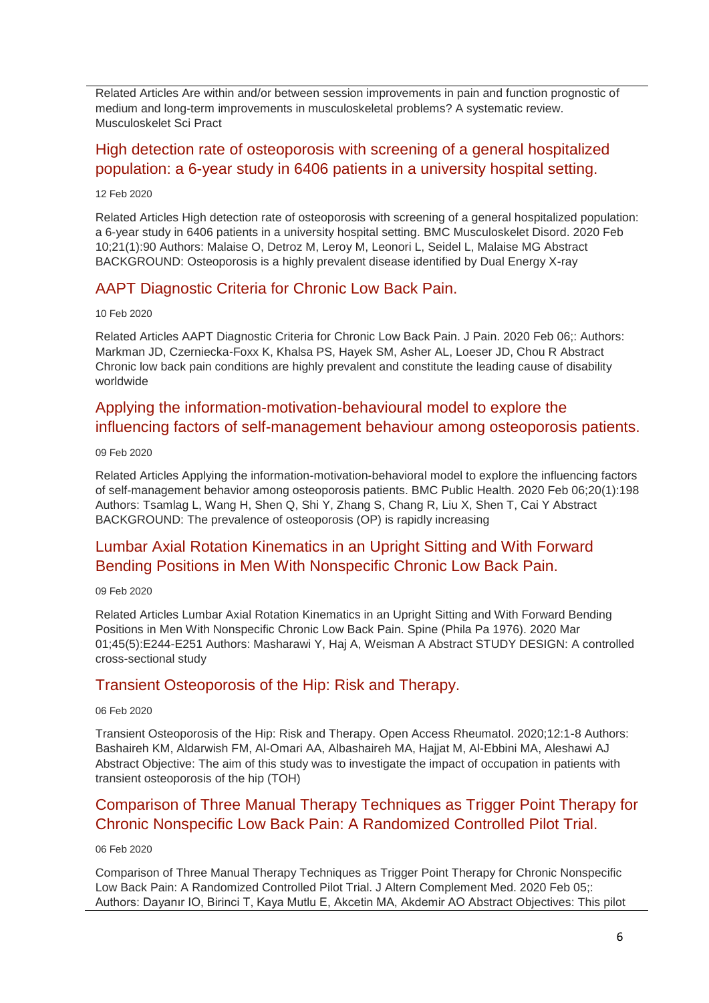Related Articles Are within and/or between session improvements in pain and function prognostic of medium and long-term improvements in musculoskeletal problems? A systematic review. Musculoskelet Sci Pract

# [High detection rate of osteoporosis with screening of a general hospitalized](http://transit.linexsystems.com/track/click/30370861/ca.linexsystems.com?p=eyJzIjoiTWU4RlRqVFJ5NmMtLXZJSEtiQjVpUTFaR2ZrIiwidiI6MSwicCI6IntcInVcIjozMDM3MDg2MSxcInZcIjoxLFwidXJsXCI6XCJodHRwOlxcXC9cXFwvY2EubGluZXhzeXN0ZW1zLmNvbVxcXC9jb250ZW50c1xcXC90cmFuc2l0XFxcLzM2MjM3NDcyMTU_dXNlcl9pZD00NDM1MTUmbG9nPTc5Y2ZhYjYyNGM2ZjAyMDU3MTQ2YzFjZGFkZmYyZWRmJnA9OTI0NTc0MzUmbT0xJmM9MzUyOTEwODkxNSZvcmdfaWQ9MTc0ODFcIixcImlkXCI6XCJkYjUzMTRmZTUwNjQ0ZWQyYWIyMjhkMzA1ODRhYTFkY1wiLFwidXJsX2lkc1wiOltcIjA1ZTliM2YxZjk4OTA1NGZlM2JjODI0YWQ4ZmExYjhmMWYyMzVkMTNcIl19In0)  [population: a 6-year study in 6406 patients in a university hospital setting.](http://transit.linexsystems.com/track/click/30370861/ca.linexsystems.com?p=eyJzIjoiTWU4RlRqVFJ5NmMtLXZJSEtiQjVpUTFaR2ZrIiwidiI6MSwicCI6IntcInVcIjozMDM3MDg2MSxcInZcIjoxLFwidXJsXCI6XCJodHRwOlxcXC9cXFwvY2EubGluZXhzeXN0ZW1zLmNvbVxcXC9jb250ZW50c1xcXC90cmFuc2l0XFxcLzM2MjM3NDcyMTU_dXNlcl9pZD00NDM1MTUmbG9nPTc5Y2ZhYjYyNGM2ZjAyMDU3MTQ2YzFjZGFkZmYyZWRmJnA9OTI0NTc0MzUmbT0xJmM9MzUyOTEwODkxNSZvcmdfaWQ9MTc0ODFcIixcImlkXCI6XCJkYjUzMTRmZTUwNjQ0ZWQyYWIyMjhkMzA1ODRhYTFkY1wiLFwidXJsX2lkc1wiOltcIjA1ZTliM2YxZjk4OTA1NGZlM2JjODI0YWQ4ZmExYjhmMWYyMzVkMTNcIl19In0)

#### 12 Feb 2020

Related Articles High detection rate of osteoporosis with screening of a general hospitalized population: a 6-year study in 6406 patients in a university hospital setting. BMC Musculoskelet Disord. 2020 Feb 10;21(1):90 Authors: Malaise O, Detroz M, Leroy M, Leonori L, Seidel L, Malaise MG Abstract BACKGROUND: Osteoporosis is a highly prevalent disease identified by Dual Energy X-ray

### [AAPT Diagnostic Criteria for Chronic Low Back Pain.](http://transit.linexsystems.com/track/click/30370861/ca.linexsystems.com?p=eyJzIjoiSENCRF9LWXk3Y1hSTDJ3YVA1OVNLQzcxQ3F3IiwidiI6MSwicCI6IntcInVcIjozMDM3MDg2MSxcInZcIjoxLFwidXJsXCI6XCJodHRwOlxcXC9cXFwvY2EubGluZXhzeXN0ZW1zLmNvbVxcXC9jb250ZW50c1xcXC90cmFuc2l0XFxcLzM2MjA5MjU0MzU_dXNlcl9pZD00NDM1MTUmbG9nPTc5Y2ZhYjYyNGM2ZjAyMDU3MTQ2YzFjZGFkZmYyZWRmJnA9OTI0NTc0MzUmbT0xJmM9MzUyOTEwODkxNSZvcmdfaWQ9MTc0ODFcIixcImlkXCI6XCJkYjUzMTRmZTUwNjQ0ZWQyYWIyMjhkMzA1ODRhYTFkY1wiLFwidXJsX2lkc1wiOltcIjA1ZTliM2YxZjk4OTA1NGZlM2JjODI0YWQ4ZmExYjhmMWYyMzVkMTNcIl19In0)

#### 10 Feb 2020

Related Articles AAPT Diagnostic Criteria for Chronic Low Back Pain. J Pain. 2020 Feb 06;: Authors: Markman JD, Czerniecka-Foxx K, Khalsa PS, Hayek SM, Asher AL, Loeser JD, Chou R Abstract Chronic low back pain conditions are highly prevalent and constitute the leading cause of disability worldwide

# [Applying the information-motivation-behavioural](http://transit.linexsystems.com/track/click/30370861/ca.linexsystems.com?p=eyJzIjoiNWFPczRCczMxb0htUGJvaGN5VE5YX19XZVB3IiwidiI6MSwicCI6IntcInVcIjozMDM3MDg2MSxcInZcIjoxLFwidXJsXCI6XCJodHRwOlxcXC9cXFwvY2EubGluZXhzeXN0ZW1zLmNvbVxcXC9jb250ZW50c1xcXC90cmFuc2l0XFxcLzM2MTk2NjY1OTU_dXNlcl9pZD00NDM1MTUmbG9nPTc5Y2ZhYjYyNGM2ZjAyMDU3MTQ2YzFjZGFkZmYyZWRmJnA9OTI0NTc0MzUmbT0xJmM9MzUyOTEwODkxNSZvcmdfaWQ9MTc0ODFcIixcImlkXCI6XCJkYjUzMTRmZTUwNjQ0ZWQyYWIyMjhkMzA1ODRhYTFkY1wiLFwidXJsX2lkc1wiOltcIjA1ZTliM2YxZjk4OTA1NGZlM2JjODI0YWQ4ZmExYjhmMWYyMzVkMTNcIl19In0) model to explore the [influencing factors of self-management behaviour](http://transit.linexsystems.com/track/click/30370861/ca.linexsystems.com?p=eyJzIjoiNWFPczRCczMxb0htUGJvaGN5VE5YX19XZVB3IiwidiI6MSwicCI6IntcInVcIjozMDM3MDg2MSxcInZcIjoxLFwidXJsXCI6XCJodHRwOlxcXC9cXFwvY2EubGluZXhzeXN0ZW1zLmNvbVxcXC9jb250ZW50c1xcXC90cmFuc2l0XFxcLzM2MTk2NjY1OTU_dXNlcl9pZD00NDM1MTUmbG9nPTc5Y2ZhYjYyNGM2ZjAyMDU3MTQ2YzFjZGFkZmYyZWRmJnA9OTI0NTc0MzUmbT0xJmM9MzUyOTEwODkxNSZvcmdfaWQ9MTc0ODFcIixcImlkXCI6XCJkYjUzMTRmZTUwNjQ0ZWQyYWIyMjhkMzA1ODRhYTFkY1wiLFwidXJsX2lkc1wiOltcIjA1ZTliM2YxZjk4OTA1NGZlM2JjODI0YWQ4ZmExYjhmMWYyMzVkMTNcIl19In0) among osteoporosis patients.

#### 09 Feb 2020

Related Articles Applying the information-motivation-behavioral model to explore the influencing factors of self-management behavior among osteoporosis patients. BMC Public Health. 2020 Feb 06;20(1):198 Authors: Tsamlag L, Wang H, Shen Q, Shi Y, Zhang S, Chang R, Liu X, Shen T, Cai Y Abstract BACKGROUND: The prevalence of osteoporosis (OP) is rapidly increasing

# [Lumbar Axial Rotation Kinematics in an Upright Sitting and With Forward](http://transit.linexsystems.com/track/click/30370861/ca.linexsystems.com?p=eyJzIjoiUmdvV0NWYjJiUHYxMHRVdUF1WVpIcDI3TVRZIiwidiI6MSwicCI6IntcInVcIjozMDM3MDg2MSxcInZcIjoxLFwidXJsXCI6XCJodHRwOlxcXC9cXFwvY2EubGluZXhzeXN0ZW1zLmNvbVxcXC9jb250ZW50c1xcXC90cmFuc2l0XFxcLzM2MTk2NjY5MTU_dXNlcl9pZD00NDM1MTUmbG9nPTc5Y2ZhYjYyNGM2ZjAyMDU3MTQ2YzFjZGFkZmYyZWRmJnA9OTI0NTc0MzUmbT0xJmM9MzUyOTEwODkxNSZvcmdfaWQ9MTc0ODFcIixcImlkXCI6XCJkYjUzMTRmZTUwNjQ0ZWQyYWIyMjhkMzA1ODRhYTFkY1wiLFwidXJsX2lkc1wiOltcIjA1ZTliM2YxZjk4OTA1NGZlM2JjODI0YWQ4ZmExYjhmMWYyMzVkMTNcIl19In0)  [Bending Positions in Men With Nonspecific Chronic Low Back Pain.](http://transit.linexsystems.com/track/click/30370861/ca.linexsystems.com?p=eyJzIjoiUmdvV0NWYjJiUHYxMHRVdUF1WVpIcDI3TVRZIiwidiI6MSwicCI6IntcInVcIjozMDM3MDg2MSxcInZcIjoxLFwidXJsXCI6XCJodHRwOlxcXC9cXFwvY2EubGluZXhzeXN0ZW1zLmNvbVxcXC9jb250ZW50c1xcXC90cmFuc2l0XFxcLzM2MTk2NjY5MTU_dXNlcl9pZD00NDM1MTUmbG9nPTc5Y2ZhYjYyNGM2ZjAyMDU3MTQ2YzFjZGFkZmYyZWRmJnA9OTI0NTc0MzUmbT0xJmM9MzUyOTEwODkxNSZvcmdfaWQ9MTc0ODFcIixcImlkXCI6XCJkYjUzMTRmZTUwNjQ0ZWQyYWIyMjhkMzA1ODRhYTFkY1wiLFwidXJsX2lkc1wiOltcIjA1ZTliM2YxZjk4OTA1NGZlM2JjODI0YWQ4ZmExYjhmMWYyMzVkMTNcIl19In0)

#### 09 Feb 2020

Related Articles Lumbar Axial Rotation Kinematics in an Upright Sitting and With Forward Bending Positions in Men With Nonspecific Chronic Low Back Pain. Spine (Phila Pa 1976). 2020 Mar 01;45(5):E244-E251 Authors: Masharawi Y, Haj A, Weisman A Abstract STUDY DESIGN: A controlled cross-sectional study

### [Transient Osteoporosis of the Hip: Risk and Therapy.](http://transit.linexsystems.com/track/click/30370861/ca.linexsystems.com?p=eyJzIjoiNlAyd2VBWmNGakZwRVg5S2pwRl83ZExwVng0IiwidiI6MSwicCI6IntcInVcIjozMDM3MDg2MSxcInZcIjoxLFwidXJsXCI6XCJodHRwOlxcXC9cXFwvY2EubGluZXhzeXN0ZW1zLmNvbVxcXC9jb250ZW50c1xcXC90cmFuc2l0XFxcLzM2MTY1MTY4NzU_dXNlcl9pZD00NDM1MTUmbG9nPTc5Y2ZhYjYyNGM2ZjAyMDU3MTQ2YzFjZGFkZmYyZWRmJnA9OTI0NTc0MzUmbT0xJmM9MzUyOTEwODkxNSZvcmdfaWQ9MTc0ODFcIixcImlkXCI6XCJkYjUzMTRmZTUwNjQ0ZWQyYWIyMjhkMzA1ODRhYTFkY1wiLFwidXJsX2lkc1wiOltcIjA1ZTliM2YxZjk4OTA1NGZlM2JjODI0YWQ4ZmExYjhmMWYyMzVkMTNcIl19In0)

#### 06 Feb 2020

Transient Osteoporosis of the Hip: Risk and Therapy. Open Access Rheumatol. 2020;12:1-8 Authors: Bashaireh KM, Aldarwish FM, Al-Omari AA, Albashaireh MA, Hajjat M, Al-Ebbini MA, Aleshawi AJ Abstract Objective: The aim of this study was to investigate the impact of occupation in patients with transient osteoporosis of the hip (TOH)

# [Comparison of Three Manual Therapy Techniques as Trigger Point Therapy for](http://transit.linexsystems.com/track/click/30370861/ca.linexsystems.com?p=eyJzIjoiLWxPc181ZTB3MWNTejRVN3lXeEI2RXp3Q0JrIiwidiI6MSwicCI6IntcInVcIjozMDM3MDg2MSxcInZcIjoxLFwidXJsXCI6XCJodHRwOlxcXC9cXFwvY2EubGluZXhzeXN0ZW1zLmNvbVxcXC9jb250ZW50c1xcXC90cmFuc2l0XFxcLzM2MTY1MTY0ODU_dXNlcl9pZD00NDM1MTUmbG9nPTc5Y2ZhYjYyNGM2ZjAyMDU3MTQ2YzFjZGFkZmYyZWRmJnA9OTI0NTc0MzUmbT0xJmM9MzUyOTEwODkxNSZvcmdfaWQ9MTc0ODFcIixcImlkXCI6XCJkYjUzMTRmZTUwNjQ0ZWQyYWIyMjhkMzA1ODRhYTFkY1wiLFwidXJsX2lkc1wiOltcIjA1ZTliM2YxZjk4OTA1NGZlM2JjODI0YWQ4ZmExYjhmMWYyMzVkMTNcIl19In0)  [Chronic Nonspecific Low Back Pain: A Randomized Controlled Pilot Trial.](http://transit.linexsystems.com/track/click/30370861/ca.linexsystems.com?p=eyJzIjoiLWxPc181ZTB3MWNTejRVN3lXeEI2RXp3Q0JrIiwidiI6MSwicCI6IntcInVcIjozMDM3MDg2MSxcInZcIjoxLFwidXJsXCI6XCJodHRwOlxcXC9cXFwvY2EubGluZXhzeXN0ZW1zLmNvbVxcXC9jb250ZW50c1xcXC90cmFuc2l0XFxcLzM2MTY1MTY0ODU_dXNlcl9pZD00NDM1MTUmbG9nPTc5Y2ZhYjYyNGM2ZjAyMDU3MTQ2YzFjZGFkZmYyZWRmJnA9OTI0NTc0MzUmbT0xJmM9MzUyOTEwODkxNSZvcmdfaWQ9MTc0ODFcIixcImlkXCI6XCJkYjUzMTRmZTUwNjQ0ZWQyYWIyMjhkMzA1ODRhYTFkY1wiLFwidXJsX2lkc1wiOltcIjA1ZTliM2YxZjk4OTA1NGZlM2JjODI0YWQ4ZmExYjhmMWYyMzVkMTNcIl19In0)

#### 06 Feb 2020

Comparison of Three Manual Therapy Techniques as Trigger Point Therapy for Chronic Nonspecific Low Back Pain: A Randomized Controlled Pilot Trial. J Altern Complement Med. 2020 Feb 05;: Authors: Dayanır IO, Birinci T, Kaya Mutlu E, Akcetin MA, Akdemir AO Abstract Objectives: This pilot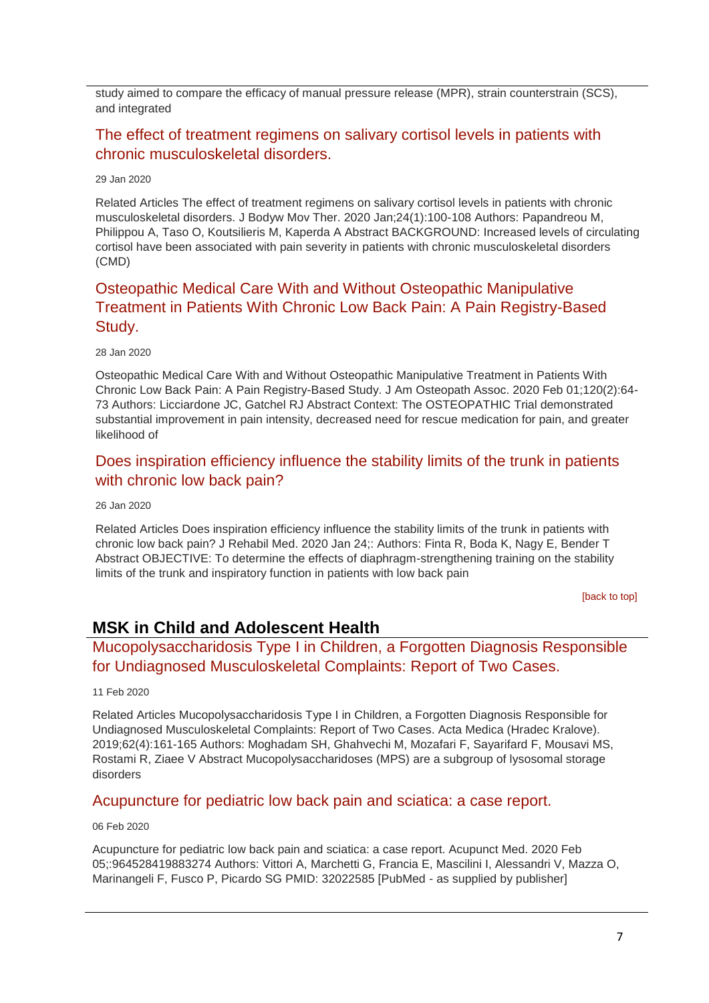study aimed to compare the efficacy of manual pressure release (MPR), strain counterstrain (SCS), and integrated

### [The effect of treatment regimens on salivary cortisol levels in patients with](http://transit.linexsystems.com/track/click/30370861/ca.linexsystems.com?p=eyJzIjoiWERpZjVzVldYcGVxck5rUGVSeXlRNVNOcWIwIiwidiI6MSwicCI6IntcInVcIjozMDM3MDg2MSxcInZcIjoxLFwidXJsXCI6XCJodHRwOlxcXC9cXFwvY2EubGluZXhzeXN0ZW1zLmNvbVxcXC9jb250ZW50c1xcXC90cmFuc2l0XFxcLzM2MDYyMzgzNzU_dXNlcl9pZD00NDM1MTUmbG9nPTc5Y2ZhYjYyNGM2ZjAyMDU3MTQ2YzFjZGFkZmYyZWRmJnA9OTI0NTc0MzUmbT0xJmM9MzUyOTEwODkxNSZvcmdfaWQ9MTc0ODFcIixcImlkXCI6XCJkYjUzMTRmZTUwNjQ0ZWQyYWIyMjhkMzA1ODRhYTFkY1wiLFwidXJsX2lkc1wiOltcIjA1ZTliM2YxZjk4OTA1NGZlM2JjODI0YWQ4ZmExYjhmMWYyMzVkMTNcIl19In0)  [chronic musculoskeletal disorders.](http://transit.linexsystems.com/track/click/30370861/ca.linexsystems.com?p=eyJzIjoiWERpZjVzVldYcGVxck5rUGVSeXlRNVNOcWIwIiwidiI6MSwicCI6IntcInVcIjozMDM3MDg2MSxcInZcIjoxLFwidXJsXCI6XCJodHRwOlxcXC9cXFwvY2EubGluZXhzeXN0ZW1zLmNvbVxcXC9jb250ZW50c1xcXC90cmFuc2l0XFxcLzM2MDYyMzgzNzU_dXNlcl9pZD00NDM1MTUmbG9nPTc5Y2ZhYjYyNGM2ZjAyMDU3MTQ2YzFjZGFkZmYyZWRmJnA9OTI0NTc0MzUmbT0xJmM9MzUyOTEwODkxNSZvcmdfaWQ9MTc0ODFcIixcImlkXCI6XCJkYjUzMTRmZTUwNjQ0ZWQyYWIyMjhkMzA1ODRhYTFkY1wiLFwidXJsX2lkc1wiOltcIjA1ZTliM2YxZjk4OTA1NGZlM2JjODI0YWQ4ZmExYjhmMWYyMzVkMTNcIl19In0)

#### 29 Jan 2020

Related Articles The effect of treatment regimens on salivary cortisol levels in patients with chronic musculoskeletal disorders. J Bodyw Mov Ther. 2020 Jan;24(1):100-108 Authors: Papandreou M, Philippou A, Taso O, Koutsilieris M, Kaperda A Abstract BACKGROUND: Increased levels of circulating cortisol have been associated with pain severity in patients with chronic musculoskeletal disorders (CMD)

# [Osteopathic Medical Care With and Without Osteopathic Manipulative](http://transit.linexsystems.com/track/click/30370861/ca.linexsystems.com?p=eyJzIjoiT1dWVDhtZnJ3VWh0Q0pzVUlvTnRBSG9UMlowIiwidiI6MSwicCI6IntcInVcIjozMDM3MDg2MSxcInZcIjoxLFwidXJsXCI6XCJodHRwOlxcXC9cXFwvY2EubGluZXhzeXN0ZW1zLmNvbVxcXC9jb250ZW50c1xcXC90cmFuc2l0XFxcLzM2MDQ5MTE5NDU_dXNlcl9pZD00NDM1MTUmbG9nPTc5Y2ZhYjYyNGM2ZjAyMDU3MTQ2YzFjZGFkZmYyZWRmJnA9OTI0NTc0MzUmbT0xJmM9MzUyOTEwODkxNSZvcmdfaWQ9MTc0ODFcIixcImlkXCI6XCJkYjUzMTRmZTUwNjQ0ZWQyYWIyMjhkMzA1ODRhYTFkY1wiLFwidXJsX2lkc1wiOltcIjA1ZTliM2YxZjk4OTA1NGZlM2JjODI0YWQ4ZmExYjhmMWYyMzVkMTNcIl19In0)  [Treatment in Patients With Chronic Low Back Pain: A Pain Registry-Based](http://transit.linexsystems.com/track/click/30370861/ca.linexsystems.com?p=eyJzIjoiT1dWVDhtZnJ3VWh0Q0pzVUlvTnRBSG9UMlowIiwidiI6MSwicCI6IntcInVcIjozMDM3MDg2MSxcInZcIjoxLFwidXJsXCI6XCJodHRwOlxcXC9cXFwvY2EubGluZXhzeXN0ZW1zLmNvbVxcXC9jb250ZW50c1xcXC90cmFuc2l0XFxcLzM2MDQ5MTE5NDU_dXNlcl9pZD00NDM1MTUmbG9nPTc5Y2ZhYjYyNGM2ZjAyMDU3MTQ2YzFjZGFkZmYyZWRmJnA9OTI0NTc0MzUmbT0xJmM9MzUyOTEwODkxNSZvcmdfaWQ9MTc0ODFcIixcImlkXCI6XCJkYjUzMTRmZTUwNjQ0ZWQyYWIyMjhkMzA1ODRhYTFkY1wiLFwidXJsX2lkc1wiOltcIjA1ZTliM2YxZjk4OTA1NGZlM2JjODI0YWQ4ZmExYjhmMWYyMzVkMTNcIl19In0)  [Study.](http://transit.linexsystems.com/track/click/30370861/ca.linexsystems.com?p=eyJzIjoiT1dWVDhtZnJ3VWh0Q0pzVUlvTnRBSG9UMlowIiwidiI6MSwicCI6IntcInVcIjozMDM3MDg2MSxcInZcIjoxLFwidXJsXCI6XCJodHRwOlxcXC9cXFwvY2EubGluZXhzeXN0ZW1zLmNvbVxcXC9jb250ZW50c1xcXC90cmFuc2l0XFxcLzM2MDQ5MTE5NDU_dXNlcl9pZD00NDM1MTUmbG9nPTc5Y2ZhYjYyNGM2ZjAyMDU3MTQ2YzFjZGFkZmYyZWRmJnA9OTI0NTc0MzUmbT0xJmM9MzUyOTEwODkxNSZvcmdfaWQ9MTc0ODFcIixcImlkXCI6XCJkYjUzMTRmZTUwNjQ0ZWQyYWIyMjhkMzA1ODRhYTFkY1wiLFwidXJsX2lkc1wiOltcIjA1ZTliM2YxZjk4OTA1NGZlM2JjODI0YWQ4ZmExYjhmMWYyMzVkMTNcIl19In0)

#### 28 Jan 2020

Osteopathic Medical Care With and Without Osteopathic Manipulative Treatment in Patients With Chronic Low Back Pain: A Pain Registry-Based Study. J Am Osteopath Assoc. 2020 Feb 01;120(2):64- 73 Authors: Licciardone JC, Gatchel RJ Abstract Context: The OSTEOPATHIC Trial demonstrated substantial improvement in pain intensity, decreased need for rescue medication for pain, and greater likelihood of

### [Does inspiration efficiency influence the stability limits of the trunk in patients](http://transit.linexsystems.com/track/click/30370861/ca.linexsystems.com?p=eyJzIjoiU3p3MlRTTHRvZXh4eWxORkJMM010N3FtR0ZnIiwidiI6MSwicCI6IntcInVcIjozMDM3MDg2MSxcInZcIjoxLFwidXJsXCI6XCJodHRwOlxcXC9cXFwvY2EubGluZXhzeXN0ZW1zLmNvbVxcXC9jb250ZW50c1xcXC90cmFuc2l0XFxcLzM2MDIzOTYzNDU_dXNlcl9pZD00NDM1MTUmbG9nPTc5Y2ZhYjYyNGM2ZjAyMDU3MTQ2YzFjZGFkZmYyZWRmJnA9OTI0NTc0MzUmbT0xJmM9MzUyOTEwODkxNSZvcmdfaWQ9MTc0ODFcIixcImlkXCI6XCJkYjUzMTRmZTUwNjQ0ZWQyYWIyMjhkMzA1ODRhYTFkY1wiLFwidXJsX2lkc1wiOltcIjA1ZTliM2YxZjk4OTA1NGZlM2JjODI0YWQ4ZmExYjhmMWYyMzVkMTNcIl19In0)  [with chronic low back pain?](http://transit.linexsystems.com/track/click/30370861/ca.linexsystems.com?p=eyJzIjoiU3p3MlRTTHRvZXh4eWxORkJMM010N3FtR0ZnIiwidiI6MSwicCI6IntcInVcIjozMDM3MDg2MSxcInZcIjoxLFwidXJsXCI6XCJodHRwOlxcXC9cXFwvY2EubGluZXhzeXN0ZW1zLmNvbVxcXC9jb250ZW50c1xcXC90cmFuc2l0XFxcLzM2MDIzOTYzNDU_dXNlcl9pZD00NDM1MTUmbG9nPTc5Y2ZhYjYyNGM2ZjAyMDU3MTQ2YzFjZGFkZmYyZWRmJnA9OTI0NTc0MzUmbT0xJmM9MzUyOTEwODkxNSZvcmdfaWQ9MTc0ODFcIixcImlkXCI6XCJkYjUzMTRmZTUwNjQ0ZWQyYWIyMjhkMzA1ODRhYTFkY1wiLFwidXJsX2lkc1wiOltcIjA1ZTliM2YxZjk4OTA1NGZlM2JjODI0YWQ4ZmExYjhmMWYyMzVkMTNcIl19In0)

#### 26 Jan 2020

Related Articles Does inspiration efficiency influence the stability limits of the trunk in patients with chronic low back pain? J Rehabil Med. 2020 Jan 24;: Authors: Finta R, Boda K, Nagy E, Bender T Abstract OBJECTIVE: To determine the effects of diaphragm-strengthening training on the stability limits of the trunk and inspiratory function in patients with low back pain

<span id="page-6-0"></span>[\[back to top\]](#page-0-1)

### **MSK in Child and Adolescent Health**

<span id="page-6-1"></span>[Mucopolysaccharidosis Type I in Children, a Forgotten Diagnosis Responsible](http://transit.linexsystems.com/track/click/30370861/ca.linexsystems.com?p=eyJzIjoiaEdUeEpJVFB1RzBZTWN1LU5wQzQ1SDJmbWhZIiwidiI6MSwicCI6IntcInVcIjozMDM3MDg2MSxcInZcIjoxLFwidXJsXCI6XCJodHRwOlxcXC9cXFwvY2EubGluZXhzeXN0ZW1zLmNvbVxcXC9jb250ZW50c1xcXC90cmFuc2l0XFxcLzM2MjIzOTU5MzU_dXNlcl9pZD00NDM1MTUmbG9nPTc5Y2ZhYjYyNGM2ZjAyMDU3MTQ2YzFjZGFkZmYyZWRmJnA9OTI0NTc0MzUmbT0xJmM9MzUyOTEwOTMyNSZvcmdfaWQ9MTc0ODFcIixcImlkXCI6XCJkYjUzMTRmZTUwNjQ0ZWQyYWIyMjhkMzA1ODRhYTFkY1wiLFwidXJsX2lkc1wiOltcIjA1ZTliM2YxZjk4OTA1NGZlM2JjODI0YWQ4ZmExYjhmMWYyMzVkMTNcIl19In0)  [for Undiagnosed Musculoskeletal Complaints: Report of Two Cases.](http://transit.linexsystems.com/track/click/30370861/ca.linexsystems.com?p=eyJzIjoiaEdUeEpJVFB1RzBZTWN1LU5wQzQ1SDJmbWhZIiwidiI6MSwicCI6IntcInVcIjozMDM3MDg2MSxcInZcIjoxLFwidXJsXCI6XCJodHRwOlxcXC9cXFwvY2EubGluZXhzeXN0ZW1zLmNvbVxcXC9jb250ZW50c1xcXC90cmFuc2l0XFxcLzM2MjIzOTU5MzU_dXNlcl9pZD00NDM1MTUmbG9nPTc5Y2ZhYjYyNGM2ZjAyMDU3MTQ2YzFjZGFkZmYyZWRmJnA9OTI0NTc0MzUmbT0xJmM9MzUyOTEwOTMyNSZvcmdfaWQ9MTc0ODFcIixcImlkXCI6XCJkYjUzMTRmZTUwNjQ0ZWQyYWIyMjhkMzA1ODRhYTFkY1wiLFwidXJsX2lkc1wiOltcIjA1ZTliM2YxZjk4OTA1NGZlM2JjODI0YWQ4ZmExYjhmMWYyMzVkMTNcIl19In0)

#### 11 Feb 2020

Related Articles Mucopolysaccharidosis Type I in Children, a Forgotten Diagnosis Responsible for Undiagnosed Musculoskeletal Complaints: Report of Two Cases. Acta Medica (Hradec Kralove). 2019;62(4):161-165 Authors: Moghadam SH, Ghahvechi M, Mozafari F, Sayarifard F, Mousavi MS, Rostami R, Ziaee V Abstract Mucopolysaccharidoses (MPS) are a subgroup of lysosomal storage disorders

### [Acupuncture for pediatric low back pain and sciatica: a case report.](http://transit.linexsystems.com/track/click/30370861/ca.linexsystems.com?p=eyJzIjoiZktjRVdhQXVHZy1iZml2RDM1SHRHa3o3Yll3IiwidiI6MSwicCI6IntcInVcIjozMDM3MDg2MSxcInZcIjoxLFwidXJsXCI6XCJodHRwOlxcXC9cXFwvY2EubGluZXhzeXN0ZW1zLmNvbVxcXC9jb250ZW50c1xcXC90cmFuc2l0XFxcLzM2MTY1MTY0MzU_dXNlcl9pZD00NDM1MTUmbG9nPTc5Y2ZhYjYyNGM2ZjAyMDU3MTQ2YzFjZGFkZmYyZWRmJnA9OTI0NTc0MzUmbT0xJmM9MzUyOTEwOTMyNSZvcmdfaWQ9MTc0ODFcIixcImlkXCI6XCJkYjUzMTRmZTUwNjQ0ZWQyYWIyMjhkMzA1ODRhYTFkY1wiLFwidXJsX2lkc1wiOltcIjA1ZTliM2YxZjk4OTA1NGZlM2JjODI0YWQ4ZmExYjhmMWYyMzVkMTNcIl19In0)

#### 06 Feb 2020

Acupuncture for pediatric low back pain and sciatica: a case report. Acupunct Med. 2020 Feb 05;:964528419883274 Authors: Vittori A, Marchetti G, Francia E, Mascilini I, Alessandri V, Mazza O, Marinangeli F, Fusco P, Picardo SG PMID: 32022585 [PubMed - as supplied by publisher]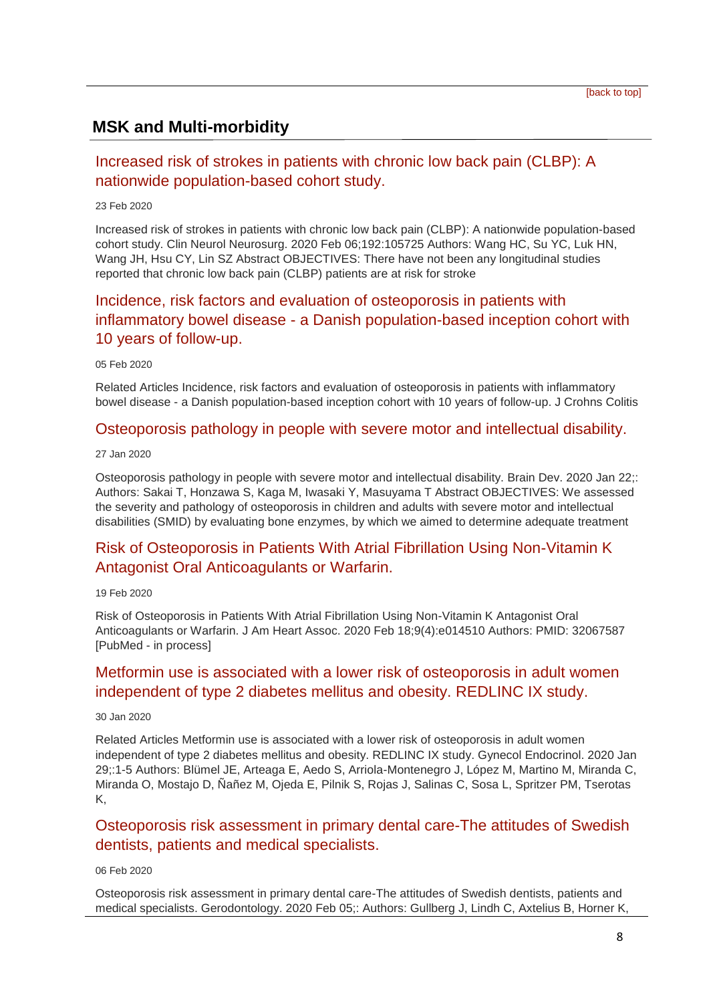# <span id="page-7-0"></span>**MSK and Multi-morbidity**

### [Increased risk of strokes in patients with chronic low back pain \(CLBP\): A](http://transit.linexsystems.com/track/click/30370861/ca.linexsystems.com?p=eyJzIjoiNEhTRDZJbjdON0lkMmNVel9yQ1hnbU11ZGJzIiwidiI6MSwicCI6IntcInVcIjozMDM3MDg2MSxcInZcIjoxLFwidXJsXCI6XCJodHRwOlxcXC9cXFwvY2EubGluZXhzeXN0ZW1zLmNvbVxcXC9jb250ZW50c1xcXC90cmFuc2l0XFxcLzM2MzU5OTUxMDU_dXNlcl9pZD00NDM1MTUmbG9nPTc5Y2ZhYjYyNGM2ZjAyMDU3MTQ2YzFjZGFkZmYyZWRmJnA9OTI0NTc0MzUmbT0xJmM9MzUyOTEwODkxNSZvcmdfaWQ9MTc0ODFcIixcImlkXCI6XCJkYjUzMTRmZTUwNjQ0ZWQyYWIyMjhkMzA1ODRhYTFkY1wiLFwidXJsX2lkc1wiOltcIjA1ZTliM2YxZjk4OTA1NGZlM2JjODI0YWQ4ZmExYjhmMWYyMzVkMTNcIl19In0)  [nationwide population-based cohort study.](http://transit.linexsystems.com/track/click/30370861/ca.linexsystems.com?p=eyJzIjoiNEhTRDZJbjdON0lkMmNVel9yQ1hnbU11ZGJzIiwidiI6MSwicCI6IntcInVcIjozMDM3MDg2MSxcInZcIjoxLFwidXJsXCI6XCJodHRwOlxcXC9cXFwvY2EubGluZXhzeXN0ZW1zLmNvbVxcXC9jb250ZW50c1xcXC90cmFuc2l0XFxcLzM2MzU5OTUxMDU_dXNlcl9pZD00NDM1MTUmbG9nPTc5Y2ZhYjYyNGM2ZjAyMDU3MTQ2YzFjZGFkZmYyZWRmJnA9OTI0NTc0MzUmbT0xJmM9MzUyOTEwODkxNSZvcmdfaWQ9MTc0ODFcIixcImlkXCI6XCJkYjUzMTRmZTUwNjQ0ZWQyYWIyMjhkMzA1ODRhYTFkY1wiLFwidXJsX2lkc1wiOltcIjA1ZTliM2YxZjk4OTA1NGZlM2JjODI0YWQ4ZmExYjhmMWYyMzVkMTNcIl19In0)

#### 23 Feb 2020

Increased risk of strokes in patients with chronic low back pain (CLBP): A nationwide population-based cohort study. Clin Neurol Neurosurg. 2020 Feb 06;192:105725 Authors: Wang HC, Su YC, Luk HN, Wang JH, Hsu CY, Lin SZ Abstract OBJECTIVES: There have not been any longitudinal studies reported that chronic low back pain (CLBP) patients are at risk for stroke

# [Incidence, risk factors and evaluation of osteoporosis in patients with](http://transit.linexsystems.com/track/click/30370861/ca.linexsystems.com?p=eyJzIjoieFlSX0ZqdEdocENIaE9yejVWOHVGQXkwc240IiwidiI6MSwicCI6IntcInVcIjozMDM3MDg2MSxcInZcIjoxLFwidXJsXCI6XCJodHRwOlxcXC9cXFwvY2EubGluZXhzeXN0ZW1zLmNvbVxcXC9jb250ZW50c1xcXC90cmFuc2l0XFxcLzM2MTU4Mjc3MjU_dXNlcl9pZD00NDM1MTUmbG9nPTc5Y2ZhYjYyNGM2ZjAyMDU3MTQ2YzFjZGFkZmYyZWRmJnA9OTI0NTc0MzUmbT0xJmM9MzUyOTEwODkxNSZvcmdfaWQ9MTc0ODFcIixcImlkXCI6XCJkYjUzMTRmZTUwNjQ0ZWQyYWIyMjhkMzA1ODRhYTFkY1wiLFwidXJsX2lkc1wiOltcIjA1ZTliM2YxZjk4OTA1NGZlM2JjODI0YWQ4ZmExYjhmMWYyMzVkMTNcIl19In0)  inflammatory bowel disease - [a Danish population-based inception cohort with](http://transit.linexsystems.com/track/click/30370861/ca.linexsystems.com?p=eyJzIjoieFlSX0ZqdEdocENIaE9yejVWOHVGQXkwc240IiwidiI6MSwicCI6IntcInVcIjozMDM3MDg2MSxcInZcIjoxLFwidXJsXCI6XCJodHRwOlxcXC9cXFwvY2EubGluZXhzeXN0ZW1zLmNvbVxcXC9jb250ZW50c1xcXC90cmFuc2l0XFxcLzM2MTU4Mjc3MjU_dXNlcl9pZD00NDM1MTUmbG9nPTc5Y2ZhYjYyNGM2ZjAyMDU3MTQ2YzFjZGFkZmYyZWRmJnA9OTI0NTc0MzUmbT0xJmM9MzUyOTEwODkxNSZvcmdfaWQ9MTc0ODFcIixcImlkXCI6XCJkYjUzMTRmZTUwNjQ0ZWQyYWIyMjhkMzA1ODRhYTFkY1wiLFwidXJsX2lkc1wiOltcIjA1ZTliM2YxZjk4OTA1NGZlM2JjODI0YWQ4ZmExYjhmMWYyMzVkMTNcIl19In0)  [10 years of follow-up.](http://transit.linexsystems.com/track/click/30370861/ca.linexsystems.com?p=eyJzIjoieFlSX0ZqdEdocENIaE9yejVWOHVGQXkwc240IiwidiI6MSwicCI6IntcInVcIjozMDM3MDg2MSxcInZcIjoxLFwidXJsXCI6XCJodHRwOlxcXC9cXFwvY2EubGluZXhzeXN0ZW1zLmNvbVxcXC9jb250ZW50c1xcXC90cmFuc2l0XFxcLzM2MTU4Mjc3MjU_dXNlcl9pZD00NDM1MTUmbG9nPTc5Y2ZhYjYyNGM2ZjAyMDU3MTQ2YzFjZGFkZmYyZWRmJnA9OTI0NTc0MzUmbT0xJmM9MzUyOTEwODkxNSZvcmdfaWQ9MTc0ODFcIixcImlkXCI6XCJkYjUzMTRmZTUwNjQ0ZWQyYWIyMjhkMzA1ODRhYTFkY1wiLFwidXJsX2lkc1wiOltcIjA1ZTliM2YxZjk4OTA1NGZlM2JjODI0YWQ4ZmExYjhmMWYyMzVkMTNcIl19In0)

#### 05 Feb 2020

Related Articles Incidence, risk factors and evaluation of osteoporosis in patients with inflammatory bowel disease - a Danish population-based inception cohort with 10 years of follow-up. J Crohns Colitis

### [Osteoporosis pathology in people with severe motor and intellectual disability.](http://transit.linexsystems.com/track/click/30370861/ca.linexsystems.com?p=eyJzIjoiUE9MWGt6Mkh2bHNDMVB3ZUVlcEk1b2szLTAwIiwidiI6MSwicCI6IntcInVcIjozMDM3MDg2MSxcInZcIjoxLFwidXJsXCI6XCJodHRwOlxcXC9cXFwvY2EubGluZXhzeXN0ZW1zLmNvbVxcXC9jb250ZW50c1xcXC90cmFuc2l0XFxcLzM2MDM1NTQ4OTU_dXNlcl9pZD00NDM1MTUmbG9nPTc5Y2ZhYjYyNGM2ZjAyMDU3MTQ2YzFjZGFkZmYyZWRmJnA9OTI0NTc0MzUmbT0xJmM9MzUyOTEwOTY3NSZvcmdfaWQ9MTc0ODFcIixcImlkXCI6XCJkYjUzMTRmZTUwNjQ0ZWQyYWIyMjhkMzA1ODRhYTFkY1wiLFwidXJsX2lkc1wiOltcIjA1ZTliM2YxZjk4OTA1NGZlM2JjODI0YWQ4ZmExYjhmMWYyMzVkMTNcIl19In0)

#### 27 Jan 2020

Osteoporosis pathology in people with severe motor and intellectual disability. Brain Dev. 2020 Jan 22;: Authors: Sakai T, Honzawa S, Kaga M, Iwasaki Y, Masuyama T Abstract OBJECTIVES: We assessed the severity and pathology of osteoporosis in children and adults with severe motor and intellectual disabilities (SMID) by evaluating bone enzymes, by which we aimed to determine adequate treatment

### [Risk of Osteoporosis in Patients With Atrial Fibrillation Using Non-Vitamin K](http://transit.linexsystems.com/track/click/30370861/ca.linexsystems.com?p=eyJzIjoialZnMkJpRGYzTFJnZnlnYm9sMUY0a3JILVFFIiwidiI6MSwicCI6IntcInVcIjozMDM3MDg2MSxcInZcIjoxLFwidXJsXCI6XCJodHRwOlxcXC9cXFwvY2EubGluZXhzeXN0ZW1zLmNvbVxcXC9jb250ZW50c1xcXC90cmFuc2l0XFxcLzM2MzE4MTkzNjU_dXNlcl9pZD00NDM1MTUmbG9nPTc5Y2ZhYjYyNGM2ZjAyMDU3MTQ2YzFjZGFkZmYyZWRmJnA9OTI0NTc0MzUmbT0xJmM9MzUyOTEwODkxNSZvcmdfaWQ9MTc0ODFcIixcImlkXCI6XCJkYjUzMTRmZTUwNjQ0ZWQyYWIyMjhkMzA1ODRhYTFkY1wiLFwidXJsX2lkc1wiOltcIjA1ZTliM2YxZjk4OTA1NGZlM2JjODI0YWQ4ZmExYjhmMWYyMzVkMTNcIl19In0)  [Antagonist Oral Anticoagulants or Warfarin.](http://transit.linexsystems.com/track/click/30370861/ca.linexsystems.com?p=eyJzIjoialZnMkJpRGYzTFJnZnlnYm9sMUY0a3JILVFFIiwidiI6MSwicCI6IntcInVcIjozMDM3MDg2MSxcInZcIjoxLFwidXJsXCI6XCJodHRwOlxcXC9cXFwvY2EubGluZXhzeXN0ZW1zLmNvbVxcXC9jb250ZW50c1xcXC90cmFuc2l0XFxcLzM2MzE4MTkzNjU_dXNlcl9pZD00NDM1MTUmbG9nPTc5Y2ZhYjYyNGM2ZjAyMDU3MTQ2YzFjZGFkZmYyZWRmJnA9OTI0NTc0MzUmbT0xJmM9MzUyOTEwODkxNSZvcmdfaWQ9MTc0ODFcIixcImlkXCI6XCJkYjUzMTRmZTUwNjQ0ZWQyYWIyMjhkMzA1ODRhYTFkY1wiLFwidXJsX2lkc1wiOltcIjA1ZTliM2YxZjk4OTA1NGZlM2JjODI0YWQ4ZmExYjhmMWYyMzVkMTNcIl19In0)

#### 19 Feb 2020

Risk of Osteoporosis in Patients With Atrial Fibrillation Using Non-Vitamin K Antagonist Oral Anticoagulants or Warfarin. J Am Heart Assoc. 2020 Feb 18;9(4):e014510 Authors: PMID: 32067587 [PubMed - in process]

### [Metformin use is associated with a lower risk of osteoporosis in](http://transit.linexsystems.com/track/click/30370861/ca.linexsystems.com?p=eyJzIjoiVlRTRmVLVlV0Z2RYN0dRdkF1RmlGOFdVR0lvIiwidiI6MSwicCI6IntcInVcIjozMDM3MDg2MSxcInZcIjoxLFwidXJsXCI6XCJodHRwOlxcXC9cXFwvY2EubGluZXhzeXN0ZW1zLmNvbVxcXC9jb250ZW50c1xcXC90cmFuc2l0XFxcLzM2MDc2NzMxMDU_dXNlcl9pZD00NDM1MTUmbG9nPTc5Y2ZhYjYyNGM2ZjAyMDU3MTQ2YzFjZGFkZmYyZWRmJnA9OTI0NTc0MzUmbT0xJmM9MzUyOTEwODkxNSZvcmdfaWQ9MTc0ODFcIixcImlkXCI6XCJkYjUzMTRmZTUwNjQ0ZWQyYWIyMjhkMzA1ODRhYTFkY1wiLFwidXJsX2lkc1wiOltcIjA1ZTliM2YxZjk4OTA1NGZlM2JjODI0YWQ4ZmExYjhmMWYyMzVkMTNcIl19In0) adult women [independent of type 2 diabetes mellitus and obesity. REDLINC IX study.](http://transit.linexsystems.com/track/click/30370861/ca.linexsystems.com?p=eyJzIjoiVlRTRmVLVlV0Z2RYN0dRdkF1RmlGOFdVR0lvIiwidiI6MSwicCI6IntcInVcIjozMDM3MDg2MSxcInZcIjoxLFwidXJsXCI6XCJodHRwOlxcXC9cXFwvY2EubGluZXhzeXN0ZW1zLmNvbVxcXC9jb250ZW50c1xcXC90cmFuc2l0XFxcLzM2MDc2NzMxMDU_dXNlcl9pZD00NDM1MTUmbG9nPTc5Y2ZhYjYyNGM2ZjAyMDU3MTQ2YzFjZGFkZmYyZWRmJnA9OTI0NTc0MzUmbT0xJmM9MzUyOTEwODkxNSZvcmdfaWQ9MTc0ODFcIixcImlkXCI6XCJkYjUzMTRmZTUwNjQ0ZWQyYWIyMjhkMzA1ODRhYTFkY1wiLFwidXJsX2lkc1wiOltcIjA1ZTliM2YxZjk4OTA1NGZlM2JjODI0YWQ4ZmExYjhmMWYyMzVkMTNcIl19In0)

#### 30 Jan 2020

Related Articles Metformin use is associated with a lower risk of osteoporosis in adult women independent of type 2 diabetes mellitus and obesity. REDLINC IX study. Gynecol Endocrinol. 2020 Jan 29;:1-5 Authors: Blümel JE, Arteaga E, Aedo S, Arriola-Montenegro J, López M, Martino M, Miranda C, Miranda O, Mostajo D, Ñañez M, Ojeda E, Pilnik S, Rojas J, Salinas C, Sosa L, Spritzer PM, Tserotas K,

### [Osteoporosis risk assessment in primary dental care-The attitudes of Swedish](http://transit.linexsystems.com/track/click/30370861/ca.linexsystems.com?p=eyJzIjoiYnA0cFhMdEVwbk9HbThiU0t2X0VRNWJXZGtzIiwidiI6MSwicCI6IntcInVcIjozMDM3MDg2MSxcInZcIjoxLFwidXJsXCI6XCJodHRwOlxcXC9cXFwvY2EubGluZXhzeXN0ZW1zLmNvbVxcXC9jb250ZW50c1xcXC90cmFuc2l0XFxcLzM2MTY1MTY5MTU_dXNlcl9pZD00NDM1MTUmbG9nPTc5Y2ZhYjYyNGM2ZjAyMDU3MTQ2YzFjZGFkZmYyZWRmJnA9OTI0NTc0MzUmbT0xJmM9MzUyOTEwODkxNSZvcmdfaWQ9MTc0ODFcIixcImlkXCI6XCJkYjUzMTRmZTUwNjQ0ZWQyYWIyMjhkMzA1ODRhYTFkY1wiLFwidXJsX2lkc1wiOltcIjA1ZTliM2YxZjk4OTA1NGZlM2JjODI0YWQ4ZmExYjhmMWYyMzVkMTNcIl19In0)  [dentists, patients and medical specialists.](http://transit.linexsystems.com/track/click/30370861/ca.linexsystems.com?p=eyJzIjoiYnA0cFhMdEVwbk9HbThiU0t2X0VRNWJXZGtzIiwidiI6MSwicCI6IntcInVcIjozMDM3MDg2MSxcInZcIjoxLFwidXJsXCI6XCJodHRwOlxcXC9cXFwvY2EubGluZXhzeXN0ZW1zLmNvbVxcXC9jb250ZW50c1xcXC90cmFuc2l0XFxcLzM2MTY1MTY5MTU_dXNlcl9pZD00NDM1MTUmbG9nPTc5Y2ZhYjYyNGM2ZjAyMDU3MTQ2YzFjZGFkZmYyZWRmJnA9OTI0NTc0MzUmbT0xJmM9MzUyOTEwODkxNSZvcmdfaWQ9MTc0ODFcIixcImlkXCI6XCJkYjUzMTRmZTUwNjQ0ZWQyYWIyMjhkMzA1ODRhYTFkY1wiLFwidXJsX2lkc1wiOltcIjA1ZTliM2YxZjk4OTA1NGZlM2JjODI0YWQ4ZmExYjhmMWYyMzVkMTNcIl19In0)

#### 06 Feb 2020

Osteoporosis risk assessment in primary dental care-The attitudes of Swedish dentists, patients and medical specialists. Gerodontology. 2020 Feb 05;: Authors: Gullberg J, Lindh C, Axtelius B, Horner K,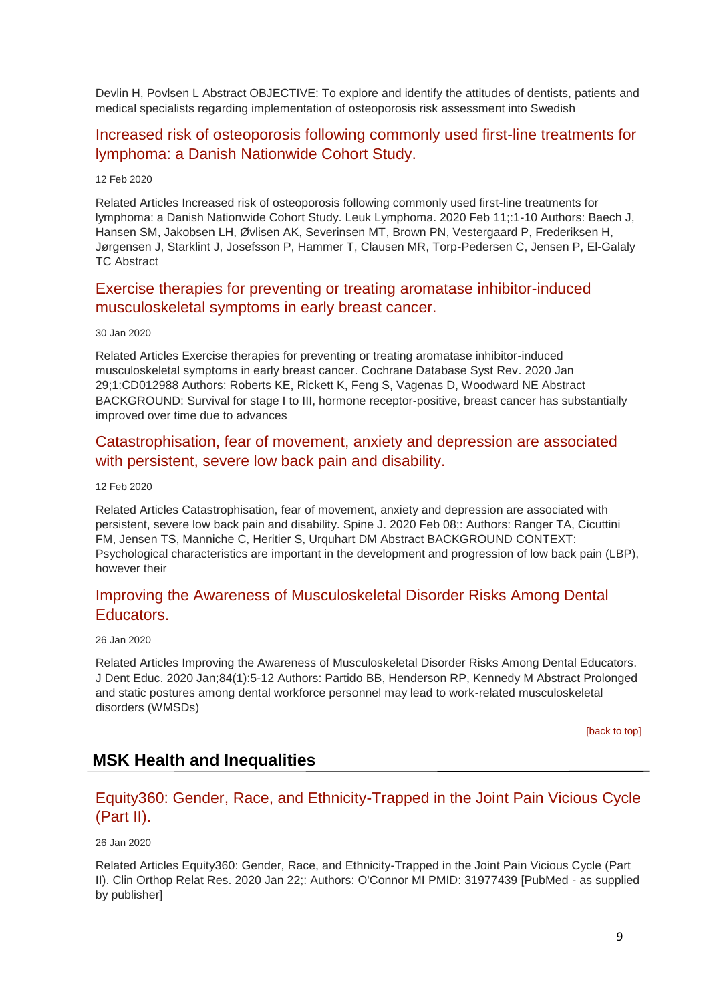Devlin H, Povlsen L Abstract OBJECTIVE: To explore and identify the attitudes of dentists, patients and medical specialists regarding implementation of osteoporosis risk assessment into Swedish

### [Increased risk of osteoporosis following commonly used first-line treatments for](http://transit.linexsystems.com/track/click/30370861/ca.linexsystems.com?p=eyJzIjoiSWM4Vm56RFRjcElVYjVBSzJ0QmwyZzUxVnV3IiwidiI6MSwicCI6IntcInVcIjozMDM3MDg2MSxcInZcIjoxLFwidXJsXCI6XCJodHRwOlxcXC9cXFwvY2EubGluZXhzeXN0ZW1zLmNvbVxcXC9jb250ZW50c1xcXC90cmFuc2l0XFxcLzM2MjM3NDIzMjU_dXNlcl9pZD00NDM1MTUmbG9nPTc5Y2ZhYjYyNGM2ZjAyMDU3MTQ2YzFjZGFkZmYyZWRmJnA9OTI0NTc0MzUmbT0xJmM9MzUyOTEwODkxNSZvcmdfaWQ9MTc0ODFcIixcImlkXCI6XCJkYjUzMTRmZTUwNjQ0ZWQyYWIyMjhkMzA1ODRhYTFkY1wiLFwidXJsX2lkc1wiOltcIjA1ZTliM2YxZjk4OTA1NGZlM2JjODI0YWQ4ZmExYjhmMWYyMzVkMTNcIl19In0)  [lymphoma: a Danish Nationwide Cohort Study.](http://transit.linexsystems.com/track/click/30370861/ca.linexsystems.com?p=eyJzIjoiSWM4Vm56RFRjcElVYjVBSzJ0QmwyZzUxVnV3IiwidiI6MSwicCI6IntcInVcIjozMDM3MDg2MSxcInZcIjoxLFwidXJsXCI6XCJodHRwOlxcXC9cXFwvY2EubGluZXhzeXN0ZW1zLmNvbVxcXC9jb250ZW50c1xcXC90cmFuc2l0XFxcLzM2MjM3NDIzMjU_dXNlcl9pZD00NDM1MTUmbG9nPTc5Y2ZhYjYyNGM2ZjAyMDU3MTQ2YzFjZGFkZmYyZWRmJnA9OTI0NTc0MzUmbT0xJmM9MzUyOTEwODkxNSZvcmdfaWQ9MTc0ODFcIixcImlkXCI6XCJkYjUzMTRmZTUwNjQ0ZWQyYWIyMjhkMzA1ODRhYTFkY1wiLFwidXJsX2lkc1wiOltcIjA1ZTliM2YxZjk4OTA1NGZlM2JjODI0YWQ4ZmExYjhmMWYyMzVkMTNcIl19In0)

#### 12 Feb 2020

Related Articles Increased risk of osteoporosis following commonly used first-line treatments for lymphoma: a Danish Nationwide Cohort Study. Leuk Lymphoma. 2020 Feb 11;:1-10 Authors: Baech J, Hansen SM, Jakobsen LH, Øvlisen AK, Severinsen MT, Brown PN, Vestergaard P, Frederiksen H, Jørgensen J, Starklint J, Josefsson P, Hammer T, Clausen MR, Torp-Pedersen C, Jensen P, El-Galaly TC Abstract

### [Exercise therapies for preventing or treating](http://transit.linexsystems.com/track/click/30370861/ca.linexsystems.com?p=eyJzIjoiMXc5eFdpcnBYMExVd2ktTFVYZzk1OFJaUTFnIiwidiI6MSwicCI6IntcInVcIjozMDM3MDg2MSxcInZcIjoxLFwidXJsXCI6XCJodHRwOlxcXC9cXFwvY2EubGluZXhzeXN0ZW1zLmNvbVxcXC9jb250ZW50c1xcXC90cmFuc2l0XFxcLzM2MDc2NzMwNDU_dXNlcl9pZD00NDM1MTUmbG9nPTc5Y2ZhYjYyNGM2ZjAyMDU3MTQ2YzFjZGFkZmYyZWRmJnA9OTI0NTc0MzUmbT0xJmM9MzUyOTEwODUyNSZvcmdfaWQ9MTc0ODFcIixcImlkXCI6XCJkYjUzMTRmZTUwNjQ0ZWQyYWIyMjhkMzA1ODRhYTFkY1wiLFwidXJsX2lkc1wiOltcIjA1ZTliM2YxZjk4OTA1NGZlM2JjODI0YWQ4ZmExYjhmMWYyMzVkMTNcIl19In0) aromatase inhibitor-induced [musculoskeletal symptoms in early breast cancer.](http://transit.linexsystems.com/track/click/30370861/ca.linexsystems.com?p=eyJzIjoiMXc5eFdpcnBYMExVd2ktTFVYZzk1OFJaUTFnIiwidiI6MSwicCI6IntcInVcIjozMDM3MDg2MSxcInZcIjoxLFwidXJsXCI6XCJodHRwOlxcXC9cXFwvY2EubGluZXhzeXN0ZW1zLmNvbVxcXC9jb250ZW50c1xcXC90cmFuc2l0XFxcLzM2MDc2NzMwNDU_dXNlcl9pZD00NDM1MTUmbG9nPTc5Y2ZhYjYyNGM2ZjAyMDU3MTQ2YzFjZGFkZmYyZWRmJnA9OTI0NTc0MzUmbT0xJmM9MzUyOTEwODUyNSZvcmdfaWQ9MTc0ODFcIixcImlkXCI6XCJkYjUzMTRmZTUwNjQ0ZWQyYWIyMjhkMzA1ODRhYTFkY1wiLFwidXJsX2lkc1wiOltcIjA1ZTliM2YxZjk4OTA1NGZlM2JjODI0YWQ4ZmExYjhmMWYyMzVkMTNcIl19In0)

#### 30 Jan 2020

Related Articles Exercise therapies for preventing or treating aromatase inhibitor-induced musculoskeletal symptoms in early breast cancer. Cochrane Database Syst Rev. 2020 Jan 29;1:CD012988 Authors: Roberts KE, Rickett K, Feng S, Vagenas D, Woodward NE Abstract BACKGROUND: Survival for stage I to III, hormone receptor-positive, breast cancer has substantially improved over time due to advances

### [Catastrophisation, fear of movement, anxiety and depression are associated](http://transit.linexsystems.com/track/click/30370861/ca.linexsystems.com?p=eyJzIjoiR3QwQXY0RWtVQjAxdVZtbm1LTVF0X3h6aFA0IiwidiI6MSwicCI6IntcInVcIjozMDM3MDg2MSxcInZcIjoxLFwidXJsXCI6XCJodHRwOlxcXC9cXFwvY2EubGluZXhzeXN0ZW1zLmNvbVxcXC9jb250ZW50c1xcXC90cmFuc2l0XFxcLzM2MjM3NDc1OTU_dXNlcl9pZD00NDM1MTUmbG9nPTc5Y2ZhYjYyNGM2ZjAyMDU3MTQ2YzFjZGFkZmYyZWRmJnA9OTI0NTc0MzUmbT0xJmM9MzUyOTEwOTY3NSZvcmdfaWQ9MTc0ODFcIixcImlkXCI6XCJkYjUzMTRmZTUwNjQ0ZWQyYWIyMjhkMzA1ODRhYTFkY1wiLFwidXJsX2lkc1wiOltcIjA1ZTliM2YxZjk4OTA1NGZlM2JjODI0YWQ4ZmExYjhmMWYyMzVkMTNcIl19In0)  [with persistent, severe low back pain and disability.](http://transit.linexsystems.com/track/click/30370861/ca.linexsystems.com?p=eyJzIjoiR3QwQXY0RWtVQjAxdVZtbm1LTVF0X3h6aFA0IiwidiI6MSwicCI6IntcInVcIjozMDM3MDg2MSxcInZcIjoxLFwidXJsXCI6XCJodHRwOlxcXC9cXFwvY2EubGluZXhzeXN0ZW1zLmNvbVxcXC9jb250ZW50c1xcXC90cmFuc2l0XFxcLzM2MjM3NDc1OTU_dXNlcl9pZD00NDM1MTUmbG9nPTc5Y2ZhYjYyNGM2ZjAyMDU3MTQ2YzFjZGFkZmYyZWRmJnA9OTI0NTc0MzUmbT0xJmM9MzUyOTEwOTY3NSZvcmdfaWQ9MTc0ODFcIixcImlkXCI6XCJkYjUzMTRmZTUwNjQ0ZWQyYWIyMjhkMzA1ODRhYTFkY1wiLFwidXJsX2lkc1wiOltcIjA1ZTliM2YxZjk4OTA1NGZlM2JjODI0YWQ4ZmExYjhmMWYyMzVkMTNcIl19In0)

#### 12 Feb 2020

Related Articles Catastrophisation, fear of movement, anxiety and depression are associated with persistent, severe low back pain and disability. Spine J. 2020 Feb 08;: Authors: Ranger TA, Cicuttini FM, Jensen TS, Manniche C, Heritier S, Urquhart DM Abstract BACKGROUND CONTEXT: Psychological characteristics are important in the development and progression of low back pain (LBP), however their

### [Improving the Awareness of Musculoskeletal Disorder Risks Among Dental](http://transit.linexsystems.com/track/click/30370861/ca.linexsystems.com?p=eyJzIjoia1VVN0VveEZBRU93MUR0YWZSYkNENnY5VXNjIiwidiI6MSwicCI6IntcInVcIjozMDM3MDg2MSxcInZcIjoxLFwidXJsXCI6XCJodHRwOlxcXC9cXFwvY2EubGluZXhzeXN0ZW1zLmNvbVxcXC9jb250ZW50c1xcXC90cmFuc2l0XFxcLzM2MDIzODM1NzU_dXNlcl9pZD00NDM1MTUmbG9nPTc5Y2ZhYjYyNGM2ZjAyMDU3MTQ2YzFjZGFkZmYyZWRmJnA9OTI0NTc0MzUmbT0xJmM9MzUyOTEwOTY3NSZvcmdfaWQ9MTc0ODFcIixcImlkXCI6XCJkYjUzMTRmZTUwNjQ0ZWQyYWIyMjhkMzA1ODRhYTFkY1wiLFwidXJsX2lkc1wiOltcIjA1ZTliM2YxZjk4OTA1NGZlM2JjODI0YWQ4ZmExYjhmMWYyMzVkMTNcIl19In0)  [Educators.](http://transit.linexsystems.com/track/click/30370861/ca.linexsystems.com?p=eyJzIjoia1VVN0VveEZBRU93MUR0YWZSYkNENnY5VXNjIiwidiI6MSwicCI6IntcInVcIjozMDM3MDg2MSxcInZcIjoxLFwidXJsXCI6XCJodHRwOlxcXC9cXFwvY2EubGluZXhzeXN0ZW1zLmNvbVxcXC9jb250ZW50c1xcXC90cmFuc2l0XFxcLzM2MDIzODM1NzU_dXNlcl9pZD00NDM1MTUmbG9nPTc5Y2ZhYjYyNGM2ZjAyMDU3MTQ2YzFjZGFkZmYyZWRmJnA9OTI0NTc0MzUmbT0xJmM9MzUyOTEwOTY3NSZvcmdfaWQ9MTc0ODFcIixcImlkXCI6XCJkYjUzMTRmZTUwNjQ0ZWQyYWIyMjhkMzA1ODRhYTFkY1wiLFwidXJsX2lkc1wiOltcIjA1ZTliM2YxZjk4OTA1NGZlM2JjODI0YWQ4ZmExYjhmMWYyMzVkMTNcIl19In0)

#### 26 Jan 2020

Related Articles Improving the Awareness of Musculoskeletal Disorder Risks Among Dental Educators. J Dent Educ. 2020 Jan;84(1):5-12 Authors: Partido BB, Henderson RP, Kennedy M Abstract Prolonged and static postures among dental workforce personnel may lead to work-related musculoskeletal disorders (WMSDs)

[\[back to top\]](#page-0-1)

### **MSK Health and Inequalities**

# [Equity360: Gender, Race, and Ethnicity-Trapped in the Joint Pain Vicious Cycle](http://transit.linexsystems.com/track/click/30370861/ca.linexsystems.com?p=eyJzIjoiQ2drdzdBRWlONDVmaUZtUDA1Qk5icEJTOHZVIiwidiI6MSwicCI6IntcInVcIjozMDM3MDg2MSxcInZcIjoxLFwidXJsXCI6XCJodHRwOlxcXC9cXFwvY2EubGluZXhzeXN0ZW1zLmNvbVxcXC9jb250ZW50c1xcXC90cmFuc2l0XFxcLzM2MDIzODM2NjU_dXNlcl9pZD00NDM1MTUmbG9nPTc5Y2ZhYjYyNGM2ZjAyMDU3MTQ2YzFjZGFkZmYyZWRmJnA9OTI0NTc0MzUmbT0xJmM9MzUyOTEwOTg3NSZvcmdfaWQ9MTc0ODFcIixcImlkXCI6XCJkYjUzMTRmZTUwNjQ0ZWQyYWIyMjhkMzA1ODRhYTFkY1wiLFwidXJsX2lkc1wiOltcIjA1ZTliM2YxZjk4OTA1NGZlM2JjODI0YWQ4ZmExYjhmMWYyMzVkMTNcIl19In0)  [\(Part II\).](http://transit.linexsystems.com/track/click/30370861/ca.linexsystems.com?p=eyJzIjoiQ2drdzdBRWlONDVmaUZtUDA1Qk5icEJTOHZVIiwidiI6MSwicCI6IntcInVcIjozMDM3MDg2MSxcInZcIjoxLFwidXJsXCI6XCJodHRwOlxcXC9cXFwvY2EubGluZXhzeXN0ZW1zLmNvbVxcXC9jb250ZW50c1xcXC90cmFuc2l0XFxcLzM2MDIzODM2NjU_dXNlcl9pZD00NDM1MTUmbG9nPTc5Y2ZhYjYyNGM2ZjAyMDU3MTQ2YzFjZGFkZmYyZWRmJnA9OTI0NTc0MzUmbT0xJmM9MzUyOTEwOTg3NSZvcmdfaWQ9MTc0ODFcIixcImlkXCI6XCJkYjUzMTRmZTUwNjQ0ZWQyYWIyMjhkMzA1ODRhYTFkY1wiLFwidXJsX2lkc1wiOltcIjA1ZTliM2YxZjk4OTA1NGZlM2JjODI0YWQ4ZmExYjhmMWYyMzVkMTNcIl19In0)

#### 26 Jan 2020

Related Articles Equity360: Gender, Race, and Ethnicity-Trapped in the Joint Pain Vicious Cycle (Part II). Clin Orthop Relat Res. 2020 Jan 22;: Authors: O'Connor MI PMID: 31977439 [PubMed - as supplied by publisher]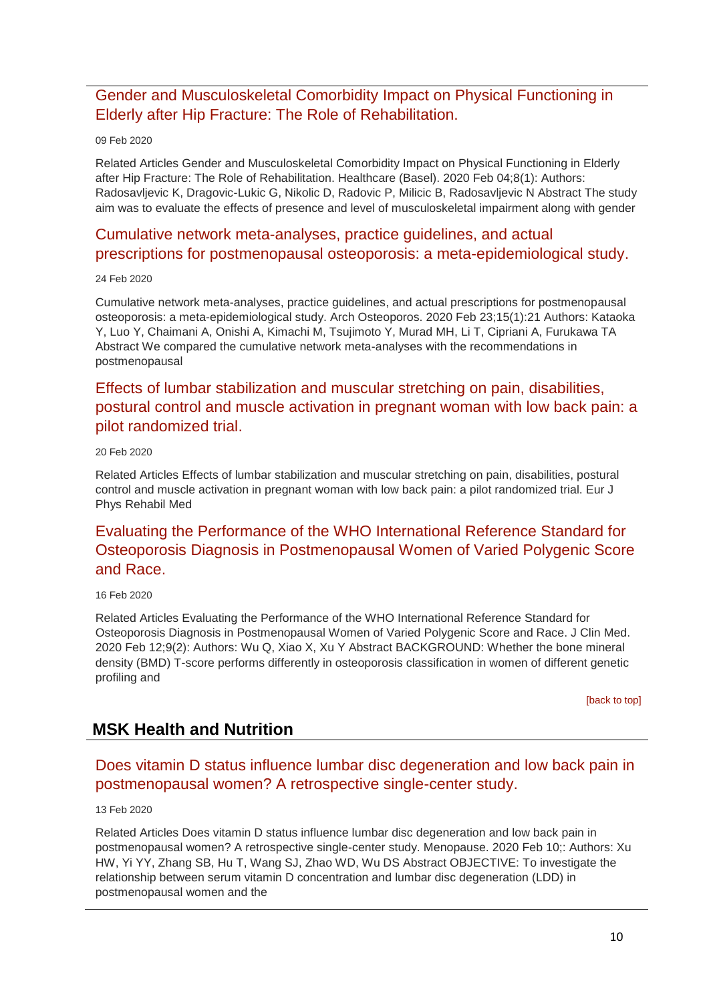[Gender and Musculoskeletal Comorbidity Impact on Physical Functioning in](http://transit.linexsystems.com/track/click/30370861/ca.linexsystems.com?p=eyJzIjoidG13bV9OOVYwSWJfeGZVVmF3dFBZMVFvZElNIiwidiI6MSwicCI6IntcInVcIjozMDM3MDg2MSxcInZcIjoxLFwidXJsXCI6XCJodHRwOlxcXC9cXFwvY2EubGluZXhzeXN0ZW1zLmNvbVxcXC9jb250ZW50c1xcXC90cmFuc2l0XFxcLzM2MjAwNTEyMjU_dXNlcl9pZD00NDM1MTUmbG9nPTc5Y2ZhYjYyNGM2ZjAyMDU3MTQ2YzFjZGFkZmYyZWRmJnA9OTI0NTc0MzUmbT0xJmM9MzUyOTEwODUyNSZvcmdfaWQ9MTc0ODFcIixcImlkXCI6XCJkYjUzMTRmZTUwNjQ0ZWQyYWIyMjhkMzA1ODRhYTFkY1wiLFwidXJsX2lkc1wiOltcIjA1ZTliM2YxZjk4OTA1NGZlM2JjODI0YWQ4ZmExYjhmMWYyMzVkMTNcIl19In0)  [Elderly after Hip Fracture: The Role of Rehabilitation.](http://transit.linexsystems.com/track/click/30370861/ca.linexsystems.com?p=eyJzIjoidG13bV9OOVYwSWJfeGZVVmF3dFBZMVFvZElNIiwidiI6MSwicCI6IntcInVcIjozMDM3MDg2MSxcInZcIjoxLFwidXJsXCI6XCJodHRwOlxcXC9cXFwvY2EubGluZXhzeXN0ZW1zLmNvbVxcXC9jb250ZW50c1xcXC90cmFuc2l0XFxcLzM2MjAwNTEyMjU_dXNlcl9pZD00NDM1MTUmbG9nPTc5Y2ZhYjYyNGM2ZjAyMDU3MTQ2YzFjZGFkZmYyZWRmJnA9OTI0NTc0MzUmbT0xJmM9MzUyOTEwODUyNSZvcmdfaWQ9MTc0ODFcIixcImlkXCI6XCJkYjUzMTRmZTUwNjQ0ZWQyYWIyMjhkMzA1ODRhYTFkY1wiLFwidXJsX2lkc1wiOltcIjA1ZTliM2YxZjk4OTA1NGZlM2JjODI0YWQ4ZmExYjhmMWYyMzVkMTNcIl19In0)

#### 09 Feb 2020

Related Articles Gender and Musculoskeletal Comorbidity Impact on Physical Functioning in Elderly after Hip Fracture: The Role of Rehabilitation. Healthcare (Basel). 2020 Feb 04;8(1): Authors: Radosavljevic K, Dragovic-Lukic G, Nikolic D, Radovic P, Milicic B, Radosavljevic N Abstract The study aim was to evaluate the effects of presence and level of musculoskeletal impairment along with gender

# [Cumulative network meta-analyses, practice guidelines, and actual](http://transit.linexsystems.com/track/click/30370861/ca.linexsystems.com?p=eyJzIjoiWF84UnhMM0xxYlI1RjM4WWdEQVA0WTd5Wi1ZIiwidiI6MSwicCI6IntcInVcIjozMDM3MDg2MSxcInZcIjoxLFwidXJsXCI6XCJodHRwOlxcXC9cXFwvY2EubGluZXhzeXN0ZW1zLmNvbVxcXC9jb250ZW50c1xcXC90cmFuc2l0XFxcLzM2MzY4NTIyMzU_dXNlcl9pZD00NDM1MTUmbG9nPTc5Y2ZhYjYyNGM2ZjAyMDU3MTQ2YzFjZGFkZmYyZWRmJnA9OTI0NTc0MzUmbT0xJmM9MzUyOTEwOTg3NSZvcmdfaWQ9MTc0ODFcIixcImlkXCI6XCJkYjUzMTRmZTUwNjQ0ZWQyYWIyMjhkMzA1ODRhYTFkY1wiLFwidXJsX2lkc1wiOltcIjA1ZTliM2YxZjk4OTA1NGZlM2JjODI0YWQ4ZmExYjhmMWYyMzVkMTNcIl19In0)  [prescriptions for postmenopausal osteoporosis: a meta-epidemiological study.](http://transit.linexsystems.com/track/click/30370861/ca.linexsystems.com?p=eyJzIjoiWF84UnhMM0xxYlI1RjM4WWdEQVA0WTd5Wi1ZIiwidiI6MSwicCI6IntcInVcIjozMDM3MDg2MSxcInZcIjoxLFwidXJsXCI6XCJodHRwOlxcXC9cXFwvY2EubGluZXhzeXN0ZW1zLmNvbVxcXC9jb250ZW50c1xcXC90cmFuc2l0XFxcLzM2MzY4NTIyMzU_dXNlcl9pZD00NDM1MTUmbG9nPTc5Y2ZhYjYyNGM2ZjAyMDU3MTQ2YzFjZGFkZmYyZWRmJnA9OTI0NTc0MzUmbT0xJmM9MzUyOTEwOTg3NSZvcmdfaWQ9MTc0ODFcIixcImlkXCI6XCJkYjUzMTRmZTUwNjQ0ZWQyYWIyMjhkMzA1ODRhYTFkY1wiLFwidXJsX2lkc1wiOltcIjA1ZTliM2YxZjk4OTA1NGZlM2JjODI0YWQ4ZmExYjhmMWYyMzVkMTNcIl19In0)

#### 24 Feb 2020

Cumulative network meta-analyses, practice guidelines, and actual prescriptions for postmenopausal osteoporosis: a meta-epidemiological study. Arch Osteoporos. 2020 Feb 23;15(1):21 Authors: Kataoka Y, Luo Y, Chaimani A, Onishi A, Kimachi M, Tsujimoto Y, Murad MH, Li T, Cipriani A, Furukawa TA Abstract We compared the cumulative network meta-analyses with the recommendations in postmenopausal

# [Effects of lumbar stabilization and muscular stretching on pain, disabilities,](http://transit.linexsystems.com/track/click/30370861/ca.linexsystems.com?p=eyJzIjoiejgzdDMtd25lQUpoVWtNampSY0hlTk5OcTVvIiwidiI6MSwicCI6IntcInVcIjozMDM3MDg2MSxcInZcIjoxLFwidXJsXCI6XCJodHRwOlxcXC9cXFwvY2EubGluZXhzeXN0ZW1zLmNvbVxcXC9jb250ZW50c1xcXC90cmFuc2l0XFxcLzM2MzMxMTMxMzU_dXNlcl9pZD00NDM1MTUmbG9nPTc5Y2ZhYjYyNGM2ZjAyMDU3MTQ2YzFjZGFkZmYyZWRmJnA9OTI0NTc0MzUmbT0xJmM9MzUyOTEwOTg3NSZvcmdfaWQ9MTc0ODFcIixcImlkXCI6XCJkYjUzMTRmZTUwNjQ0ZWQyYWIyMjhkMzA1ODRhYTFkY1wiLFwidXJsX2lkc1wiOltcIjA1ZTliM2YxZjk4OTA1NGZlM2JjODI0YWQ4ZmExYjhmMWYyMzVkMTNcIl19In0)  [postural control and muscle activation in pregnant woman with low back pain: a](http://transit.linexsystems.com/track/click/30370861/ca.linexsystems.com?p=eyJzIjoiejgzdDMtd25lQUpoVWtNampSY0hlTk5OcTVvIiwidiI6MSwicCI6IntcInVcIjozMDM3MDg2MSxcInZcIjoxLFwidXJsXCI6XCJodHRwOlxcXC9cXFwvY2EubGluZXhzeXN0ZW1zLmNvbVxcXC9jb250ZW50c1xcXC90cmFuc2l0XFxcLzM2MzMxMTMxMzU_dXNlcl9pZD00NDM1MTUmbG9nPTc5Y2ZhYjYyNGM2ZjAyMDU3MTQ2YzFjZGFkZmYyZWRmJnA9OTI0NTc0MzUmbT0xJmM9MzUyOTEwOTg3NSZvcmdfaWQ9MTc0ODFcIixcImlkXCI6XCJkYjUzMTRmZTUwNjQ0ZWQyYWIyMjhkMzA1ODRhYTFkY1wiLFwidXJsX2lkc1wiOltcIjA1ZTliM2YxZjk4OTA1NGZlM2JjODI0YWQ4ZmExYjhmMWYyMzVkMTNcIl19In0)  [pilot randomized trial.](http://transit.linexsystems.com/track/click/30370861/ca.linexsystems.com?p=eyJzIjoiejgzdDMtd25lQUpoVWtNampSY0hlTk5OcTVvIiwidiI6MSwicCI6IntcInVcIjozMDM3MDg2MSxcInZcIjoxLFwidXJsXCI6XCJodHRwOlxcXC9cXFwvY2EubGluZXhzeXN0ZW1zLmNvbVxcXC9jb250ZW50c1xcXC90cmFuc2l0XFxcLzM2MzMxMTMxMzU_dXNlcl9pZD00NDM1MTUmbG9nPTc5Y2ZhYjYyNGM2ZjAyMDU3MTQ2YzFjZGFkZmYyZWRmJnA9OTI0NTc0MzUmbT0xJmM9MzUyOTEwOTg3NSZvcmdfaWQ9MTc0ODFcIixcImlkXCI6XCJkYjUzMTRmZTUwNjQ0ZWQyYWIyMjhkMzA1ODRhYTFkY1wiLFwidXJsX2lkc1wiOltcIjA1ZTliM2YxZjk4OTA1NGZlM2JjODI0YWQ4ZmExYjhmMWYyMzVkMTNcIl19In0)

#### 20 Feb 2020

Related Articles Effects of lumbar stabilization and muscular stretching on pain, disabilities, postural control and muscle activation in pregnant woman with low back pain: a pilot randomized trial. Eur J Phys Rehabil Med

# [Evaluating the Performance of the WHO International Reference Standard for](http://transit.linexsystems.com/track/click/30370861/ca.linexsystems.com?p=eyJzIjoiSUI0cm03Wm1SYlNtQmFXYjhWTkVhdmw1Q2lrIiwidiI6MSwicCI6IntcInVcIjozMDM3MDg2MSxcInZcIjoxLFwidXJsXCI6XCJodHRwOlxcXC9cXFwvY2EubGluZXhzeXN0ZW1zLmNvbVxcXC9jb250ZW50c1xcXC90cmFuc2l0XFxcLzM2MjgyMzg1MzU_dXNlcl9pZD00NDM1MTUmbG9nPTc5Y2ZhYjYyNGM2ZjAyMDU3MTQ2YzFjZGFkZmYyZWRmJnA9OTI0NTc0MzUmbT0xJmM9MzUyOTEwOTg3NSZvcmdfaWQ9MTc0ODFcIixcImlkXCI6XCJkYjUzMTRmZTUwNjQ0ZWQyYWIyMjhkMzA1ODRhYTFkY1wiLFwidXJsX2lkc1wiOltcIjA1ZTliM2YxZjk4OTA1NGZlM2JjODI0YWQ4ZmExYjhmMWYyMzVkMTNcIl19In0)  [Osteoporosis Diagnosis in Postmenopausal Women of Varied Polygenic Score](http://transit.linexsystems.com/track/click/30370861/ca.linexsystems.com?p=eyJzIjoiSUI0cm03Wm1SYlNtQmFXYjhWTkVhdmw1Q2lrIiwidiI6MSwicCI6IntcInVcIjozMDM3MDg2MSxcInZcIjoxLFwidXJsXCI6XCJodHRwOlxcXC9cXFwvY2EubGluZXhzeXN0ZW1zLmNvbVxcXC9jb250ZW50c1xcXC90cmFuc2l0XFxcLzM2MjgyMzg1MzU_dXNlcl9pZD00NDM1MTUmbG9nPTc5Y2ZhYjYyNGM2ZjAyMDU3MTQ2YzFjZGFkZmYyZWRmJnA9OTI0NTc0MzUmbT0xJmM9MzUyOTEwOTg3NSZvcmdfaWQ9MTc0ODFcIixcImlkXCI6XCJkYjUzMTRmZTUwNjQ0ZWQyYWIyMjhkMzA1ODRhYTFkY1wiLFwidXJsX2lkc1wiOltcIjA1ZTliM2YxZjk4OTA1NGZlM2JjODI0YWQ4ZmExYjhmMWYyMzVkMTNcIl19In0)  [and Race.](http://transit.linexsystems.com/track/click/30370861/ca.linexsystems.com?p=eyJzIjoiSUI0cm03Wm1SYlNtQmFXYjhWTkVhdmw1Q2lrIiwidiI6MSwicCI6IntcInVcIjozMDM3MDg2MSxcInZcIjoxLFwidXJsXCI6XCJodHRwOlxcXC9cXFwvY2EubGluZXhzeXN0ZW1zLmNvbVxcXC9jb250ZW50c1xcXC90cmFuc2l0XFxcLzM2MjgyMzg1MzU_dXNlcl9pZD00NDM1MTUmbG9nPTc5Y2ZhYjYyNGM2ZjAyMDU3MTQ2YzFjZGFkZmYyZWRmJnA9OTI0NTc0MzUmbT0xJmM9MzUyOTEwOTg3NSZvcmdfaWQ9MTc0ODFcIixcImlkXCI6XCJkYjUzMTRmZTUwNjQ0ZWQyYWIyMjhkMzA1ODRhYTFkY1wiLFwidXJsX2lkc1wiOltcIjA1ZTliM2YxZjk4OTA1NGZlM2JjODI0YWQ4ZmExYjhmMWYyMzVkMTNcIl19In0)

#### 16 Feb 2020

Related Articles Evaluating the Performance of the WHO International Reference Standard for Osteoporosis Diagnosis in Postmenopausal Women of Varied Polygenic Score and Race. J Clin Med. 2020 Feb 12;9(2): Authors: Wu Q, Xiao X, Xu Y Abstract BACKGROUND: Whether the bone mineral density (BMD) T-score performs differently in osteoporosis classification in women of different genetic profiling and

[\[back to top\]](#page-0-1)

### **MSK Health and Nutrition**

### [Does vitamin D status influence lumbar disc degeneration and low back pain in](http://transit.linexsystems.com/track/click/30370861/ca.linexsystems.com?p=eyJzIjoiSkhpRk1YNDJKREo3c0k1Rm1uZmItQmJfRklJIiwidiI6MSwicCI6IntcInVcIjozMDM3MDg2MSxcInZcIjoxLFwidXJsXCI6XCJodHRwOlxcXC9cXFwvY2EubGluZXhzeXN0ZW1zLmNvbVxcXC9jb250ZW50c1xcXC90cmFuc2l0XFxcLzM2MjUyMzA4NjU_dXNlcl9pZD00NDM1MTUmbG9nPTc5Y2ZhYjYyNGM2ZjAyMDU3MTQ2YzFjZGFkZmYyZWRmJnA9OTI0NTc0MzUmbT0xJmM9MzUyOTExMDAyNSZvcmdfaWQ9MTc0ODFcIixcImlkXCI6XCJkYjUzMTRmZTUwNjQ0ZWQyYWIyMjhkMzA1ODRhYTFkY1wiLFwidXJsX2lkc1wiOltcIjA1ZTliM2YxZjk4OTA1NGZlM2JjODI0YWQ4ZmExYjhmMWYyMzVkMTNcIl19In0)  [postmenopausal women? A retrospective single-center study.](http://transit.linexsystems.com/track/click/30370861/ca.linexsystems.com?p=eyJzIjoiSkhpRk1YNDJKREo3c0k1Rm1uZmItQmJfRklJIiwidiI6MSwicCI6IntcInVcIjozMDM3MDg2MSxcInZcIjoxLFwidXJsXCI6XCJodHRwOlxcXC9cXFwvY2EubGluZXhzeXN0ZW1zLmNvbVxcXC9jb250ZW50c1xcXC90cmFuc2l0XFxcLzM2MjUyMzA4NjU_dXNlcl9pZD00NDM1MTUmbG9nPTc5Y2ZhYjYyNGM2ZjAyMDU3MTQ2YzFjZGFkZmYyZWRmJnA9OTI0NTc0MzUmbT0xJmM9MzUyOTExMDAyNSZvcmdfaWQ9MTc0ODFcIixcImlkXCI6XCJkYjUzMTRmZTUwNjQ0ZWQyYWIyMjhkMzA1ODRhYTFkY1wiLFwidXJsX2lkc1wiOltcIjA1ZTliM2YxZjk4OTA1NGZlM2JjODI0YWQ4ZmExYjhmMWYyMzVkMTNcIl19In0)

#### 13 Feb 2020

Related Articles Does vitamin D status influence lumbar disc degeneration and low back pain in postmenopausal women? A retrospective single-center study. Menopause. 2020 Feb 10;: Authors: Xu HW, Yi YY, Zhang SB, Hu T, Wang SJ, Zhao WD, Wu DS Abstract OBJECTIVE: To investigate the relationship between serum vitamin D concentration and lumbar disc degeneration (LDD) in postmenopausal women and the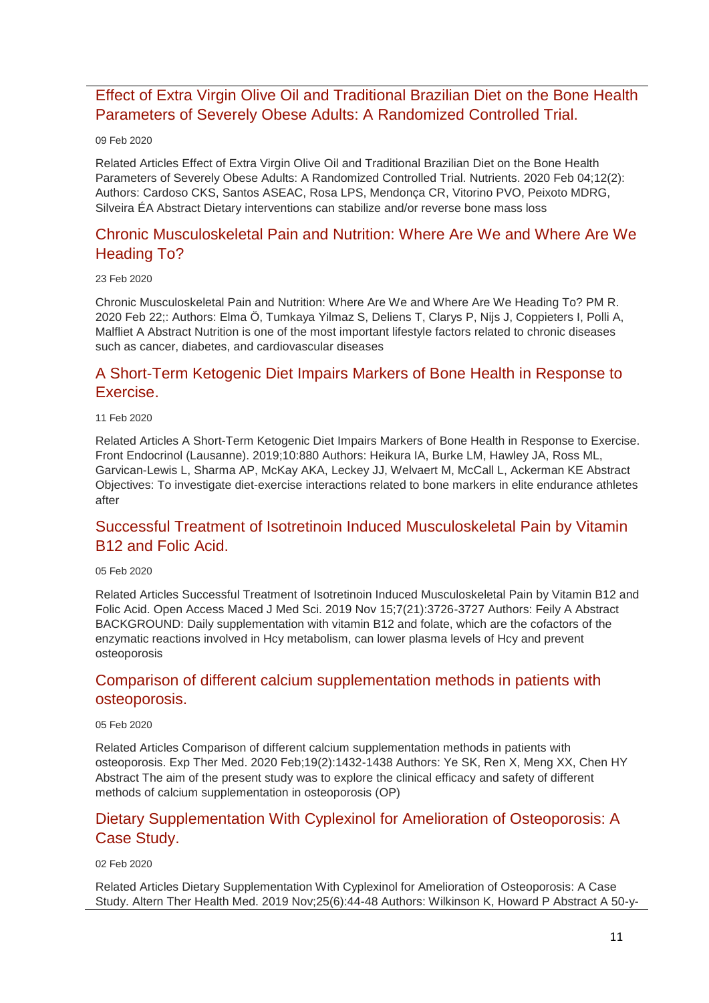### [Effect of Extra Virgin Olive Oil and Traditional Brazilian Diet on the Bone Health](http://transit.linexsystems.com/track/click/30370861/ca.linexsystems.com?p=eyJzIjoidm5aNlRTbTBpN2NLMjlvZ0hxdjNoZnl6dmFnIiwidiI6MSwicCI6IntcInVcIjozMDM3MDg2MSxcInZcIjoxLFwidXJsXCI6XCJodHRwOlxcXC9cXFwvY2EubGluZXhzeXN0ZW1zLmNvbVxcXC9jb250ZW50c1xcXC90cmFuc2l0XFxcLzM2MjAwNTIyNDU_dXNlcl9pZD00NDM1MTUmbG9nPTc5Y2ZhYjYyNGM2ZjAyMDU3MTQ2YzFjZGFkZmYyZWRmJnA9OTI0NTc0MzUmbT0xJmM9MzUyOTExMDAyNSZvcmdfaWQ9MTc0ODFcIixcImlkXCI6XCJkYjUzMTRmZTUwNjQ0ZWQyYWIyMjhkMzA1ODRhYTFkY1wiLFwidXJsX2lkc1wiOltcIjA1ZTliM2YxZjk4OTA1NGZlM2JjODI0YWQ4ZmExYjhmMWYyMzVkMTNcIl19In0)  [Parameters of Severely Obese Adults: A Randomized Controlled Trial.](http://transit.linexsystems.com/track/click/30370861/ca.linexsystems.com?p=eyJzIjoidm5aNlRTbTBpN2NLMjlvZ0hxdjNoZnl6dmFnIiwidiI6MSwicCI6IntcInVcIjozMDM3MDg2MSxcInZcIjoxLFwidXJsXCI6XCJodHRwOlxcXC9cXFwvY2EubGluZXhzeXN0ZW1zLmNvbVxcXC9jb250ZW50c1xcXC90cmFuc2l0XFxcLzM2MjAwNTIyNDU_dXNlcl9pZD00NDM1MTUmbG9nPTc5Y2ZhYjYyNGM2ZjAyMDU3MTQ2YzFjZGFkZmYyZWRmJnA9OTI0NTc0MzUmbT0xJmM9MzUyOTExMDAyNSZvcmdfaWQ9MTc0ODFcIixcImlkXCI6XCJkYjUzMTRmZTUwNjQ0ZWQyYWIyMjhkMzA1ODRhYTFkY1wiLFwidXJsX2lkc1wiOltcIjA1ZTliM2YxZjk4OTA1NGZlM2JjODI0YWQ4ZmExYjhmMWYyMzVkMTNcIl19In0)

#### 09 Feb 2020

Related Articles Effect of Extra Virgin Olive Oil and Traditional Brazilian Diet on the Bone Health Parameters of Severely Obese Adults: A Randomized Controlled Trial. Nutrients. 2020 Feb 04;12(2): Authors: Cardoso CKS, Santos ASEAC, Rosa LPS, Mendonça CR, Vitorino PVO, Peixoto MDRG, Silveira ÉA Abstract Dietary interventions can stabilize and/or reverse bone mass loss

### [Chronic Musculoskeletal Pain and Nutrition: Where Are We and Where Are We](http://transit.linexsystems.com/track/click/30370861/ca.linexsystems.com?p=eyJzIjoiWUVEdnI1UVVFZUtib3hWUUpraHN4UUFUdmJZIiwidiI6MSwicCI6IntcInVcIjozMDM3MDg2MSxcInZcIjoxLFwidXJsXCI6XCJodHRwOlxcXC9cXFwvY2EubGluZXhzeXN0ZW1zLmNvbVxcXC9jb250ZW50c1xcXC90cmFuc2l0XFxcLzM2MzU5OTUyMTU_dXNlcl9pZD00NDM1MTUmbG9nPTc5Y2ZhYjYyNGM2ZjAyMDU3MTQ2YzFjZGFkZmYyZWRmJnA9OTI0NTc0MzUmbT0xJmM9MzUyOTEwODkxNSZvcmdfaWQ9MTc0ODFcIixcImlkXCI6XCJkYjUzMTRmZTUwNjQ0ZWQyYWIyMjhkMzA1ODRhYTFkY1wiLFwidXJsX2lkc1wiOltcIjA1ZTliM2YxZjk4OTA1NGZlM2JjODI0YWQ4ZmExYjhmMWYyMzVkMTNcIl19In0)  [Heading To?](http://transit.linexsystems.com/track/click/30370861/ca.linexsystems.com?p=eyJzIjoiWUVEdnI1UVVFZUtib3hWUUpraHN4UUFUdmJZIiwidiI6MSwicCI6IntcInVcIjozMDM3MDg2MSxcInZcIjoxLFwidXJsXCI6XCJodHRwOlxcXC9cXFwvY2EubGluZXhzeXN0ZW1zLmNvbVxcXC9jb250ZW50c1xcXC90cmFuc2l0XFxcLzM2MzU5OTUyMTU_dXNlcl9pZD00NDM1MTUmbG9nPTc5Y2ZhYjYyNGM2ZjAyMDU3MTQ2YzFjZGFkZmYyZWRmJnA9OTI0NTc0MzUmbT0xJmM9MzUyOTEwODkxNSZvcmdfaWQ9MTc0ODFcIixcImlkXCI6XCJkYjUzMTRmZTUwNjQ0ZWQyYWIyMjhkMzA1ODRhYTFkY1wiLFwidXJsX2lkc1wiOltcIjA1ZTliM2YxZjk4OTA1NGZlM2JjODI0YWQ4ZmExYjhmMWYyMzVkMTNcIl19In0)

#### 23 Feb 2020

Chronic Musculoskeletal Pain and Nutrition: Where Are We and Where Are We Heading To? PM R. 2020 Feb 22;: Authors: Elma Ö, Tumkaya Yilmaz S, Deliens T, Clarys P, Nijs J, Coppieters I, Polli A, Malfliet A Abstract Nutrition is one of the most important lifestyle factors related to chronic diseases such as cancer, diabetes, and cardiovascular diseases

### [A Short-Term Ketogenic Diet Impairs Markers of Bone Health in Response to](http://transit.linexsystems.com/track/click/30370861/ca.linexsystems.com?p=eyJzIjoiSXRCLTFxOGJkUExHT2djZzgzVDFSZHR5N01FIiwidiI6MSwicCI6IntcInVcIjozMDM3MDg2MSxcInZcIjoxLFwidXJsXCI6XCJodHRwOlxcXC9cXFwvY2EubGluZXhzeXN0ZW1zLmNvbVxcXC9jb250ZW50c1xcXC90cmFuc2l0XFxcLzM2MjIzOTIzMzU_dXNlcl9pZD00NDM1MTUmbG9nPTc5Y2ZhYjYyNGM2ZjAyMDU3MTQ2YzFjZGFkZmYyZWRmJnA9OTI0NTc0MzUmbT0xJmM9MzUyOTExMDAyNSZvcmdfaWQ9MTc0ODFcIixcImlkXCI6XCJkYjUzMTRmZTUwNjQ0ZWQyYWIyMjhkMzA1ODRhYTFkY1wiLFwidXJsX2lkc1wiOltcIjA1ZTliM2YxZjk4OTA1NGZlM2JjODI0YWQ4ZmExYjhmMWYyMzVkMTNcIl19In0)  [Exercise.](http://transit.linexsystems.com/track/click/30370861/ca.linexsystems.com?p=eyJzIjoiSXRCLTFxOGJkUExHT2djZzgzVDFSZHR5N01FIiwidiI6MSwicCI6IntcInVcIjozMDM3MDg2MSxcInZcIjoxLFwidXJsXCI6XCJodHRwOlxcXC9cXFwvY2EubGluZXhzeXN0ZW1zLmNvbVxcXC9jb250ZW50c1xcXC90cmFuc2l0XFxcLzM2MjIzOTIzMzU_dXNlcl9pZD00NDM1MTUmbG9nPTc5Y2ZhYjYyNGM2ZjAyMDU3MTQ2YzFjZGFkZmYyZWRmJnA9OTI0NTc0MzUmbT0xJmM9MzUyOTExMDAyNSZvcmdfaWQ9MTc0ODFcIixcImlkXCI6XCJkYjUzMTRmZTUwNjQ0ZWQyYWIyMjhkMzA1ODRhYTFkY1wiLFwidXJsX2lkc1wiOltcIjA1ZTliM2YxZjk4OTA1NGZlM2JjODI0YWQ4ZmExYjhmMWYyMzVkMTNcIl19In0)

#### 11 Feb 2020

Related Articles A Short-Term Ketogenic Diet Impairs Markers of Bone Health in Response to Exercise. Front Endocrinol (Lausanne). 2019;10:880 Authors: Heikura IA, Burke LM, Hawley JA, Ross ML, Garvican-Lewis L, Sharma AP, McKay AKA, Leckey JJ, Welvaert M, McCall L, Ackerman KE Abstract Objectives: To investigate diet-exercise interactions related to bone markers in elite endurance athletes after

### [Successful Treatment of Isotretinoin Induced Musculoskeletal Pain by Vitamin](http://transit.linexsystems.com/track/click/30370861/ca.linexsystems.com?p=eyJzIjoibnhuNGVWaEtIV0dmWU1JdWgyTXdmb2g0bzcwIiwidiI6MSwicCI6IntcInVcIjozMDM3MDg2MSxcInZcIjoxLFwidXJsXCI6XCJodHRwOlxcXC9cXFwvY2EubGluZXhzeXN0ZW1zLmNvbVxcXC9jb250ZW50c1xcXC90cmFuc2l0XFxcLzM2MTU4Mjg0ODU_dXNlcl9pZD00NDM1MTUmbG9nPTc5Y2ZhYjYyNGM2ZjAyMDU3MTQ2YzFjZGFkZmYyZWRmJnA9OTI0NTc0MzUmbT0xJmM9MzUyOTExMDAyNSZvcmdfaWQ9MTc0ODFcIixcImlkXCI6XCJkYjUzMTRmZTUwNjQ0ZWQyYWIyMjhkMzA1ODRhYTFkY1wiLFwidXJsX2lkc1wiOltcIjA1ZTliM2YxZjk4OTA1NGZlM2JjODI0YWQ4ZmExYjhmMWYyMzVkMTNcIl19In0)  [B12 and Folic Acid.](http://transit.linexsystems.com/track/click/30370861/ca.linexsystems.com?p=eyJzIjoibnhuNGVWaEtIV0dmWU1JdWgyTXdmb2g0bzcwIiwidiI6MSwicCI6IntcInVcIjozMDM3MDg2MSxcInZcIjoxLFwidXJsXCI6XCJodHRwOlxcXC9cXFwvY2EubGluZXhzeXN0ZW1zLmNvbVxcXC9jb250ZW50c1xcXC90cmFuc2l0XFxcLzM2MTU4Mjg0ODU_dXNlcl9pZD00NDM1MTUmbG9nPTc5Y2ZhYjYyNGM2ZjAyMDU3MTQ2YzFjZGFkZmYyZWRmJnA9OTI0NTc0MzUmbT0xJmM9MzUyOTExMDAyNSZvcmdfaWQ9MTc0ODFcIixcImlkXCI6XCJkYjUzMTRmZTUwNjQ0ZWQyYWIyMjhkMzA1ODRhYTFkY1wiLFwidXJsX2lkc1wiOltcIjA1ZTliM2YxZjk4OTA1NGZlM2JjODI0YWQ4ZmExYjhmMWYyMzVkMTNcIl19In0)

#### 05 Feb 2020

Related Articles Successful Treatment of Isotretinoin Induced Musculoskeletal Pain by Vitamin B12 and Folic Acid. Open Access Maced J Med Sci. 2019 Nov 15;7(21):3726-3727 Authors: Feily A Abstract BACKGROUND: Daily supplementation with vitamin B12 and folate, which are the cofactors of the enzymatic reactions involved in Hcy metabolism, can lower plasma levels of Hcy and prevent osteoporosis

### [Comparison of different calcium supplementation methods in patients with](http://transit.linexsystems.com/track/click/30370861/ca.linexsystems.com?p=eyJzIjoiZm4xdnhoTVNWTm16TWhyendrX21PVnFKLXNrIiwidiI6MSwicCI6IntcInVcIjozMDM3MDg2MSxcInZcIjoxLFwidXJsXCI6XCJodHRwOlxcXC9cXFwvY2EubGluZXhzeXN0ZW1zLmNvbVxcXC9jb250ZW50c1xcXC90cmFuc2l0XFxcLzM2MTU4MjczMDU_dXNlcl9pZD00NDM1MTUmbG9nPTc5Y2ZhYjYyNGM2ZjAyMDU3MTQ2YzFjZGFkZmYyZWRmJnA9OTI0NTc0MzUmbT0xJmM9MzUyOTExMDAyNSZvcmdfaWQ9MTc0ODFcIixcImlkXCI6XCJkYjUzMTRmZTUwNjQ0ZWQyYWIyMjhkMzA1ODRhYTFkY1wiLFwidXJsX2lkc1wiOltcIjA1ZTliM2YxZjk4OTA1NGZlM2JjODI0YWQ4ZmExYjhmMWYyMzVkMTNcIl19In0)  [osteoporosis.](http://transit.linexsystems.com/track/click/30370861/ca.linexsystems.com?p=eyJzIjoiZm4xdnhoTVNWTm16TWhyendrX21PVnFKLXNrIiwidiI6MSwicCI6IntcInVcIjozMDM3MDg2MSxcInZcIjoxLFwidXJsXCI6XCJodHRwOlxcXC9cXFwvY2EubGluZXhzeXN0ZW1zLmNvbVxcXC9jb250ZW50c1xcXC90cmFuc2l0XFxcLzM2MTU4MjczMDU_dXNlcl9pZD00NDM1MTUmbG9nPTc5Y2ZhYjYyNGM2ZjAyMDU3MTQ2YzFjZGFkZmYyZWRmJnA9OTI0NTc0MzUmbT0xJmM9MzUyOTExMDAyNSZvcmdfaWQ9MTc0ODFcIixcImlkXCI6XCJkYjUzMTRmZTUwNjQ0ZWQyYWIyMjhkMzA1ODRhYTFkY1wiLFwidXJsX2lkc1wiOltcIjA1ZTliM2YxZjk4OTA1NGZlM2JjODI0YWQ4ZmExYjhmMWYyMzVkMTNcIl19In0)

#### 05 Feb 2020

Related Articles Comparison of different calcium supplementation methods in patients with osteoporosis. Exp Ther Med. 2020 Feb;19(2):1432-1438 Authors: Ye SK, Ren X, Meng XX, Chen HY Abstract The aim of the present study was to explore the clinical efficacy and safety of different methods of calcium supplementation in osteoporosis (OP)

### [Dietary Supplementation With Cyplexinol for Amelioration of Osteoporosis: A](http://transit.linexsystems.com/track/click/30370861/ca.linexsystems.com?p=eyJzIjoidjBaV0I2NVdlX0R5bXZTeGlnSGhWN3FNS3RvIiwidiI6MSwicCI6IntcInVcIjozMDM3MDg2MSxcInZcIjoxLFwidXJsXCI6XCJodHRwOlxcXC9cXFwvY2EubGluZXhzeXN0ZW1zLmNvbVxcXC9jb250ZW50c1xcXC90cmFuc2l0XFxcLzM2MTA4Mzg3NjU_dXNlcl9pZD00NDM1MTUmbG9nPTc5Y2ZhYjYyNGM2ZjAyMDU3MTQ2YzFjZGFkZmYyZWRmJnA9OTI0NTc0MzUmbT0xJmM9MzUyOTExMDAyNSZvcmdfaWQ9MTc0ODFcIixcImlkXCI6XCJkYjUzMTRmZTUwNjQ0ZWQyYWIyMjhkMzA1ODRhYTFkY1wiLFwidXJsX2lkc1wiOltcIjA1ZTliM2YxZjk4OTA1NGZlM2JjODI0YWQ4ZmExYjhmMWYyMzVkMTNcIl19In0)  [Case Study.](http://transit.linexsystems.com/track/click/30370861/ca.linexsystems.com?p=eyJzIjoidjBaV0I2NVdlX0R5bXZTeGlnSGhWN3FNS3RvIiwidiI6MSwicCI6IntcInVcIjozMDM3MDg2MSxcInZcIjoxLFwidXJsXCI6XCJodHRwOlxcXC9cXFwvY2EubGluZXhzeXN0ZW1zLmNvbVxcXC9jb250ZW50c1xcXC90cmFuc2l0XFxcLzM2MTA4Mzg3NjU_dXNlcl9pZD00NDM1MTUmbG9nPTc5Y2ZhYjYyNGM2ZjAyMDU3MTQ2YzFjZGFkZmYyZWRmJnA9OTI0NTc0MzUmbT0xJmM9MzUyOTExMDAyNSZvcmdfaWQ9MTc0ODFcIixcImlkXCI6XCJkYjUzMTRmZTUwNjQ0ZWQyYWIyMjhkMzA1ODRhYTFkY1wiLFwidXJsX2lkc1wiOltcIjA1ZTliM2YxZjk4OTA1NGZlM2JjODI0YWQ4ZmExYjhmMWYyMzVkMTNcIl19In0)

02 Feb 2020

Related Articles Dietary Supplementation With Cyplexinol for Amelioration of Osteoporosis: A Case Study. Altern Ther Health Med. 2019 Nov;25(6):44-48 Authors: Wilkinson K, Howard P Abstract A 50-y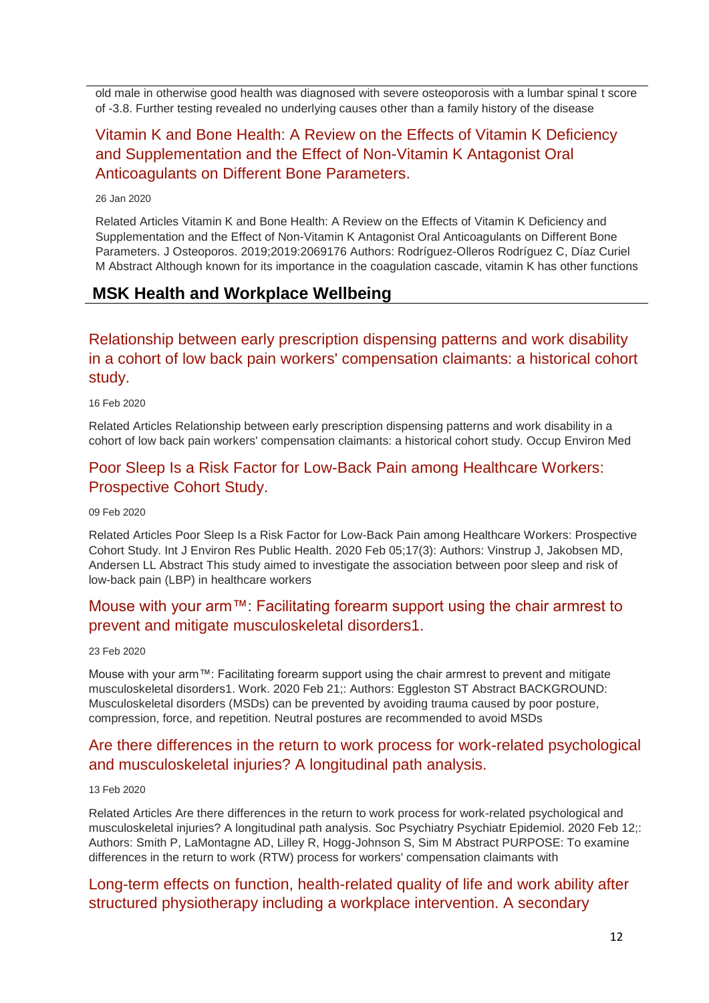old male in otherwise good health was diagnosed with severe osteoporosis with a lumbar spinal t score of -3.8. Further testing revealed no underlying causes other than a family history of the disease

# [Vitamin K and Bone Health: A Review on the Effects of Vitamin K Deficiency](http://transit.linexsystems.com/track/click/30370861/ca.linexsystems.com?p=eyJzIjoiOUlfSnUyZl8tNzg1Z1NhdVhrSGRyQ2F5Q3lFIiwidiI6MSwicCI6IntcInVcIjozMDM3MDg2MSxcInZcIjoxLFwidXJsXCI6XCJodHRwOlxcXC9cXFwvY2EubGluZXhzeXN0ZW1zLmNvbVxcXC9jb250ZW50c1xcXC90cmFuc2l0XFxcLzM2MDIzOTY0MzU_dXNlcl9pZD00NDM1MTUmbG9nPTc5Y2ZhYjYyNGM2ZjAyMDU3MTQ2YzFjZGFkZmYyZWRmJnA9OTI0NTc0MzUmbT0xJmM9MzUyOTExMDAyNSZvcmdfaWQ9MTc0ODFcIixcImlkXCI6XCJkYjUzMTRmZTUwNjQ0ZWQyYWIyMjhkMzA1ODRhYTFkY1wiLFwidXJsX2lkc1wiOltcIjA1ZTliM2YxZjk4OTA1NGZlM2JjODI0YWQ4ZmExYjhmMWYyMzVkMTNcIl19In0)  [and Supplementation and the Effect of Non-Vitamin K Antagonist Oral](http://transit.linexsystems.com/track/click/30370861/ca.linexsystems.com?p=eyJzIjoiOUlfSnUyZl8tNzg1Z1NhdVhrSGRyQ2F5Q3lFIiwidiI6MSwicCI6IntcInVcIjozMDM3MDg2MSxcInZcIjoxLFwidXJsXCI6XCJodHRwOlxcXC9cXFwvY2EubGluZXhzeXN0ZW1zLmNvbVxcXC9jb250ZW50c1xcXC90cmFuc2l0XFxcLzM2MDIzOTY0MzU_dXNlcl9pZD00NDM1MTUmbG9nPTc5Y2ZhYjYyNGM2ZjAyMDU3MTQ2YzFjZGFkZmYyZWRmJnA9OTI0NTc0MzUmbT0xJmM9MzUyOTExMDAyNSZvcmdfaWQ9MTc0ODFcIixcImlkXCI6XCJkYjUzMTRmZTUwNjQ0ZWQyYWIyMjhkMzA1ODRhYTFkY1wiLFwidXJsX2lkc1wiOltcIjA1ZTliM2YxZjk4OTA1NGZlM2JjODI0YWQ4ZmExYjhmMWYyMzVkMTNcIl19In0)  [Anticoagulants on Different Bone Parameters.](http://transit.linexsystems.com/track/click/30370861/ca.linexsystems.com?p=eyJzIjoiOUlfSnUyZl8tNzg1Z1NhdVhrSGRyQ2F5Q3lFIiwidiI6MSwicCI6IntcInVcIjozMDM3MDg2MSxcInZcIjoxLFwidXJsXCI6XCJodHRwOlxcXC9cXFwvY2EubGluZXhzeXN0ZW1zLmNvbVxcXC9jb250ZW50c1xcXC90cmFuc2l0XFxcLzM2MDIzOTY0MzU_dXNlcl9pZD00NDM1MTUmbG9nPTc5Y2ZhYjYyNGM2ZjAyMDU3MTQ2YzFjZGFkZmYyZWRmJnA9OTI0NTc0MzUmbT0xJmM9MzUyOTExMDAyNSZvcmdfaWQ9MTc0ODFcIixcImlkXCI6XCJkYjUzMTRmZTUwNjQ0ZWQyYWIyMjhkMzA1ODRhYTFkY1wiLFwidXJsX2lkc1wiOltcIjA1ZTliM2YxZjk4OTA1NGZlM2JjODI0YWQ4ZmExYjhmMWYyMzVkMTNcIl19In0)

#### 26 Jan 2020

Related Articles Vitamin K and Bone Health: A Review on the Effects of Vitamin K Deficiency and Supplementation and the Effect of Non-Vitamin K Antagonist Oral Anticoagulants on Different Bone Parameters. J Osteoporos. 2019;2019:2069176 Authors: Rodríguez-Olleros Rodríguez C, Díaz Curiel M Abstract Although known for its importance in the coagulation cascade, vitamin K has other functions

### <span id="page-11-0"></span>**MSK Health and Workplace Wellbeing**

# [Relationship between early prescription dispensing patterns and work disability](http://transit.linexsystems.com/track/click/30370861/ca.linexsystems.com?p=eyJzIjoia3N1MGxPNlgtWWFYRGpVNkpoT2tveVZNaHc0IiwidiI6MSwicCI6IntcInVcIjozMDM3MDg2MSxcInZcIjoxLFwidXJsXCI6XCJodHRwOlxcXC9cXFwvY2EubGluZXhzeXN0ZW1zLmNvbVxcXC9jb250ZW50c1xcXC90cmFuc2l0XFxcLzM2Mjc5MjkxNDU_dXNlcl9pZD00NDM1MTUmbG9nPTc5Y2ZhYjYyNGM2ZjAyMDU3MTQ2YzFjZGFkZmYyZWRmJnA9OTI0NTc0MzUmbT0xJmM9MzUyOTExMTIyNSZvcmdfaWQ9MTc0ODFcIixcImlkXCI6XCJkYjUzMTRmZTUwNjQ0ZWQyYWIyMjhkMzA1ODRhYTFkY1wiLFwidXJsX2lkc1wiOltcIjA1ZTliM2YxZjk4OTA1NGZlM2JjODI0YWQ4ZmExYjhmMWYyMzVkMTNcIl19In0)  [in a cohort of low back pain workers' compensation claimants: a historical cohort](http://transit.linexsystems.com/track/click/30370861/ca.linexsystems.com?p=eyJzIjoia3N1MGxPNlgtWWFYRGpVNkpoT2tveVZNaHc0IiwidiI6MSwicCI6IntcInVcIjozMDM3MDg2MSxcInZcIjoxLFwidXJsXCI6XCJodHRwOlxcXC9cXFwvY2EubGluZXhzeXN0ZW1zLmNvbVxcXC9jb250ZW50c1xcXC90cmFuc2l0XFxcLzM2Mjc5MjkxNDU_dXNlcl9pZD00NDM1MTUmbG9nPTc5Y2ZhYjYyNGM2ZjAyMDU3MTQ2YzFjZGFkZmYyZWRmJnA9OTI0NTc0MzUmbT0xJmM9MzUyOTExMTIyNSZvcmdfaWQ9MTc0ODFcIixcImlkXCI6XCJkYjUzMTRmZTUwNjQ0ZWQyYWIyMjhkMzA1ODRhYTFkY1wiLFwidXJsX2lkc1wiOltcIjA1ZTliM2YxZjk4OTA1NGZlM2JjODI0YWQ4ZmExYjhmMWYyMzVkMTNcIl19In0)  [study.](http://transit.linexsystems.com/track/click/30370861/ca.linexsystems.com?p=eyJzIjoia3N1MGxPNlgtWWFYRGpVNkpoT2tveVZNaHc0IiwidiI6MSwicCI6IntcInVcIjozMDM3MDg2MSxcInZcIjoxLFwidXJsXCI6XCJodHRwOlxcXC9cXFwvY2EubGluZXhzeXN0ZW1zLmNvbVxcXC9jb250ZW50c1xcXC90cmFuc2l0XFxcLzM2Mjc5MjkxNDU_dXNlcl9pZD00NDM1MTUmbG9nPTc5Y2ZhYjYyNGM2ZjAyMDU3MTQ2YzFjZGFkZmYyZWRmJnA9OTI0NTc0MzUmbT0xJmM9MzUyOTExMTIyNSZvcmdfaWQ9MTc0ODFcIixcImlkXCI6XCJkYjUzMTRmZTUwNjQ0ZWQyYWIyMjhkMzA1ODRhYTFkY1wiLFwidXJsX2lkc1wiOltcIjA1ZTliM2YxZjk4OTA1NGZlM2JjODI0YWQ4ZmExYjhmMWYyMzVkMTNcIl19In0)

16 Feb 2020

Related Articles Relationship between early prescription dispensing patterns and work disability in a cohort of low back pain workers' compensation claimants: a historical cohort study. Occup Environ Med

### [Poor Sleep Is a Risk Factor for Low-Back Pain among Healthcare Workers:](http://transit.linexsystems.com/track/click/30370861/ca.linexsystems.com?p=eyJzIjoiWnVlZWo3ZmVyZDNuT01uNVV5SThURmlFa3hvIiwidiI6MSwicCI6IntcInVcIjozMDM3MDg2MSxcInZcIjoxLFwidXJsXCI6XCJodHRwOlxcXC9cXFwvY2EubGluZXhzeXN0ZW1zLmNvbVxcXC9jb250ZW50c1xcXC90cmFuc2l0XFxcLzM2MjAwNTEyODU_dXNlcl9pZD00NDM1MTUmbG9nPTc5Y2ZhYjYyNGM2ZjAyMDU3MTQ2YzFjZGFkZmYyZWRmJnA9OTI0NTc0MzUmbT0xJmM9MzUyOTEwODkxNSZvcmdfaWQ9MTc0ODFcIixcImlkXCI6XCJkYjUzMTRmZTUwNjQ0ZWQyYWIyMjhkMzA1ODRhYTFkY1wiLFwidXJsX2lkc1wiOltcIjA1ZTliM2YxZjk4OTA1NGZlM2JjODI0YWQ4ZmExYjhmMWYyMzVkMTNcIl19In0)  [Prospective Cohort Study.](http://transit.linexsystems.com/track/click/30370861/ca.linexsystems.com?p=eyJzIjoiWnVlZWo3ZmVyZDNuT01uNVV5SThURmlFa3hvIiwidiI6MSwicCI6IntcInVcIjozMDM3MDg2MSxcInZcIjoxLFwidXJsXCI6XCJodHRwOlxcXC9cXFwvY2EubGluZXhzeXN0ZW1zLmNvbVxcXC9jb250ZW50c1xcXC90cmFuc2l0XFxcLzM2MjAwNTEyODU_dXNlcl9pZD00NDM1MTUmbG9nPTc5Y2ZhYjYyNGM2ZjAyMDU3MTQ2YzFjZGFkZmYyZWRmJnA9OTI0NTc0MzUmbT0xJmM9MzUyOTEwODkxNSZvcmdfaWQ9MTc0ODFcIixcImlkXCI6XCJkYjUzMTRmZTUwNjQ0ZWQyYWIyMjhkMzA1ODRhYTFkY1wiLFwidXJsX2lkc1wiOltcIjA1ZTliM2YxZjk4OTA1NGZlM2JjODI0YWQ4ZmExYjhmMWYyMzVkMTNcIl19In0)

09 Feb 2020

Related Articles Poor Sleep Is a Risk Factor for Low-Back Pain among Healthcare Workers: Prospective Cohort Study. Int J Environ Res Public Health. 2020 Feb 05;17(3): Authors: Vinstrup J, Jakobsen MD, Andersen LL Abstract This study aimed to investigate the association between poor sleep and risk of low-back pain (LBP) in healthcare workers

### [Mouse with your arm™: Facilitating forearm support using the chair armrest to](http://transit.linexsystems.com/track/click/30370861/ca.linexsystems.com?p=eyJzIjoiNE1FVUVqVW8zbFNnWTFYN0tSQXN3blp1ZHlRIiwidiI6MSwicCI6IntcInVcIjozMDM3MDg2MSxcInZcIjoxLFwidXJsXCI6XCJodHRwOlxcXC9cXFwvY2EubGluZXhzeXN0ZW1zLmNvbVxcXC9jb250ZW50c1xcXC90cmFuc2l0XFxcLzM2MzU3MjU3MjU_dXNlcl9pZD00NDM1MTUmbG9nPTc5Y2ZhYjYyNGM2ZjAyMDU3MTQ2YzFjZGFkZmYyZWRmJnA9OTI0NTc0MzUmbT0xJmM9MzUyOTEwODUyNSZvcmdfaWQ9MTc0ODFcIixcImlkXCI6XCJkYjUzMTRmZTUwNjQ0ZWQyYWIyMjhkMzA1ODRhYTFkY1wiLFwidXJsX2lkc1wiOltcIjA1ZTliM2YxZjk4OTA1NGZlM2JjODI0YWQ4ZmExYjhmMWYyMzVkMTNcIl19In0)  [prevent and mitigate musculoskeletal disorders1.](http://transit.linexsystems.com/track/click/30370861/ca.linexsystems.com?p=eyJzIjoiNE1FVUVqVW8zbFNnWTFYN0tSQXN3blp1ZHlRIiwidiI6MSwicCI6IntcInVcIjozMDM3MDg2MSxcInZcIjoxLFwidXJsXCI6XCJodHRwOlxcXC9cXFwvY2EubGluZXhzeXN0ZW1zLmNvbVxcXC9jb250ZW50c1xcXC90cmFuc2l0XFxcLzM2MzU3MjU3MjU_dXNlcl9pZD00NDM1MTUmbG9nPTc5Y2ZhYjYyNGM2ZjAyMDU3MTQ2YzFjZGFkZmYyZWRmJnA9OTI0NTc0MzUmbT0xJmM9MzUyOTEwODUyNSZvcmdfaWQ9MTc0ODFcIixcImlkXCI6XCJkYjUzMTRmZTUwNjQ0ZWQyYWIyMjhkMzA1ODRhYTFkY1wiLFwidXJsX2lkc1wiOltcIjA1ZTliM2YxZjk4OTA1NGZlM2JjODI0YWQ4ZmExYjhmMWYyMzVkMTNcIl19In0)

23 Feb 2020

Mouse with your arm™: Facilitating forearm support using the chair armrest to prevent and mitigate musculoskeletal disorders1. Work. 2020 Feb 21;: Authors: Eggleston ST Abstract BACKGROUND: Musculoskeletal disorders (MSDs) can be prevented by avoiding trauma caused by poor posture, compression, force, and repetition. Neutral postures are recommended to avoid MSDs

### [Are there differences in the return to work process for work-related psychological](http://transit.linexsystems.com/track/click/30370861/ca.linexsystems.com?p=eyJzIjoiMTNlT3BHREQxbDBLOXdSQzVFMlZ4U25ORDNNIiwidiI6MSwicCI6IntcInVcIjozMDM3MDg2MSxcInZcIjoxLFwidXJsXCI6XCJodHRwOlxcXC9cXFwvY2EubGluZXhzeXN0ZW1zLmNvbVxcXC9jb250ZW50c1xcXC90cmFuc2l0XFxcLzM2MjUyMzA0MzU_dXNlcl9pZD00NDM1MTUmbG9nPTc5Y2ZhYjYyNGM2ZjAyMDU3MTQ2YzFjZGFkZmYyZWRmJnA9OTI0NTc0MzUmbT0xJmM9MzUyOTExMTIyNSZvcmdfaWQ9MTc0ODFcIixcImlkXCI6XCJkYjUzMTRmZTUwNjQ0ZWQyYWIyMjhkMzA1ODRhYTFkY1wiLFwidXJsX2lkc1wiOltcIjA1ZTliM2YxZjk4OTA1NGZlM2JjODI0YWQ4ZmExYjhmMWYyMzVkMTNcIl19In0)  [and musculoskeletal injuries? A longitudinal path analysis.](http://transit.linexsystems.com/track/click/30370861/ca.linexsystems.com?p=eyJzIjoiMTNlT3BHREQxbDBLOXdSQzVFMlZ4U25ORDNNIiwidiI6MSwicCI6IntcInVcIjozMDM3MDg2MSxcInZcIjoxLFwidXJsXCI6XCJodHRwOlxcXC9cXFwvY2EubGluZXhzeXN0ZW1zLmNvbVxcXC9jb250ZW50c1xcXC90cmFuc2l0XFxcLzM2MjUyMzA0MzU_dXNlcl9pZD00NDM1MTUmbG9nPTc5Y2ZhYjYyNGM2ZjAyMDU3MTQ2YzFjZGFkZmYyZWRmJnA9OTI0NTc0MzUmbT0xJmM9MzUyOTExMTIyNSZvcmdfaWQ9MTc0ODFcIixcImlkXCI6XCJkYjUzMTRmZTUwNjQ0ZWQyYWIyMjhkMzA1ODRhYTFkY1wiLFwidXJsX2lkc1wiOltcIjA1ZTliM2YxZjk4OTA1NGZlM2JjODI0YWQ4ZmExYjhmMWYyMzVkMTNcIl19In0)

#### 13 Feb 2020

Related Articles Are there differences in the return to work process for work-related psychological and musculoskeletal injuries? A longitudinal path analysis. Soc Psychiatry Psychiatr Epidemiol. 2020 Feb 12;: Authors: Smith P, LaMontagne AD, Lilley R, Hogg-Johnson S, Sim M Abstract PURPOSE: To examine differences in the return to work (RTW) process for workers' compensation claimants with

### [Long-term effects on function, health-related quality of life and work ability after](http://transit.linexsystems.com/track/click/30370861/ca.linexsystems.com?p=eyJzIjoiNWcwbUpaOHFkMTN4QlFiYmJRZmVvNGFXLTd3IiwidiI6MSwicCI6IntcInVcIjozMDM3MDg2MSxcInZcIjoxLFwidXJsXCI6XCJodHRwOlxcXC9cXFwvY2EubGluZXhzeXN0ZW1zLmNvbVxcXC9jb250ZW50c1xcXC90cmFuc2l0XFxcLzM2MTA1Mjc4NjU_dXNlcl9pZD00NDM1MTUmbG9nPTc5Y2ZhYjYyNGM2ZjAyMDU3MTQ2YzFjZGFkZmYyZWRmJnA9OTI0NTc0MzUmbT0xJmM9MzUyOTEwODUyNSZvcmdfaWQ9MTc0ODFcIixcImlkXCI6XCJkYjUzMTRmZTUwNjQ0ZWQyYWIyMjhkMzA1ODRhYTFkY1wiLFwidXJsX2lkc1wiOltcIjA1ZTliM2YxZjk4OTA1NGZlM2JjODI0YWQ4ZmExYjhmMWYyMzVkMTNcIl19In0)  [structured physiotherapy including a workplace intervention. A secondary](http://transit.linexsystems.com/track/click/30370861/ca.linexsystems.com?p=eyJzIjoiNWcwbUpaOHFkMTN4QlFiYmJRZmVvNGFXLTd3IiwidiI6MSwicCI6IntcInVcIjozMDM3MDg2MSxcInZcIjoxLFwidXJsXCI6XCJodHRwOlxcXC9cXFwvY2EubGluZXhzeXN0ZW1zLmNvbVxcXC9jb250ZW50c1xcXC90cmFuc2l0XFxcLzM2MTA1Mjc4NjU_dXNlcl9pZD00NDM1MTUmbG9nPTc5Y2ZhYjYyNGM2ZjAyMDU3MTQ2YzFjZGFkZmYyZWRmJnA9OTI0NTc0MzUmbT0xJmM9MzUyOTEwODUyNSZvcmdfaWQ9MTc0ODFcIixcImlkXCI6XCJkYjUzMTRmZTUwNjQ0ZWQyYWIyMjhkMzA1ODRhYTFkY1wiLFwidXJsX2lkc1wiOltcIjA1ZTliM2YxZjk4OTA1NGZlM2JjODI0YWQ4ZmExYjhmMWYyMzVkMTNcIl19In0)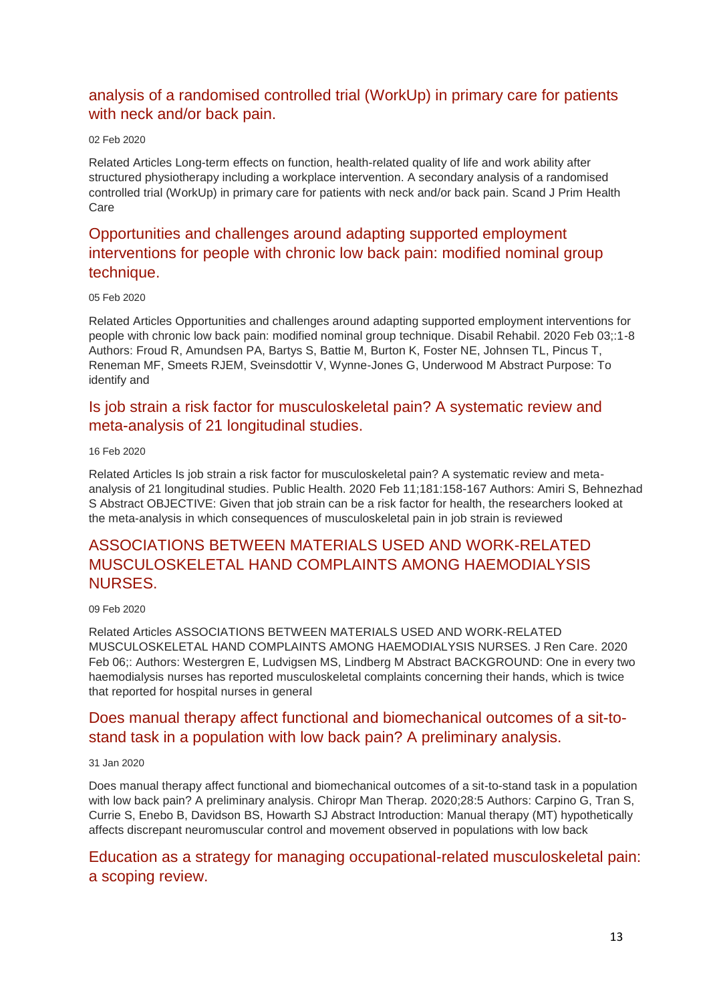# [analysis of a randomised controlled trial \(WorkUp\) in primary care for patients](http://transit.linexsystems.com/track/click/30370861/ca.linexsystems.com?p=eyJzIjoiNWcwbUpaOHFkMTN4QlFiYmJRZmVvNGFXLTd3IiwidiI6MSwicCI6IntcInVcIjozMDM3MDg2MSxcInZcIjoxLFwidXJsXCI6XCJodHRwOlxcXC9cXFwvY2EubGluZXhzeXN0ZW1zLmNvbVxcXC9jb250ZW50c1xcXC90cmFuc2l0XFxcLzM2MTA1Mjc4NjU_dXNlcl9pZD00NDM1MTUmbG9nPTc5Y2ZhYjYyNGM2ZjAyMDU3MTQ2YzFjZGFkZmYyZWRmJnA9OTI0NTc0MzUmbT0xJmM9MzUyOTEwODUyNSZvcmdfaWQ9MTc0ODFcIixcImlkXCI6XCJkYjUzMTRmZTUwNjQ0ZWQyYWIyMjhkMzA1ODRhYTFkY1wiLFwidXJsX2lkc1wiOltcIjA1ZTliM2YxZjk4OTA1NGZlM2JjODI0YWQ4ZmExYjhmMWYyMzVkMTNcIl19In0)  [with neck and/or back pain.](http://transit.linexsystems.com/track/click/30370861/ca.linexsystems.com?p=eyJzIjoiNWcwbUpaOHFkMTN4QlFiYmJRZmVvNGFXLTd3IiwidiI6MSwicCI6IntcInVcIjozMDM3MDg2MSxcInZcIjoxLFwidXJsXCI6XCJodHRwOlxcXC9cXFwvY2EubGluZXhzeXN0ZW1zLmNvbVxcXC9jb250ZW50c1xcXC90cmFuc2l0XFxcLzM2MTA1Mjc4NjU_dXNlcl9pZD00NDM1MTUmbG9nPTc5Y2ZhYjYyNGM2ZjAyMDU3MTQ2YzFjZGFkZmYyZWRmJnA9OTI0NTc0MzUmbT0xJmM9MzUyOTEwODUyNSZvcmdfaWQ9MTc0ODFcIixcImlkXCI6XCJkYjUzMTRmZTUwNjQ0ZWQyYWIyMjhkMzA1ODRhYTFkY1wiLFwidXJsX2lkc1wiOltcIjA1ZTliM2YxZjk4OTA1NGZlM2JjODI0YWQ4ZmExYjhmMWYyMzVkMTNcIl19In0)

#### 02 Feb 2020

Related Articles Long-term effects on function, health-related quality of life and work ability after structured physiotherapy including a workplace intervention. A secondary analysis of a randomised controlled trial (WorkUp) in primary care for patients with neck and/or back pain. Scand J Prim Health Care

# [Opportunities and challenges around adapting supported employment](http://transit.linexsystems.com/track/click/30370861/ca.linexsystems.com?p=eyJzIjoieGJkTWdmeUpVMDNWSDVvZU8xMF9YRVM0Wm44IiwidiI6MSwicCI6IntcInVcIjozMDM3MDg2MSxcInZcIjoxLFwidXJsXCI6XCJodHRwOlxcXC9cXFwvY2EubGluZXhzeXN0ZW1zLmNvbVxcXC9jb250ZW50c1xcXC90cmFuc2l0XFxcLzM2MTU4MjgzMzU_dXNlcl9pZD00NDM1MTUmbG9nPTc5Y2ZhYjYyNGM2ZjAyMDU3MTQ2YzFjZGFkZmYyZWRmJnA9OTI0NTc0MzUmbT0xJmM9MzUyOTEwODkxNSZvcmdfaWQ9MTc0ODFcIixcImlkXCI6XCJkYjUzMTRmZTUwNjQ0ZWQyYWIyMjhkMzA1ODRhYTFkY1wiLFwidXJsX2lkc1wiOltcIjA1ZTliM2YxZjk4OTA1NGZlM2JjODI0YWQ4ZmExYjhmMWYyMzVkMTNcIl19In0)  [interventions for people with chronic low back pain: modified nominal group](http://transit.linexsystems.com/track/click/30370861/ca.linexsystems.com?p=eyJzIjoieGJkTWdmeUpVMDNWSDVvZU8xMF9YRVM0Wm44IiwidiI6MSwicCI6IntcInVcIjozMDM3MDg2MSxcInZcIjoxLFwidXJsXCI6XCJodHRwOlxcXC9cXFwvY2EubGluZXhzeXN0ZW1zLmNvbVxcXC9jb250ZW50c1xcXC90cmFuc2l0XFxcLzM2MTU4MjgzMzU_dXNlcl9pZD00NDM1MTUmbG9nPTc5Y2ZhYjYyNGM2ZjAyMDU3MTQ2YzFjZGFkZmYyZWRmJnA9OTI0NTc0MzUmbT0xJmM9MzUyOTEwODkxNSZvcmdfaWQ9MTc0ODFcIixcImlkXCI6XCJkYjUzMTRmZTUwNjQ0ZWQyYWIyMjhkMzA1ODRhYTFkY1wiLFwidXJsX2lkc1wiOltcIjA1ZTliM2YxZjk4OTA1NGZlM2JjODI0YWQ4ZmExYjhmMWYyMzVkMTNcIl19In0)  [technique.](http://transit.linexsystems.com/track/click/30370861/ca.linexsystems.com?p=eyJzIjoieGJkTWdmeUpVMDNWSDVvZU8xMF9YRVM0Wm44IiwidiI6MSwicCI6IntcInVcIjozMDM3MDg2MSxcInZcIjoxLFwidXJsXCI6XCJodHRwOlxcXC9cXFwvY2EubGluZXhzeXN0ZW1zLmNvbVxcXC9jb250ZW50c1xcXC90cmFuc2l0XFxcLzM2MTU4MjgzMzU_dXNlcl9pZD00NDM1MTUmbG9nPTc5Y2ZhYjYyNGM2ZjAyMDU3MTQ2YzFjZGFkZmYyZWRmJnA9OTI0NTc0MzUmbT0xJmM9MzUyOTEwODkxNSZvcmdfaWQ9MTc0ODFcIixcImlkXCI6XCJkYjUzMTRmZTUwNjQ0ZWQyYWIyMjhkMzA1ODRhYTFkY1wiLFwidXJsX2lkc1wiOltcIjA1ZTliM2YxZjk4OTA1NGZlM2JjODI0YWQ4ZmExYjhmMWYyMzVkMTNcIl19In0)

#### 05 Feb 2020

Related Articles Opportunities and challenges around adapting supported employment interventions for people with chronic low back pain: modified nominal group technique. Disabil Rehabil. 2020 Feb 03;:1-8 Authors: Froud R, Amundsen PA, Bartys S, Battie M, Burton K, Foster NE, Johnsen TL, Pincus T, Reneman MF, Smeets RJEM, Sveinsdottir V, Wynne-Jones G, Underwood M Abstract Purpose: To identify and

### [Is job strain a risk factor for musculoskeletal pain? A systematic review and](http://transit.linexsystems.com/track/click/30370861/ca.linexsystems.com?p=eyJzIjoiQ2ZQYnhHOWxuLUNiRWRIb0dhMW0wbVdnSTVzIiwidiI6MSwicCI6IntcInVcIjozMDM3MDg2MSxcInZcIjoxLFwidXJsXCI6XCJodHRwOlxcXC9cXFwvY2EubGluZXhzeXN0ZW1zLmNvbVxcXC9jb250ZW50c1xcXC90cmFuc2l0XFxcLzM2Mjc5MzE4OTU_dXNlcl9pZD00NDM1MTUmbG9nPTc5Y2ZhYjYyNGM2ZjAyMDU3MTQ2YzFjZGFkZmYyZWRmJnA9OTI0NTc0MzUmbT0xJmM9MzUyOTEwODkxNSZvcmdfaWQ9MTc0ODFcIixcImlkXCI6XCJkYjUzMTRmZTUwNjQ0ZWQyYWIyMjhkMzA1ODRhYTFkY1wiLFwidXJsX2lkc1wiOltcIjA1ZTliM2YxZjk4OTA1NGZlM2JjODI0YWQ4ZmExYjhmMWYyMzVkMTNcIl19In0)  [meta-analysis of 21 longitudinal studies.](http://transit.linexsystems.com/track/click/30370861/ca.linexsystems.com?p=eyJzIjoiQ2ZQYnhHOWxuLUNiRWRIb0dhMW0wbVdnSTVzIiwidiI6MSwicCI6IntcInVcIjozMDM3MDg2MSxcInZcIjoxLFwidXJsXCI6XCJodHRwOlxcXC9cXFwvY2EubGluZXhzeXN0ZW1zLmNvbVxcXC9jb250ZW50c1xcXC90cmFuc2l0XFxcLzM2Mjc5MzE4OTU_dXNlcl9pZD00NDM1MTUmbG9nPTc5Y2ZhYjYyNGM2ZjAyMDU3MTQ2YzFjZGFkZmYyZWRmJnA9OTI0NTc0MzUmbT0xJmM9MzUyOTEwODkxNSZvcmdfaWQ9MTc0ODFcIixcImlkXCI6XCJkYjUzMTRmZTUwNjQ0ZWQyYWIyMjhkMzA1ODRhYTFkY1wiLFwidXJsX2lkc1wiOltcIjA1ZTliM2YxZjk4OTA1NGZlM2JjODI0YWQ4ZmExYjhmMWYyMzVkMTNcIl19In0)

#### 16 Feb 2020

Related Articles Is job strain a risk factor for musculoskeletal pain? A systematic review and metaanalysis of 21 longitudinal studies. Public Health. 2020 Feb 11;181:158-167 Authors: Amiri S, Behnezhad S Abstract OBJECTIVE: Given that job strain can be a risk factor for health, the researchers looked at the meta-analysis in which consequences of musculoskeletal pain in job strain is reviewed

# [ASSOCIATIONS BETWEEN MATERIALS USED AND WORK-RELATED](http://transit.linexsystems.com/track/click/30370861/ca.linexsystems.com?p=eyJzIjoiWnhyNWo1MXB0M3JTWF9wYVdnTkU4SXFoV05NIiwidiI6MSwicCI6IntcInVcIjozMDM3MDg2MSxcInZcIjoxLFwidXJsXCI6XCJodHRwOlxcXC9cXFwvY2EubGluZXhzeXN0ZW1zLmNvbVxcXC9jb250ZW50c1xcXC90cmFuc2l0XFxcLzM2MTk2NjY3MzU_dXNlcl9pZD00NDM1MTUmbG9nPTc5Y2ZhYjYyNGM2ZjAyMDU3MTQ2YzFjZGFkZmYyZWRmJnA9OTI0NTc0MzUmbT0xJmM9MzUyOTExMTIyNSZvcmdfaWQ9MTc0ODFcIixcImlkXCI6XCJkYjUzMTRmZTUwNjQ0ZWQyYWIyMjhkMzA1ODRhYTFkY1wiLFwidXJsX2lkc1wiOltcIjA1ZTliM2YxZjk4OTA1NGZlM2JjODI0YWQ4ZmExYjhmMWYyMzVkMTNcIl19In0)  [MUSCULOSKELETAL HAND COMPLAINTS AMONG HAEMODIALYSIS](http://transit.linexsystems.com/track/click/30370861/ca.linexsystems.com?p=eyJzIjoiWnhyNWo1MXB0M3JTWF9wYVdnTkU4SXFoV05NIiwidiI6MSwicCI6IntcInVcIjozMDM3MDg2MSxcInZcIjoxLFwidXJsXCI6XCJodHRwOlxcXC9cXFwvY2EubGluZXhzeXN0ZW1zLmNvbVxcXC9jb250ZW50c1xcXC90cmFuc2l0XFxcLzM2MTk2NjY3MzU_dXNlcl9pZD00NDM1MTUmbG9nPTc5Y2ZhYjYyNGM2ZjAyMDU3MTQ2YzFjZGFkZmYyZWRmJnA9OTI0NTc0MzUmbT0xJmM9MzUyOTExMTIyNSZvcmdfaWQ9MTc0ODFcIixcImlkXCI6XCJkYjUzMTRmZTUwNjQ0ZWQyYWIyMjhkMzA1ODRhYTFkY1wiLFwidXJsX2lkc1wiOltcIjA1ZTliM2YxZjk4OTA1NGZlM2JjODI0YWQ4ZmExYjhmMWYyMzVkMTNcIl19In0)  [NURSES.](http://transit.linexsystems.com/track/click/30370861/ca.linexsystems.com?p=eyJzIjoiWnhyNWo1MXB0M3JTWF9wYVdnTkU4SXFoV05NIiwidiI6MSwicCI6IntcInVcIjozMDM3MDg2MSxcInZcIjoxLFwidXJsXCI6XCJodHRwOlxcXC9cXFwvY2EubGluZXhzeXN0ZW1zLmNvbVxcXC9jb250ZW50c1xcXC90cmFuc2l0XFxcLzM2MTk2NjY3MzU_dXNlcl9pZD00NDM1MTUmbG9nPTc5Y2ZhYjYyNGM2ZjAyMDU3MTQ2YzFjZGFkZmYyZWRmJnA9OTI0NTc0MzUmbT0xJmM9MzUyOTExMTIyNSZvcmdfaWQ9MTc0ODFcIixcImlkXCI6XCJkYjUzMTRmZTUwNjQ0ZWQyYWIyMjhkMzA1ODRhYTFkY1wiLFwidXJsX2lkc1wiOltcIjA1ZTliM2YxZjk4OTA1NGZlM2JjODI0YWQ4ZmExYjhmMWYyMzVkMTNcIl19In0)

#### 09 Feb 2020

Related Articles ASSOCIATIONS BETWEEN MATERIALS USED AND WORK-RELATED MUSCULOSKELETAL HAND COMPLAINTS AMONG HAEMODIALYSIS NURSES. J Ren Care. 2020 Feb 06;: Authors: Westergren E, Ludvigsen MS, Lindberg M Abstract BACKGROUND: One in every two haemodialysis nurses has reported musculoskeletal complaints concerning their hands, which is twice that reported for hospital nurses in general

### [Does manual therapy affect functional and biomechanical outcomes of a sit-to](http://transit.linexsystems.com/track/click/30370861/ca.linexsystems.com?p=eyJzIjoiY3pFT28xelB5ZEc5MlZfdTFTc2d2X215QU9FIiwidiI6MSwicCI6IntcInVcIjozMDM3MDg2MSxcInZcIjoxLFwidXJsXCI6XCJodHRwOlxcXC9cXFwvY2EubGluZXhzeXN0ZW1zLmNvbVxcXC9jb250ZW50c1xcXC90cmFuc2l0XFxcLzM2MDkyMDE5ODU_dXNlcl9pZD00NDM1MTUmbG9nPTc5Y2ZhYjYyNGM2ZjAyMDU3MTQ2YzFjZGFkZmYyZWRmJnA9OTI0NTc0MzUmbT0xJmM9MzUyOTEwODUyNSZvcmdfaWQ9MTc0ODFcIixcImlkXCI6XCJkYjUzMTRmZTUwNjQ0ZWQyYWIyMjhkMzA1ODRhYTFkY1wiLFwidXJsX2lkc1wiOltcIjA1ZTliM2YxZjk4OTA1NGZlM2JjODI0YWQ4ZmExYjhmMWYyMzVkMTNcIl19In0)[stand task in a population with low back pain? A preliminary analysis.](http://transit.linexsystems.com/track/click/30370861/ca.linexsystems.com?p=eyJzIjoiY3pFT28xelB5ZEc5MlZfdTFTc2d2X215QU9FIiwidiI6MSwicCI6IntcInVcIjozMDM3MDg2MSxcInZcIjoxLFwidXJsXCI6XCJodHRwOlxcXC9cXFwvY2EubGluZXhzeXN0ZW1zLmNvbVxcXC9jb250ZW50c1xcXC90cmFuc2l0XFxcLzM2MDkyMDE5ODU_dXNlcl9pZD00NDM1MTUmbG9nPTc5Y2ZhYjYyNGM2ZjAyMDU3MTQ2YzFjZGFkZmYyZWRmJnA9OTI0NTc0MzUmbT0xJmM9MzUyOTEwODUyNSZvcmdfaWQ9MTc0ODFcIixcImlkXCI6XCJkYjUzMTRmZTUwNjQ0ZWQyYWIyMjhkMzA1ODRhYTFkY1wiLFwidXJsX2lkc1wiOltcIjA1ZTliM2YxZjk4OTA1NGZlM2JjODI0YWQ4ZmExYjhmMWYyMzVkMTNcIl19In0)

#### 31 Jan 2020

Does manual therapy affect functional and biomechanical outcomes of a sit-to-stand task in a population with low back pain? A preliminary analysis. Chiropr Man Therap. 2020;28:5 Authors: Carpino G, Tran S, Currie S, Enebo B, Davidson BS, Howarth SJ Abstract Introduction: Manual therapy (MT) hypothetically affects discrepant neuromuscular control and movement observed in populations with low back

### [Education as a strategy for managing occupational-related musculoskeletal pain:](http://transit.linexsystems.com/track/click/30370861/ca.linexsystems.com?p=eyJzIjoiR0U0TDVDQkt5QnlzenBBYVk5Y3NRUjhrRXFzIiwidiI6MSwicCI6IntcInVcIjozMDM3MDg2MSxcInZcIjoxLFwidXJsXCI6XCJodHRwOlxcXC9cXFwvY2EubGluZXhzeXN0ZW1zLmNvbVxcXC9jb250ZW50c1xcXC90cmFuc2l0XFxcLzM2MjY2MDMzODU_dXNlcl9pZD00NDM1MTUmbG9nPTc5Y2ZhYjYyNGM2ZjAyMDU3MTQ2YzFjZGFkZmYyZWRmJnA9OTI0NTc0MzUmbT0xJmM9MzUyOTEwOTg3NSZvcmdfaWQ9MTc0ODFcIixcImlkXCI6XCJkYjUzMTRmZTUwNjQ0ZWQyYWIyMjhkMzA1ODRhYTFkY1wiLFwidXJsX2lkc1wiOltcIjA1ZTliM2YxZjk4OTA1NGZlM2JjODI0YWQ4ZmExYjhmMWYyMzVkMTNcIl19In0)  [a scoping review.](http://transit.linexsystems.com/track/click/30370861/ca.linexsystems.com?p=eyJzIjoiR0U0TDVDQkt5QnlzenBBYVk5Y3NRUjhrRXFzIiwidiI6MSwicCI6IntcInVcIjozMDM3MDg2MSxcInZcIjoxLFwidXJsXCI6XCJodHRwOlxcXC9cXFwvY2EubGluZXhzeXN0ZW1zLmNvbVxcXC9jb250ZW50c1xcXC90cmFuc2l0XFxcLzM2MjY2MDMzODU_dXNlcl9pZD00NDM1MTUmbG9nPTc5Y2ZhYjYyNGM2ZjAyMDU3MTQ2YzFjZGFkZmYyZWRmJnA9OTI0NTc0MzUmbT0xJmM9MzUyOTEwOTg3NSZvcmdfaWQ9MTc0ODFcIixcImlkXCI6XCJkYjUzMTRmZTUwNjQ0ZWQyYWIyMjhkMzA1ODRhYTFkY1wiLFwidXJsX2lkc1wiOltcIjA1ZTliM2YxZjk4OTA1NGZlM2JjODI0YWQ4ZmExYjhmMWYyMzVkMTNcIl19In0)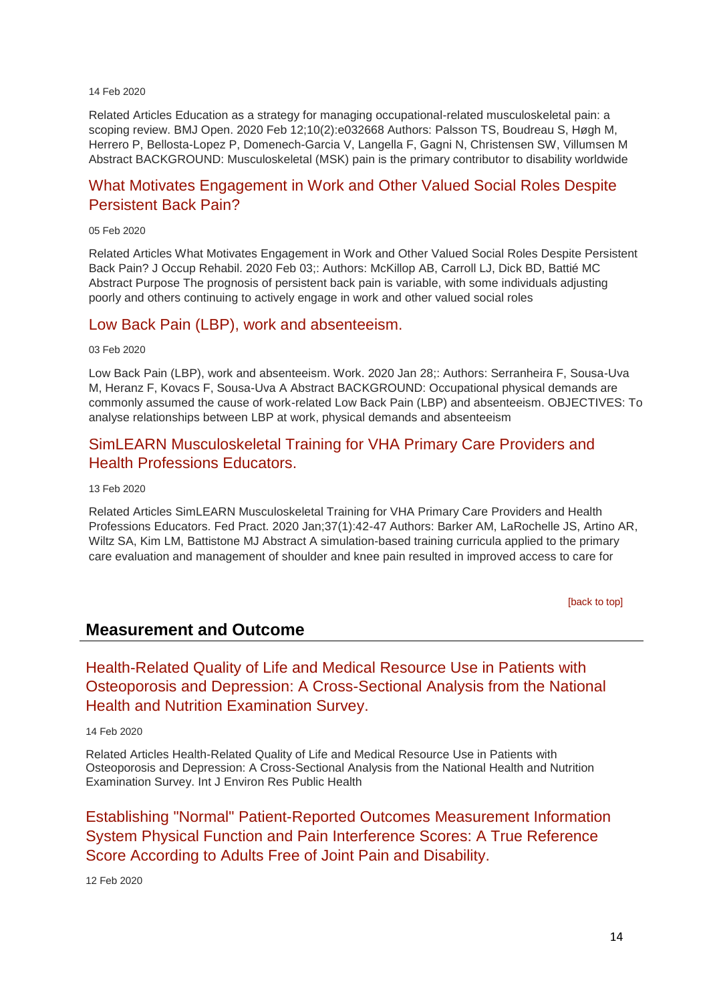#### 14 Feb 2020

Related Articles Education as a strategy for managing occupational-related musculoskeletal pain: a scoping review. BMJ Open. 2020 Feb 12;10(2):e032668 Authors: Palsson TS, Boudreau S, Høgh M, Herrero P, Bellosta-Lopez P, Domenech-Garcia V, Langella F, Gagni N, Christensen SW, Villumsen M Abstract BACKGROUND: Musculoskeletal (MSK) pain is the primary contributor to disability worldwide

### [What Motivates Engagement in Work and Other Valued Social Roles Despite](http://transit.linexsystems.com/track/click/30370861/ca.linexsystems.com?p=eyJzIjoibXViR3JLbVplWEVKcGh4ZXFvQTZReEl1NE93IiwidiI6MSwicCI6IntcInVcIjozMDM3MDg2MSxcInZcIjoxLFwidXJsXCI6XCJodHRwOlxcXC9cXFwvY2EubGluZXhzeXN0ZW1zLmNvbVxcXC9jb250ZW50c1xcXC90cmFuc2l0XFxcLzM2MTU4Mjg5NDU_dXNlcl9pZD00NDM1MTUmbG9nPTc5Y2ZhYjYyNGM2ZjAyMDU3MTQ2YzFjZGFkZmYyZWRmJnA9OTI0NTc0MzUmbT0xJmM9MzUyOTExMTIyNSZvcmdfaWQ9MTc0ODFcIixcImlkXCI6XCJkYjUzMTRmZTUwNjQ0ZWQyYWIyMjhkMzA1ODRhYTFkY1wiLFwidXJsX2lkc1wiOltcIjA1ZTliM2YxZjk4OTA1NGZlM2JjODI0YWQ4ZmExYjhmMWYyMzVkMTNcIl19In0)  [Persistent Back Pain?](http://transit.linexsystems.com/track/click/30370861/ca.linexsystems.com?p=eyJzIjoibXViR3JLbVplWEVKcGh4ZXFvQTZReEl1NE93IiwidiI6MSwicCI6IntcInVcIjozMDM3MDg2MSxcInZcIjoxLFwidXJsXCI6XCJodHRwOlxcXC9cXFwvY2EubGluZXhzeXN0ZW1zLmNvbVxcXC9jb250ZW50c1xcXC90cmFuc2l0XFxcLzM2MTU4Mjg5NDU_dXNlcl9pZD00NDM1MTUmbG9nPTc5Y2ZhYjYyNGM2ZjAyMDU3MTQ2YzFjZGFkZmYyZWRmJnA9OTI0NTc0MzUmbT0xJmM9MzUyOTExMTIyNSZvcmdfaWQ9MTc0ODFcIixcImlkXCI6XCJkYjUzMTRmZTUwNjQ0ZWQyYWIyMjhkMzA1ODRhYTFkY1wiLFwidXJsX2lkc1wiOltcIjA1ZTliM2YxZjk4OTA1NGZlM2JjODI0YWQ4ZmExYjhmMWYyMzVkMTNcIl19In0)

#### 05 Feb 2020

Related Articles What Motivates Engagement in Work and Other Valued Social Roles Despite Persistent Back Pain? J Occup Rehabil. 2020 Feb 03;: Authors: McKillop AB, Carroll LJ, Dick BD, Battié MC Abstract Purpose The prognosis of persistent back pain is variable, with some individuals adjusting poorly and others continuing to actively engage in work and other valued social roles

### [Low Back Pain \(LBP\), work and absenteeism.](http://transit.linexsystems.com/track/click/30370861/ca.linexsystems.com?p=eyJzIjoiVXNUTTFwcHJkZkljcGxZNnp5OUQzeFZJbmQ4IiwidiI6MSwicCI6IntcInVcIjozMDM3MDg2MSxcInZcIjoxLFwidXJsXCI6XCJodHRwOlxcXC9cXFwvY2EubGluZXhzeXN0ZW1zLmNvbVxcXC9jb250ZW50c1xcXC90cmFuc2l0XFxcLzM2MTE2ODU0OTU_dXNlcl9pZD00NDM1MTUmbG9nPTc5Y2ZhYjYyNGM2ZjAyMDU3MTQ2YzFjZGFkZmYyZWRmJnA9OTI0NTc0MzUmbT0xJmM9MzUyOTExMTIyNSZvcmdfaWQ9MTc0ODFcIixcImlkXCI6XCJkYjUzMTRmZTUwNjQ0ZWQyYWIyMjhkMzA1ODRhYTFkY1wiLFwidXJsX2lkc1wiOltcIjA1ZTliM2YxZjk4OTA1NGZlM2JjODI0YWQ4ZmExYjhmMWYyMzVkMTNcIl19In0)

03 Feb 2020

Low Back Pain (LBP), work and absenteeism. Work. 2020 Jan 28;: Authors: Serranheira F, Sousa-Uva M, Heranz F, Kovacs F, Sousa-Uva A Abstract BACKGROUND: Occupational physical demands are commonly assumed the cause of work-related Low Back Pain (LBP) and absenteeism. OBJECTIVES: To analyse relationships between LBP at work, physical demands and absenteeism

### [SimLEARN Musculoskeletal Training for VHA Primary Care Providers and](http://transit.linexsystems.com/track/click/30370861/ca.linexsystems.com?p=eyJzIjoiRHI4QWg0UjJaVWZXY19DM1NzbEVkWmpPWHowIiwidiI6MSwicCI6IntcInVcIjozMDM3MDg2MSxcInZcIjoxLFwidXJsXCI6XCJodHRwOlxcXC9cXFwvY2EubGluZXhzeXN0ZW1zLmNvbVxcXC9jb250ZW50c1xcXC90cmFuc2l0XFxcLzM2MjUyMzAzNTU_dXNlcl9pZD00NDM1MTUmbG9nPTc5Y2ZhYjYyNGM2ZjAyMDU3MTQ2YzFjZGFkZmYyZWRmJnA9OTI0NTc0MzUmbT0xJmM9MzUyOTEwODUyNSZvcmdfaWQ9MTc0ODFcIixcImlkXCI6XCJkYjUzMTRmZTUwNjQ0ZWQyYWIyMjhkMzA1ODRhYTFkY1wiLFwidXJsX2lkc1wiOltcIjA1ZTliM2YxZjk4OTA1NGZlM2JjODI0YWQ4ZmExYjhmMWYyMzVkMTNcIl19In0)  [Health Professions Educators.](http://transit.linexsystems.com/track/click/30370861/ca.linexsystems.com?p=eyJzIjoiRHI4QWg0UjJaVWZXY19DM1NzbEVkWmpPWHowIiwidiI6MSwicCI6IntcInVcIjozMDM3MDg2MSxcInZcIjoxLFwidXJsXCI6XCJodHRwOlxcXC9cXFwvY2EubGluZXhzeXN0ZW1zLmNvbVxcXC9jb250ZW50c1xcXC90cmFuc2l0XFxcLzM2MjUyMzAzNTU_dXNlcl9pZD00NDM1MTUmbG9nPTc5Y2ZhYjYyNGM2ZjAyMDU3MTQ2YzFjZGFkZmYyZWRmJnA9OTI0NTc0MzUmbT0xJmM9MzUyOTEwODUyNSZvcmdfaWQ9MTc0ODFcIixcImlkXCI6XCJkYjUzMTRmZTUwNjQ0ZWQyYWIyMjhkMzA1ODRhYTFkY1wiLFwidXJsX2lkc1wiOltcIjA1ZTliM2YxZjk4OTA1NGZlM2JjODI0YWQ4ZmExYjhmMWYyMzVkMTNcIl19In0)

13 Feb 2020

Related Articles SimLEARN Musculoskeletal Training for VHA Primary Care Providers and Health Professions Educators. Fed Pract. 2020 Jan;37(1):42-47 Authors: Barker AM, LaRochelle JS, Artino AR, Wiltz SA, Kim LM, Battistone MJ Abstract A simulation-based training curricula applied to the primary care evaluation and management of shoulder and knee pain resulted in improved access to care for

[\[back to top\]](#page-0-1)

### **Measurement and Outcome**

[Health-Related Quality of Life and Medical Resource Use in Patients with](http://transit.linexsystems.com/track/click/30370861/ca.linexsystems.com?p=eyJzIjoiR3NzYlhPMjhEQkYyLV94czZWaUNrNHozSkpNIiwidiI6MSwicCI6IntcInVcIjozMDM3MDg2MSxcInZcIjoxLFwidXJsXCI6XCJodHRwOlxcXC9cXFwvY2EubGluZXhzeXN0ZW1zLmNvbVxcXC9jb250ZW50c1xcXC90cmFuc2l0XFxcLzM2MjY2MDMzMDU_dXNlcl9pZD00NDM1MTUmbG9nPTc5Y2ZhYjYyNGM2ZjAyMDU3MTQ2YzFjZGFkZmYyZWRmJnA9OTI0NTc0MzUmbT0xJmM9MzUyOTEwODUyNSZvcmdfaWQ9MTc0ODFcIixcImlkXCI6XCJkYjUzMTRmZTUwNjQ0ZWQyYWIyMjhkMzA1ODRhYTFkY1wiLFwidXJsX2lkc1wiOltcIjA1ZTliM2YxZjk4OTA1NGZlM2JjODI0YWQ4ZmExYjhmMWYyMzVkMTNcIl19In0)  [Osteoporosis and Depression: A Cross-Sectional Analysis from the National](http://transit.linexsystems.com/track/click/30370861/ca.linexsystems.com?p=eyJzIjoiR3NzYlhPMjhEQkYyLV94czZWaUNrNHozSkpNIiwidiI6MSwicCI6IntcInVcIjozMDM3MDg2MSxcInZcIjoxLFwidXJsXCI6XCJodHRwOlxcXC9cXFwvY2EubGluZXhzeXN0ZW1zLmNvbVxcXC9jb250ZW50c1xcXC90cmFuc2l0XFxcLzM2MjY2MDMzMDU_dXNlcl9pZD00NDM1MTUmbG9nPTc5Y2ZhYjYyNGM2ZjAyMDU3MTQ2YzFjZGFkZmYyZWRmJnA9OTI0NTc0MzUmbT0xJmM9MzUyOTEwODUyNSZvcmdfaWQ9MTc0ODFcIixcImlkXCI6XCJkYjUzMTRmZTUwNjQ0ZWQyYWIyMjhkMzA1ODRhYTFkY1wiLFwidXJsX2lkc1wiOltcIjA1ZTliM2YxZjk4OTA1NGZlM2JjODI0YWQ4ZmExYjhmMWYyMzVkMTNcIl19In0)  [Health and Nutrition Examination Survey.](http://transit.linexsystems.com/track/click/30370861/ca.linexsystems.com?p=eyJzIjoiR3NzYlhPMjhEQkYyLV94czZWaUNrNHozSkpNIiwidiI6MSwicCI6IntcInVcIjozMDM3MDg2MSxcInZcIjoxLFwidXJsXCI6XCJodHRwOlxcXC9cXFwvY2EubGluZXhzeXN0ZW1zLmNvbVxcXC9jb250ZW50c1xcXC90cmFuc2l0XFxcLzM2MjY2MDMzMDU_dXNlcl9pZD00NDM1MTUmbG9nPTc5Y2ZhYjYyNGM2ZjAyMDU3MTQ2YzFjZGFkZmYyZWRmJnA9OTI0NTc0MzUmbT0xJmM9MzUyOTEwODUyNSZvcmdfaWQ9MTc0ODFcIixcImlkXCI6XCJkYjUzMTRmZTUwNjQ0ZWQyYWIyMjhkMzA1ODRhYTFkY1wiLFwidXJsX2lkc1wiOltcIjA1ZTliM2YxZjk4OTA1NGZlM2JjODI0YWQ4ZmExYjhmMWYyMzVkMTNcIl19In0)

14 Feb 2020

Related Articles Health-Related Quality of Life and Medical Resource Use in Patients with Osteoporosis and Depression: A Cross-Sectional Analysis from the National Health and Nutrition Examination Survey. Int J Environ Res Public Health

[Establishing "Normal" Patient-Reported Outcomes Measurement Information](http://transit.linexsystems.com/track/click/30370861/ca.linexsystems.com?p=eyJzIjoiSVNDRi1Pd0NEYmFVOWxCZXdnUTRCQjdBQTlVIiwidiI6MSwicCI6IntcInVcIjozMDM3MDg2MSxcInZcIjoxLFwidXJsXCI6XCJodHRwOlxcXC9cXFwvY2EubGluZXhzeXN0ZW1zLmNvbVxcXC9jb250ZW50c1xcXC90cmFuc2l0XFxcLzM2MjM3NDIyNTU_dXNlcl9pZD00NDM1MTUmbG9nPTc5Y2ZhYjYyNGM2ZjAyMDU3MTQ2YzFjZGFkZmYyZWRmJnA9OTI0NTc0MzUmbT0xJmM9MzUyOTEwODUyNSZvcmdfaWQ9MTc0ODFcIixcImlkXCI6XCJkYjUzMTRmZTUwNjQ0ZWQyYWIyMjhkMzA1ODRhYTFkY1wiLFwidXJsX2lkc1wiOltcIjA1ZTliM2YxZjk4OTA1NGZlM2JjODI0YWQ4ZmExYjhmMWYyMzVkMTNcIl19In0)  [System Physical Function and Pain Interference Scores: A True Reference](http://transit.linexsystems.com/track/click/30370861/ca.linexsystems.com?p=eyJzIjoiSVNDRi1Pd0NEYmFVOWxCZXdnUTRCQjdBQTlVIiwidiI6MSwicCI6IntcInVcIjozMDM3MDg2MSxcInZcIjoxLFwidXJsXCI6XCJodHRwOlxcXC9cXFwvY2EubGluZXhzeXN0ZW1zLmNvbVxcXC9jb250ZW50c1xcXC90cmFuc2l0XFxcLzM2MjM3NDIyNTU_dXNlcl9pZD00NDM1MTUmbG9nPTc5Y2ZhYjYyNGM2ZjAyMDU3MTQ2YzFjZGFkZmYyZWRmJnA9OTI0NTc0MzUmbT0xJmM9MzUyOTEwODUyNSZvcmdfaWQ9MTc0ODFcIixcImlkXCI6XCJkYjUzMTRmZTUwNjQ0ZWQyYWIyMjhkMzA1ODRhYTFkY1wiLFwidXJsX2lkc1wiOltcIjA1ZTliM2YxZjk4OTA1NGZlM2JjODI0YWQ4ZmExYjhmMWYyMzVkMTNcIl19In0)  [Score According to Adults Free of Joint Pain and Disability.](http://transit.linexsystems.com/track/click/30370861/ca.linexsystems.com?p=eyJzIjoiSVNDRi1Pd0NEYmFVOWxCZXdnUTRCQjdBQTlVIiwidiI6MSwicCI6IntcInVcIjozMDM3MDg2MSxcInZcIjoxLFwidXJsXCI6XCJodHRwOlxcXC9cXFwvY2EubGluZXhzeXN0ZW1zLmNvbVxcXC9jb250ZW50c1xcXC90cmFuc2l0XFxcLzM2MjM3NDIyNTU_dXNlcl9pZD00NDM1MTUmbG9nPTc5Y2ZhYjYyNGM2ZjAyMDU3MTQ2YzFjZGFkZmYyZWRmJnA9OTI0NTc0MzUmbT0xJmM9MzUyOTEwODUyNSZvcmdfaWQ9MTc0ODFcIixcImlkXCI6XCJkYjUzMTRmZTUwNjQ0ZWQyYWIyMjhkMzA1ODRhYTFkY1wiLFwidXJsX2lkc1wiOltcIjA1ZTliM2YxZjk4OTA1NGZlM2JjODI0YWQ4ZmExYjhmMWYyMzVkMTNcIl19In0)

12 Feb 2020